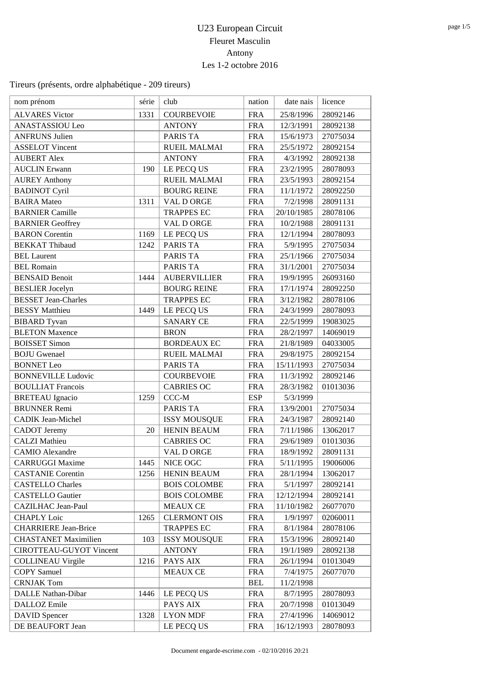## U23 European Circuit Fleuret Masculin Antony Les 1-2 octobre 2016

| nom prénom                     | série | club                | nation     | date nais  | licence  |
|--------------------------------|-------|---------------------|------------|------------|----------|
| <b>ALVARES Victor</b>          | 1331  | <b>COURBEVOIE</b>   | <b>FRA</b> | 25/8/1996  | 28092146 |
| ANASTASSIOU Leo                |       | <b>ANTONY</b>       | <b>FRA</b> | 12/3/1991  | 28092138 |
| <b>ANFRUNS Julien</b>          |       | PARIS TA            | <b>FRA</b> | 15/6/1973  | 27075034 |
| <b>ASSELOT Vincent</b>         |       | <b>RUEIL MALMAI</b> | <b>FRA</b> | 25/5/1972  | 28092154 |
| <b>AUBERT Alex</b>             |       | <b>ANTONY</b>       | <b>FRA</b> | 4/3/1992   | 28092138 |
| <b>AUCLIN</b> Erwann           | 190   | LE PECQ US          | <b>FRA</b> | 23/2/1995  | 28078093 |
| <b>AUREY Anthony</b>           |       | <b>RUEIL MALMAI</b> | <b>FRA</b> | 23/5/1993  | 28092154 |
| <b>BADINOT Cyril</b>           |       | <b>BOURG REINE</b>  | <b>FRA</b> | 11/1/1972  | 28092250 |
| <b>BAIRA</b> Mateo             | 1311  | VAL D ORGE          | <b>FRA</b> | 7/2/1998   | 28091131 |
| <b>BARNIER Camille</b>         |       | <b>TRAPPES EC</b>   | <b>FRA</b> | 20/10/1985 | 28078106 |
| <b>BARNIER Geoffrey</b>        |       | VAL D ORGE          | <b>FRA</b> | 10/2/1988  | 28091131 |
| <b>BARON</b> Corentin          | 1169  | LE PECQ US          | <b>FRA</b> | 12/1/1994  | 28078093 |
| <b>BEKKAT Thibaud</b>          | 1242  | PARIS TA            | <b>FRA</b> | 5/9/1995   | 27075034 |
| <b>BEL Laurent</b>             |       | PARIS TA            | <b>FRA</b> | 25/1/1966  | 27075034 |
| <b>BEL Romain</b>              |       | PARIS TA            | <b>FRA</b> | 31/1/2001  | 27075034 |
| <b>BENSAID Benoit</b>          | 1444  | <b>AUBERVILLIER</b> | <b>FRA</b> | 19/9/1995  | 26093160 |
| <b>BESLIER</b> Jocelyn         |       | <b>BOURG REINE</b>  | <b>FRA</b> | 17/1/1974  | 28092250 |
| <b>BESSET Jean-Charles</b>     |       | <b>TRAPPES EC</b>   | <b>FRA</b> | 3/12/1982  | 28078106 |
| <b>BESSY</b> Matthieu          | 1449  | LE PECQ US          | <b>FRA</b> | 24/3/1999  | 28078093 |
| <b>BIBARD</b> Tyvan            |       | <b>SANARY CE</b>    | <b>FRA</b> | 22/5/1999  | 19083025 |
| <b>BLETON Maxence</b>          |       | <b>BRON</b>         | <b>FRA</b> | 28/2/1997  | 14069019 |
| <b>BOISSET Simon</b>           |       | <b>BORDEAUX EC</b>  | <b>FRA</b> | 21/8/1989  | 04033005 |
| <b>BOJU</b> Gwenael            |       | <b>RUEIL MALMAI</b> | <b>FRA</b> | 29/8/1975  | 28092154 |
| <b>BONNET</b> Leo              |       | PARIS TA            | <b>FRA</b> | 15/11/1993 | 27075034 |
| <b>BONNEVILLE Ludovic</b>      |       | <b>COURBEVOIE</b>   | <b>FRA</b> | 11/3/1992  | 28092146 |
| <b>BOULLIAT Francois</b>       |       | <b>CABRIES OC</b>   | <b>FRA</b> | 28/3/1982  | 01013036 |
| <b>BRETEAU</b> Ignacio         | 1259  | CCC-M               | <b>ESP</b> | 5/3/1999   |          |
| <b>BRUNNER Remi</b>            |       | PARIS TA            | <b>FRA</b> | 13/9/2001  | 27075034 |
| <b>CADIK Jean-Michel</b>       |       | <b>ISSY MOUSQUE</b> | <b>FRA</b> | 24/3/1987  | 28092140 |
| <b>CADOT</b> Jeremy            | 20    | <b>HENIN BEAUM</b>  | <b>FRA</b> | 7/11/1986  | 13062017 |
| <b>CALZI</b> Mathieu           |       | <b>CABRIES OC</b>   | <b>FRA</b> | 29/6/1989  | 01013036 |
| <b>CAMIO</b> Alexandre         |       | VAL DORGE           | <b>FRA</b> | 18/9/1992  | 28091131 |
| <b>CARRUGGI Maxime</b>         | 1445  | NICE OGC            | <b>FRA</b> | 5/11/1995  | 19006006 |
| <b>CASTANIE Corentin</b>       | 1256  | <b>HENIN BEAUM</b>  | <b>FRA</b> | 28/1/1994  | 13062017 |
| <b>CASTELLO Charles</b>        |       | <b>BOIS COLOMBE</b> | <b>FRA</b> | 5/1/1997   | 28092141 |
| <b>CASTELLO</b> Gautier        |       | <b>BOIS COLOMBE</b> | <b>FRA</b> | 12/12/1994 | 28092141 |
| CAZILHAC Jean-Paul             |       | <b>MEAUX CE</b>     | <b>FRA</b> | 11/10/1982 | 26077070 |
| <b>CHAPLY Loic</b>             | 1265  | <b>CLERMONT OIS</b> | <b>FRA</b> | 1/9/1997   | 02060011 |
| <b>CHARRIERE Jean-Brice</b>    |       | <b>TRAPPES EC</b>   | <b>FRA</b> | 8/1/1984   | 28078106 |
| <b>CHASTANET Maximilien</b>    | 103   | <b>ISSY MOUSQUE</b> | <b>FRA</b> | 15/3/1996  | 28092140 |
| <b>CIROTTEAU-GUYOT Vincent</b> |       | <b>ANTONY</b>       | <b>FRA</b> | 19/1/1989  | 28092138 |
| <b>COLLINEAU Virgile</b>       | 1216  | PAYS AIX            | <b>FRA</b> | 26/1/1994  | 01013049 |
| <b>COPY Samuel</b>             |       | <b>MEAUX CE</b>     | <b>FRA</b> | 7/4/1975   | 26077070 |
| <b>CRNJAK Tom</b>              |       |                     | <b>BEL</b> | 11/2/1998  |          |
| DALLE Nathan-Dibar             | 1446  | LE PECQ US          | <b>FRA</b> | 8/7/1995   | 28078093 |
| DALLOZ Emile                   |       | PAYS AIX            | <b>FRA</b> | 20/7/1998  | 01013049 |
| <b>DAVID</b> Spencer           | 1328  | <b>LYON MDF</b>     | <b>FRA</b> | 27/4/1996  | 14069012 |
| DE BEAUFORT Jean               |       | LE PECQ US          | <b>FRA</b> | 16/12/1993 | 28078093 |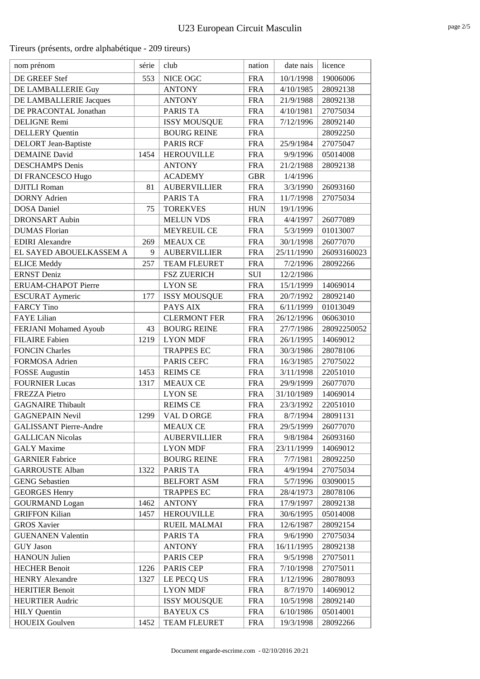| nom prénom                    | série | club                | nation     | date nais  | licence     |
|-------------------------------|-------|---------------------|------------|------------|-------------|
| DE GREEF Stef                 | 553   | NICE OGC            | <b>FRA</b> | 10/1/1998  | 19006006    |
| DE LAMBALLERIE Guy            |       | <b>ANTONY</b>       | <b>FRA</b> | 4/10/1985  | 28092138    |
| DE LAMBALLERIE Jacques        |       | <b>ANTONY</b>       | <b>FRA</b> | 21/9/1988  | 28092138    |
| DE PRACONTAL Jonathan         |       | <b>PARIS TA</b>     | <b>FRA</b> | 4/10/1981  | 27075034    |
| <b>DELIGNE Remi</b>           |       | <b>ISSY MOUSQUE</b> | <b>FRA</b> | 7/12/1996  | 28092140    |
| <b>DELLERY</b> Quentin        |       | <b>BOURG REINE</b>  | <b>FRA</b> |            | 28092250    |
| <b>DELORT</b> Jean-Baptiste   |       | <b>PARIS RCF</b>    | <b>FRA</b> | 25/9/1984  | 27075047    |
| <b>DEMAINE</b> David          | 1454  | <b>HEROUVILLE</b>   | <b>FRA</b> | 9/9/1996   | 05014008    |
| <b>DESCHAMPS</b> Denis        |       | <b>ANTONY</b>       | <b>FRA</b> | 21/2/1988  | 28092138    |
| DI FRANCESCO Hugo             |       | <b>ACADEMY</b>      | <b>GBR</b> | 1/4/1996   |             |
| <b>DJITLI</b> Roman           | 81    | <b>AUBERVILLIER</b> | <b>FRA</b> | 3/3/1990   | 26093160    |
| <b>DORNY</b> Adrien           |       | PARIS TA            | <b>FRA</b> | 11/7/1998  | 27075034    |
| <b>DOSA</b> Daniel            | 75    | <b>TOREKVES</b>     | <b>HUN</b> | 19/1/1996  |             |
| <b>DRONSART</b> Aubin         |       | <b>MELUN VDS</b>    | <b>FRA</b> | 4/4/1997   | 26077089    |
| <b>DUMAS</b> Florian          |       | <b>MEYREUIL CE</b>  | <b>FRA</b> | 5/3/1999   | 01013007    |
| <b>EDIRI</b> Alexandre        | 269   | <b>MEAUX CE</b>     | <b>FRA</b> | 30/1/1998  | 26077070    |
| EL SAYED ABOUELKASSEM A       | 9     | <b>AUBERVILLIER</b> | <b>FRA</b> | 25/11/1990 | 26093160023 |
| <b>ELICE</b> Meddy            | 257   | <b>TEAM FLEURET</b> | <b>FRA</b> | 7/2/1996   | 28092266    |
| <b>ERNST</b> Deniz            |       | <b>FSZ ZUERICH</b>  | SUI        | 12/2/1986  |             |
| ERUAM-CHAPOT Pierre           |       | <b>LYON SE</b>      | <b>FRA</b> | 15/1/1999  | 14069014    |
| <b>ESCURAT Aymeric</b>        | 177   | <b>ISSY MOUSQUE</b> | <b>FRA</b> | 20/7/1992  | 28092140    |
| <b>FARCY Tino</b>             |       | PAYS AIX            | <b>FRA</b> | 6/11/1999  | 01013049    |
| <b>FAYE</b> Lilian            |       | <b>CLERMONT FER</b> | <b>FRA</b> | 26/12/1996 | 06063010    |
| FERJANI Mohamed Ayoub         | 43    | <b>BOURG REINE</b>  | <b>FRA</b> | 27/7/1986  | 28092250052 |
| <b>FILAIRE</b> Fabien         | 1219  | <b>LYON MDF</b>     | <b>FRA</b> | 26/1/1995  | 14069012    |
| <b>FONCIN Charles</b>         |       | <b>TRAPPES EC</b>   | <b>FRA</b> | 30/3/1986  | 28078106    |
| FORMOSA Adrien                |       | PARIS CEFC          | <b>FRA</b> | 16/3/1985  | 27075022    |
| <b>FOSSE</b> Augustin         | 1453  | <b>REIMS CE</b>     | <b>FRA</b> | 3/11/1998  | 22051010    |
| <b>FOURNIER Lucas</b>         | 1317  | <b>MEAUX CE</b>     | <b>FRA</b> | 29/9/1999  | 26077070    |
| <b>FREZZA Pietro</b>          |       | <b>LYON SE</b>      | <b>FRA</b> | 31/10/1989 | 14069014    |
| <b>GAGNAIRE Thibault</b>      |       | <b>REIMS CE</b>     | <b>FRA</b> | 23/3/1992  | 22051010    |
| <b>GAGNEPAIN Nevil</b>        | 1299  | <b>VAL D ORGE</b>   | <b>FRA</b> | 8/7/1994   | 28091131    |
| <b>GALISSANT Pierre-Andre</b> |       | <b>MEAUX CE</b>     | <b>FRA</b> | 29/5/1999  | 26077070    |
| <b>GALLICAN Nicolas</b>       |       | <b>AUBERVILLIER</b> | <b>FRA</b> | 9/8/1984   | 26093160    |
| <b>GALY</b> Maxime            |       | <b>LYON MDF</b>     | <b>FRA</b> | 23/11/1999 | 14069012    |
| <b>GARNIER Fabrice</b>        |       | <b>BOURG REINE</b>  | <b>FRA</b> | 7/7/1981   | 28092250    |
| <b>GARROUSTE Alban</b>        | 1322  | PARIS TA            | <b>FRA</b> | 4/9/1994   | 27075034    |
| <b>GENG Sebastien</b>         |       | <b>BELFORT ASM</b>  | <b>FRA</b> | 5/7/1996   | 03090015    |
| <b>GEORGES Henry</b>          |       | <b>TRAPPES EC</b>   | <b>FRA</b> | 28/4/1973  | 28078106    |
| <b>GOURMAND</b> Logan         | 1462  | <b>ANTONY</b>       | <b>FRA</b> | 17/9/1997  | 28092138    |
| <b>GRIFFON Kilian</b>         | 1457  | <b>HEROUVILLE</b>   | <b>FRA</b> | 30/6/1995  | 05014008    |
| <b>GROS Xavier</b>            |       | <b>RUEIL MALMAI</b> | <b>FRA</b> | 12/6/1987  | 28092154    |
| <b>GUENANEN Valentin</b>      |       | PARIS TA            | <b>FRA</b> | 9/6/1990   | 27075034    |
| <b>GUY</b> Jason              |       | <b>ANTONY</b>       | <b>FRA</b> | 16/11/1995 | 28092138    |
| <b>HANOUN Julien</b>          |       | PARIS CEP           | <b>FRA</b> | 9/5/1998   | 27075011    |
| <b>HECHER Benoit</b>          | 1226  | <b>PARIS CEP</b>    | <b>FRA</b> | 7/10/1998  | 27075011    |
| <b>HENRY Alexandre</b>        | 1327  | LE PECQ US          | <b>FRA</b> | 1/12/1996  | 28078093    |
| <b>HERITIER Benoit</b>        |       | <b>LYON MDF</b>     | <b>FRA</b> | 8/7/1970   | 14069012    |
| <b>HEURTIER Audric</b>        |       | <b>ISSY MOUSQUE</b> | <b>FRA</b> | 10/5/1998  | 28092140    |
| <b>HILY</b> Quentin           |       | <b>BAYEUX CS</b>    | <b>FRA</b> | 6/10/1986  | 05014001    |
| <b>HOUEIX Goulven</b>         | 1452  | <b>TEAM FLEURET</b> | <b>FRA</b> | 19/3/1998  | 28092266    |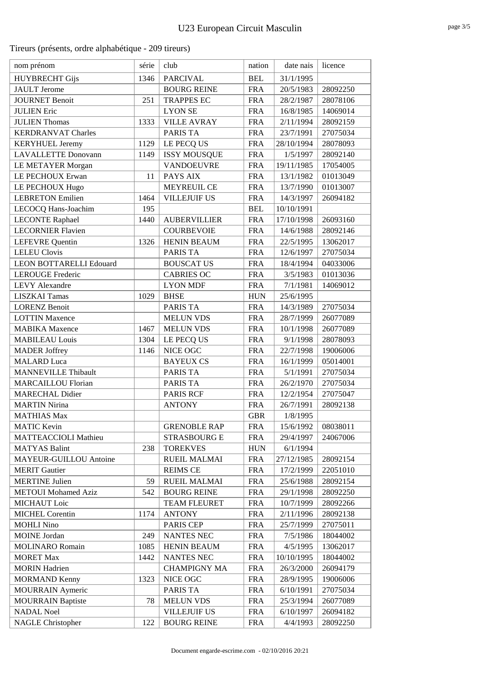| nom prénom                     | série | club                | nation     | date nais  | licence  |
|--------------------------------|-------|---------------------|------------|------------|----------|
| <b>HUYBRECHT Gijs</b>          | 1346  | <b>PARCIVAL</b>     | <b>BEL</b> | 31/1/1995  |          |
| <b>JAULT</b> Jerome            |       | <b>BOURG REINE</b>  | <b>FRA</b> | 20/5/1983  | 28092250 |
| <b>JOURNET Benoit</b>          | 251   | <b>TRAPPES EC</b>   | <b>FRA</b> | 28/2/1987  | 28078106 |
| <b>JULIEN Eric</b>             |       | <b>LYON SE</b>      | <b>FRA</b> | 16/8/1985  | 14069014 |
| <b>JULIEN Thomas</b>           | 1333  | <b>VILLE AVRAY</b>  | <b>FRA</b> | 2/11/1994  | 28092159 |
| <b>KERDRANVAT Charles</b>      |       | <b>PARIS TA</b>     | <b>FRA</b> | 23/7/1991  | 27075034 |
| <b>KERYHUEL Jeremy</b>         | 1129  | LE PECQ US          | <b>FRA</b> | 28/10/1994 | 28078093 |
| <b>LAVALLETTE Donovann</b>     | 1149  | <b>ISSY MOUSQUE</b> | <b>FRA</b> | 1/5/1997   | 28092140 |
| <b>LE METAYER Morgan</b>       |       | <b>VANDOEUVRE</b>   | <b>FRA</b> | 19/11/1985 | 17054005 |
| LE PECHOUX Erwan               | 11    | PAYS AIX            | <b>FRA</b> | 13/1/1982  | 01013049 |
| LE PECHOUX Hugo                |       | MEYREUIL CE         | <b>FRA</b> | 13/7/1990  | 01013007 |
| <b>LEBRETON Emilien</b>        | 1464  | <b>VILLEJUIF US</b> | <b>FRA</b> | 14/3/1997  | 26094182 |
| LECOCQ Hans-Joachim            | 195   |                     | <b>BEL</b> | 10/10/1991 |          |
| <b>LECONTE Raphael</b>         | 1440  | <b>AUBERVILLIER</b> | <b>FRA</b> | 17/10/1998 | 26093160 |
| <b>LECORNIER Flavien</b>       |       | <b>COURBEVOIE</b>   | <b>FRA</b> | 14/6/1988  | 28092146 |
| <b>LEFEVRE</b> Quentin         | 1326  | <b>HENIN BEAUM</b>  | <b>FRA</b> | 22/5/1995  | 13062017 |
| <b>LELEU Clovis</b>            |       | PARIS TA            | <b>FRA</b> | 12/6/1997  | 27075034 |
| <b>LEON BOTTARELLI Edouard</b> |       | <b>BOUSCAT US</b>   | <b>FRA</b> | 18/4/1994  | 04033006 |
| <b>LEROUGE Frederic</b>        |       | <b>CABRIES OC</b>   | <b>FRA</b> | 3/5/1983   | 01013036 |
| <b>LEVY</b> Alexandre          |       | <b>LYON MDF</b>     | <b>FRA</b> | 7/1/1981   | 14069012 |
| <b>LISZKAI Tamas</b>           | 1029  | <b>BHSE</b>         | <b>HUN</b> | 25/6/1995  |          |
| <b>LORENZ Benoit</b>           |       | PARIS TA            | <b>FRA</b> | 14/3/1989  | 27075034 |
| <b>LOTTIN Maxence</b>          |       | <b>MELUN VDS</b>    | <b>FRA</b> | 28/7/1999  | 26077089 |
| <b>MABIKA</b> Maxence          | 1467  | <b>MELUN VDS</b>    | <b>FRA</b> | 10/1/1998  | 26077089 |
| <b>MABILEAU Louis</b>          | 1304  | LE PECQ US          | <b>FRA</b> | 9/1/1998   | 28078093 |
| <b>MADER Joffrey</b>           | 1146  | NICE OGC            | <b>FRA</b> | 22/7/1998  | 19006006 |
| <b>MALARD</b> Luca             |       | <b>BAYEUX CS</b>    | <b>FRA</b> | 16/1/1999  | 05014001 |
| <b>MANNEVILLE Thibault</b>     |       | <b>PARIS TA</b>     | <b>FRA</b> | 5/1/1991   | 27075034 |
| <b>MARCAILLOU Florian</b>      |       | <b>PARIS TA</b>     | <b>FRA</b> | 26/2/1970  | 27075034 |
| <b>MARECHAL Didier</b>         |       | <b>PARIS RCF</b>    | <b>FRA</b> | 12/2/1954  | 27075047 |
| <b>MARTIN Nirina</b>           |       | <b>ANTONY</b>       | <b>FRA</b> | 26/7/1991  | 28092138 |
| <b>MATHIAS Max</b>             |       |                     | <b>GBR</b> | 1/8/1995   |          |
| <b>MATIC Kevin</b>             |       | <b>GRENOBLE RAP</b> | <b>FRA</b> | 15/6/1992  | 08038011 |
| MATTEACCIOLI Mathieu           |       | <b>STRASBOURG E</b> | <b>FRA</b> | 29/4/1997  | 24067006 |
| <b>MATYAS Balint</b>           | 238   | <b>TOREKVES</b>     | <b>HUN</b> | 6/1/1994   |          |
| <b>MAYEUR-GUILLOU Antoine</b>  |       | <b>RUEIL MALMAI</b> | <b>FRA</b> | 27/12/1985 | 28092154 |
| <b>MERIT Gautier</b>           |       | <b>REIMS CE</b>     | <b>FRA</b> | 17/2/1999  | 22051010 |
| <b>MERTINE Julien</b>          | 59    | <b>RUEIL MALMAI</b> | <b>FRA</b> | 25/6/1988  | 28092154 |
| <b>METOUI</b> Mohamed Aziz     | 542   | <b>BOURG REINE</b>  | <b>FRA</b> | 29/1/1998  | 28092250 |
| <b>MICHAUT</b> Loic            |       | <b>TEAM FLEURET</b> | <b>FRA</b> | 10/7/1999  | 28092266 |
| <b>MICHEL Corentin</b>         | 1174  | <b>ANTONY</b>       | <b>FRA</b> | 2/11/1996  | 28092138 |
| <b>MOHLI Nino</b>              |       | <b>PARIS CEP</b>    | <b>FRA</b> | 25/7/1999  | 27075011 |
| <b>MOINE</b> Jordan            | 249   | NANTES NEC          | <b>FRA</b> | 7/5/1986   | 18044002 |
| <b>MOLINARO Romain</b>         | 1085  | <b>HENIN BEAUM</b>  | <b>FRA</b> | 4/5/1995   | 13062017 |
| <b>MORET Max</b>               | 1442  | NANTES NEC          | <b>FRA</b> | 10/10/1995 | 18044002 |
| <b>MORIN</b> Hadrien           |       | <b>CHAMPIGNY MA</b> | <b>FRA</b> | 26/3/2000  | 26094179 |
| <b>MORMAND Kenny</b>           | 1323  | NICE OGC            | <b>FRA</b> | 28/9/1995  | 19006006 |
| <b>MOURRAIN Aymeric</b>        |       | PARIS TA            | <b>FRA</b> | 6/10/1991  | 27075034 |
| <b>MOURRAIN Baptiste</b>       | 78    | <b>MELUN VDS</b>    | <b>FRA</b> | 25/3/1994  | 26077089 |
| <b>NADAL Noel</b>              |       | <b>VILLEJUIF US</b> | <b>FRA</b> | 6/10/1997  | 26094182 |
| <b>NAGLE Christopher</b>       | 122   | <b>BOURG REINE</b>  | <b>FRA</b> | 4/4/1993   | 28092250 |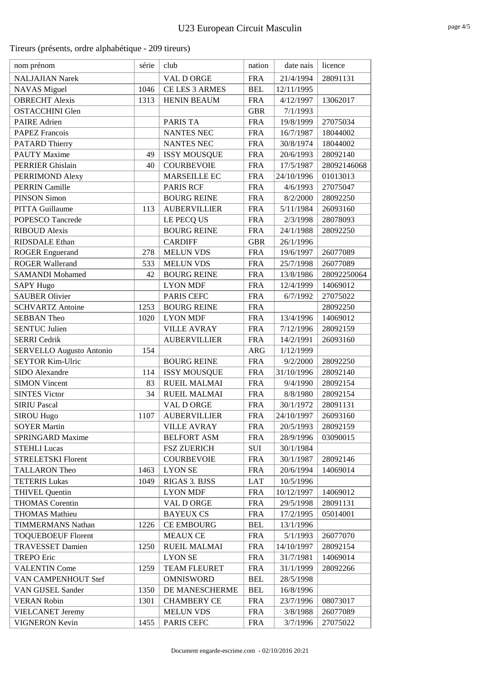| nom prénom                      | série | club                | nation     | date nais  | licence     |
|---------------------------------|-------|---------------------|------------|------------|-------------|
| <b>NALJAJIAN Narek</b>          |       | VAL D ORGE          | <b>FRA</b> | 21/4/1994  | 28091131    |
| <b>NAVAS</b> Miguel             | 1046  | CE LES 3 ARMES      | <b>BEL</b> | 12/11/1995 |             |
| <b>OBRECHT</b> Alexis           | 1313  | <b>HENIN BEAUM</b>  | <b>FRA</b> | 4/12/1997  | 13062017    |
| <b>OSTACCHINI Glen</b>          |       |                     | <b>GBR</b> | 7/1/1993   |             |
| <b>PAIRE</b> Adrien             |       | PARIS TA            | <b>FRA</b> | 19/8/1999  | 27075034    |
| <b>PAPEZ Francois</b>           |       | <b>NANTES NEC</b>   | <b>FRA</b> | 16/7/1987  | 18044002    |
| <b>PATARD Thierry</b>           |       | NANTES NEC          | <b>FRA</b> | 30/8/1974  | 18044002    |
| <b>PAUTY Maxime</b>             | 49    | <b>ISSY MOUSQUE</b> | <b>FRA</b> | 20/6/1993  | 28092140    |
| <b>PERRIER Ghislain</b>         | 40    | <b>COURBEVOIE</b>   | <b>FRA</b> | 17/5/1987  | 28092146068 |
| PERRIMOND Alexy                 |       | <b>MARSEILLE EC</b> | <b>FRA</b> | 24/10/1996 | 01013013    |
| <b>PERRIN Camille</b>           |       | <b>PARIS RCF</b>    | <b>FRA</b> | 4/6/1993   | 27075047    |
| <b>PINSON Simon</b>             |       | <b>BOURG REINE</b>  | <b>FRA</b> | 8/2/2000   | 28092250    |
| PITTA Guillaume                 | 113   | <b>AUBERVILLIER</b> | <b>FRA</b> | 5/11/1984  | 26093160    |
| POPESCO Tancrede                |       | LE PECQ US          | <b>FRA</b> | 2/3/1998   | 28078093    |
| <b>RIBOUD Alexis</b>            |       | <b>BOURG REINE</b>  | <b>FRA</b> | 24/1/1988  | 28092250    |
| <b>RIDSDALE</b> Ethan           |       | <b>CARDIFF</b>      | <b>GBR</b> | 26/1/1996  |             |
| <b>ROGER Enguerand</b>          | 278   | <b>MELUN VDS</b>    | <b>FRA</b> | 19/6/1997  | 26077089    |
| <b>ROGER Wallerand</b>          | 533   | <b>MELUN VDS</b>    | <b>FRA</b> | 25/7/1998  | 26077089    |
| <b>SAMANDI Mohamed</b>          | 42    | <b>BOURG REINE</b>  | <b>FRA</b> | 13/8/1986  | 28092250064 |
| <b>SAPY Hugo</b>                |       | <b>LYON MDF</b>     | <b>FRA</b> | 12/4/1999  | 14069012    |
| <b>SAUBER Olivier</b>           |       | PARIS CEFC          | <b>FRA</b> | 6/7/1992   | 27075022    |
| <b>SCHVARTZ Antoine</b>         | 1253  | <b>BOURG REINE</b>  | <b>FRA</b> |            | 28092250    |
| <b>SEBBAN Theo</b>              | 1020  | <b>LYON MDF</b>     | <b>FRA</b> | 13/4/1996  | 14069012    |
| <b>SENTUC Julien</b>            |       | <b>VILLE AVRAY</b>  | <b>FRA</b> | 7/12/1996  | 28092159    |
| <b>SERRI</b> Cedrik             |       | <b>AUBERVILLIER</b> | <b>FRA</b> | 14/2/1991  | 26093160    |
| <b>SERVELLO Augusto Antonio</b> | 154   |                     | <b>ARG</b> | 1/12/1999  |             |
| <b>SEYTOR Kim-Ulric</b>         |       | <b>BOURG REINE</b>  | <b>FRA</b> | 9/2/2000   | 28092250    |
| SIDO Alexandre                  | 114   | <b>ISSY MOUSQUE</b> | <b>FRA</b> | 31/10/1996 | 28092140    |
| <b>SIMON Vincent</b>            | 83    | <b>RUEIL MALMAI</b> | <b>FRA</b> | 9/4/1990   | 28092154    |
| <b>SINTES Victor</b>            | 34    | <b>RUEIL MALMAI</b> | <b>FRA</b> | 8/8/1980   | 28092154    |
| <b>SIRIU Pascal</b>             |       | VAL D ORGE          | <b>FRA</b> | 30/1/1972  | 28091131    |
| <b>SIROU Hugo</b>               | 1107  | <b>AUBERVILLIER</b> | <b>FRA</b> | 24/10/1997 | 26093160    |
| <b>SOYER Martin</b>             |       | <b>VILLE AVRAY</b>  | <b>FRA</b> | 20/5/1993  | 28092159    |
| SPRINGARD Maxime                |       | <b>BELFORT ASM</b>  | <b>FRA</b> | 28/9/1996  | 03090015    |
| <b>STEHLI Lucas</b>             |       | <b>FSZ ZUERICH</b>  | SUI        | 30/1/1984  |             |
| <b>STRELETSKI Florent</b>       |       | <b>COURBEVOIE</b>   | <b>FRA</b> | 30/1/1987  | 28092146    |
| <b>TALLARON Theo</b>            | 1463  | <b>LYON SE</b>      | <b>FRA</b> | 20/6/1994  | 14069014    |
| <b>TETERIS Lukas</b>            | 1049  | RIGAS 3. BJSS       | LAT        | 10/5/1996  |             |
| <b>THIVEL Quentin</b>           |       | <b>LYON MDF</b>     | <b>FRA</b> | 10/12/1997 | 14069012    |
| <b>THOMAS</b> Corentin          |       | VAL D ORGE          | <b>FRA</b> | 29/5/1998  | 28091131    |
| <b>THOMAS Mathieu</b>           |       | <b>BAYEUX CS</b>    | <b>FRA</b> | 17/2/1995  | 05014001    |
| <b>TIMMERMANS Nathan</b>        | 1226  | <b>CE EMBOURG</b>   | BEL        | 13/1/1996  |             |
| <b>TOQUEBOEUF Florent</b>       |       | <b>MEAUX CE</b>     | <b>FRA</b> | 5/1/1993   | 26077070    |
| <b>TRAVESSET Damien</b>         | 1250  | <b>RUEIL MALMAI</b> | <b>FRA</b> | 14/10/1997 | 28092154    |
| <b>TREPO Eric</b>               |       | <b>LYON SE</b>      | <b>FRA</b> | 31/7/1981  | 14069014    |
| <b>VALENTIN Come</b>            | 1259  | <b>TEAM FLEURET</b> | <b>FRA</b> | 31/1/1999  | 28092266    |
| VAN CAMPENHOUT Stef             |       | <b>OMNISWORD</b>    | <b>BEL</b> | 28/5/1998  |             |
| VAN GIJSEL Sander               | 1350  | DE MANESCHERME      | BEL        | 16/8/1996  |             |
| <b>VERAN Robin</b>              | 1301  | <b>CHAMBERY CE</b>  | <b>FRA</b> | 23/7/1996  | 08073017    |
| <b>VIELCANET Jeremy</b>         |       | <b>MELUN VDS</b>    | <b>FRA</b> | 3/8/1988   | 26077089    |
| <b>VIGNERON Kevin</b>           | 1455  | PARIS CEFC          | <b>FRA</b> | 3/7/1996   | 27075022    |

page 4/5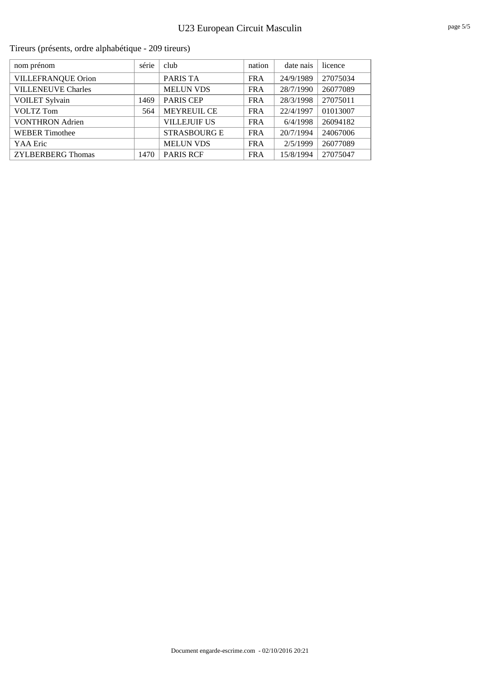| nom prénom                | série | club                | nation     | date nais | licence  |
|---------------------------|-------|---------------------|------------|-----------|----------|
| <b>VILLEFRANQUE Orion</b> |       | PARIS TA            | <b>FRA</b> | 24/9/1989 | 27075034 |
| <b>VILLENEUVE Charles</b> |       | <b>MELUN VDS</b>    | <b>FRA</b> | 28/7/1990 | 26077089 |
| <b>VOILET Sylvain</b>     | 1469  | <b>PARIS CEP</b>    | <b>FRA</b> | 28/3/1998 | 27075011 |
| VOLTZ Tom                 | 564   | MEYREUIL CE         | <b>FRA</b> | 22/4/1997 | 01013007 |
| <b>VONTHRON Adrien</b>    |       | <b>VILLEJUIF US</b> | <b>FRA</b> | 6/4/1998  | 26094182 |
| <b>WEBER Timothee</b>     |       | <b>STRASBOURG E</b> | <b>FRA</b> | 20/7/1994 | 24067006 |
| YAA Eric                  |       | <b>MELUN VDS</b>    | <b>FRA</b> | 2/5/1999  | 26077089 |
| <b>ZYLBERBERG Thomas</b>  | 1470  | <b>PARIS RCF</b>    | <b>FRA</b> | 15/8/1994 | 27075047 |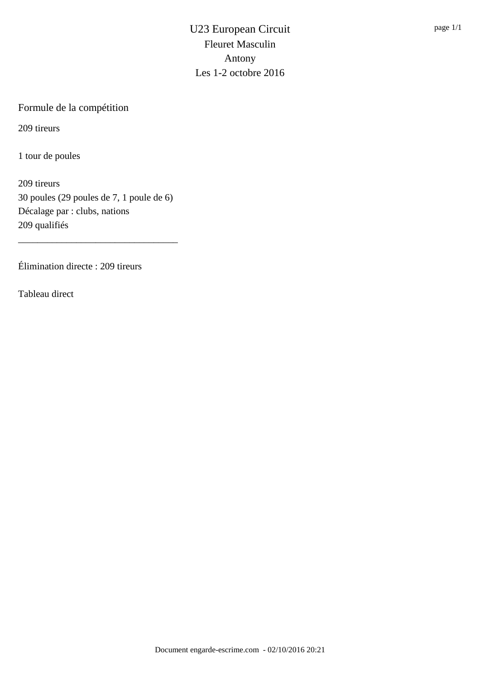Formule de la compétition

209 tireurs

1 tour de poules

209 tireurs 30 poules (29 poules de 7, 1 poule de 6) Décalage par : clubs, nations 209 qualifiés

\_\_\_\_\_\_\_\_\_\_\_\_\_\_\_\_\_\_\_\_\_\_\_\_\_\_\_\_\_\_\_\_\_

Élimination directe : 209 tireurs

Tableau direct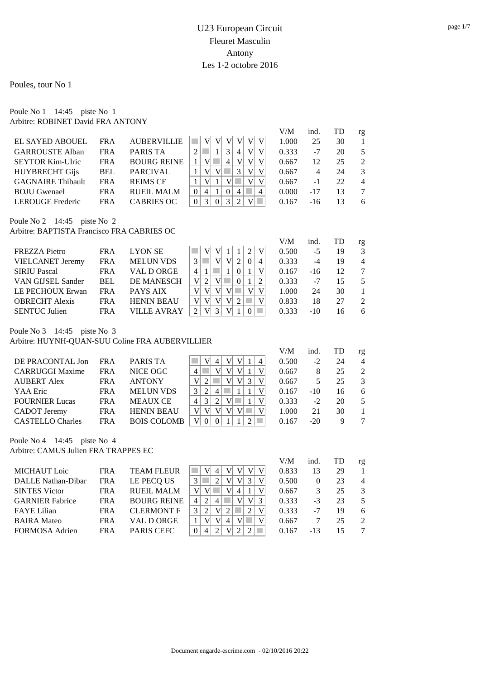### U23 European Circuit Fleuret Masculin Antony Les 1-2 octobre 2016

V/M ind. TD rg

Poules, tour No 1

Poule No 1 14:45 piste No 1 Arbitre: ROBINET David FRA ANTONY

| EL SAYED ABOUEL                                                             | <b>FRA</b> | <b>AUBERVILLIE</b> | V<br>V<br>V<br>V<br>V<br>V                             | 1.000 | 25             | 30 | 1               |
|-----------------------------------------------------------------------------|------------|--------------------|--------------------------------------------------------|-------|----------------|----|-----------------|
| <b>GARROUSTE Alban</b>                                                      | <b>FRA</b> | PARIS TA           | $\overline{2}$<br>3<br>V<br>V<br>4                     | 0.333 | $-7$           | 20 | 5               |
| <b>SEYTOR Kim-Ulric</b>                                                     | <b>FRA</b> | <b>BOURG REINE</b> | V<br>V<br>V<br>$\mathbf{1}$<br>V<br>4                  | 0.667 | 12             | 25 | 2               |
| <b>HUYBRECHT Gijs</b>                                                       | <b>BEL</b> | <b>PARCIVAL</b>    | 3<br>V<br>V<br>V<br>1<br>V                             | 0.667 | $\overline{4}$ | 24 | 3               |
| <b>GAGNAIRE Thibault</b>                                                    | <b>FRA</b> | <b>REIMS CE</b>    | V<br>V<br>V<br>V                                       | 0.667 | $-1$           | 22 | $\overline{4}$  |
| <b>BOJU</b> Gwenael                                                         | <b>FRA</b> | <b>RUEIL MALM</b>  | $\overline{0}$<br>$\overline{4}$<br>$\theta$<br>4<br>4 | 0.000 | $-17$          | 13 | $7\phantom{.0}$ |
| <b>LEROUGE</b> Frederic                                                     | <b>FRA</b> | <b>CABRIES OC</b>  | 3<br>3<br>$\overline{0}$<br>$\Omega$<br>2<br>V         | 0.167 | $-16$          | 13 | 6               |
| Poule No 2 $14:45$ piste No 2<br>Arbitre: BAPTISTA Francisco FRA CABRIES OC |            |                    |                                                        | V/M   | ind.           | TD |                 |
| <b>FREZZA Pietro</b>                                                        | <b>FRA</b> | <b>LYON SE</b>     | $\overline{2}$<br>V<br>V                               | 0.500 | $-5$           | 19 | rg<br>3         |
| <b>VIELCANET Jeremy</b>                                                     | <b>FRA</b> | <b>MELUN VDS</b>   | 3<br>V<br>V <sub>1</sub><br>2<br>$\theta$<br>4         | 0.333 | $-4$           | 19 | $\overline{4}$  |
| <b>SIRIU Pascal</b>                                                         | <b>FRA</b> | VAL D ORGE         | $\overline{4}$<br>V<br>1<br>$\Omega$                   | 0.167 | $-16$          | 12 | $7\phantom{.0}$ |
| VAN GIJSEL Sander                                                           | <b>BEL</b> | DE MANESCH         | V<br>$\overline{2}$<br>$\overline{2}$<br>V<br>$\Omega$ | 0.333 | $-7$           | 15 | 5               |
| LE PECHOUX Erwan                                                            | <b>FRA</b> | PAYS AIX           | V<br>V<br>V<br>V<br>V <sub>1</sub><br>V                | 1.000 | 24             | 30 | 1               |
| <b>OBRECHT Alexis</b>                                                       | <b>FRA</b> | <b>HENIN BEAU</b>  | V<br>V<br>V<br>V<br>V <sub>1</sub><br>2                | 0.833 | 18             | 27 | 2               |
|                                                                             |            |                    |                                                        |       |                |    |                 |

Poule No 3 14:45 piste No 3

Arbitre: HUYNH-QUAN-SUU Coline FRA AUBERVILLIER

|            |                    |                    | V/M   | ind.   | TD | rg             |
|------------|--------------------|--------------------|-------|--------|----|----------------|
| <b>FRA</b> | PARIS TA           | 4<br>V<br>V<br>4   | 0.500 | $-2$   | 24 | $\overline{4}$ |
| FR A       | NICE OGC           | v                  | 0.667 | 8      | 25 | $\mathcal{L}$  |
| FRA        | <b>ANTONY</b>      | V<br>V             | 0.667 | $\sim$ | 25 | $\mathcal{E}$  |
| <b>FRA</b> | <b>MELUN VDS</b>   | 4                  | 0.167 | $-10$  | 16 | 6              |
| <b>FRA</b> | <b>MEAUX CE</b>    | $\mathcal{B}$<br>4 | 0.333 | $-2$   | 20 | 5              |
| <b>FRA</b> | <b>HENIN BEAU</b>  | V<br>V             | 1.000 | 21     | 30 |                |
| FRA        | <b>BOIS COLOMB</b> |                    | 0.167 | $-20$  | 9  |                |
|            |                    |                    |       |        |    |                |

SENTUC Julien FRA VILLE AVRAY 2 V 3 V 1 0 0.333 -10 16 6

Poule No 4 14:45 piste No 4 Arbitre: CAMUS Julien FRA TRAPPES EC

|            |                    |              |   |                  |   |   | V/M   | ind.     | TD | rg             |
|------------|--------------------|--------------|---|------------------|---|---|-------|----------|----|----------------|
| <b>FRA</b> | <b>TEAM FLEUR</b>  |              |   |                  | V |   | 0.833 | 13       | 29 |                |
| <b>FRA</b> | LE PECQ US         |              |   |                  |   |   | 0.500 | $\Omega$ | 23 | $\overline{4}$ |
| <b>FRA</b> | <b>RUEIL MALM</b>  | $\mathbf{V}$ |   | $\overline{4}$   |   |   | 0.667 | 3        | 25 | $\mathcal{R}$  |
| <b>FRA</b> | <b>BOURG REINE</b> | 4            |   |                  |   | 3 | 0.333 | $-3$     | 23 | .5             |
| FR A       | <b>CLERMONT F</b>  |              |   |                  |   | V | 0.333 | $-7$     | 19 | 6              |
| <b>FRA</b> | VAL D ORGE         |              | 4 |                  |   |   | 0.667 |          | 25 | $\mathcal{L}$  |
| FR A       | <b>PARIS CEFC</b>  |              |   |                  |   |   | 0.167 | $-13$    | 15 |                |
|            |                    |              |   | 4<br>4<br>V<br>V |   |   | V     |          |    |                |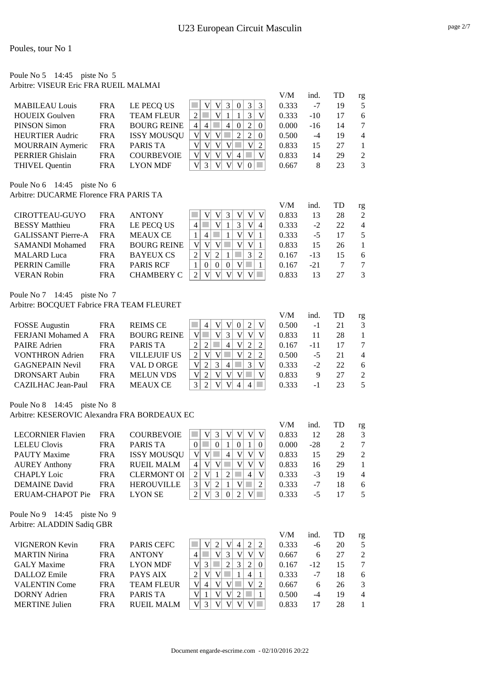### Poule No 5 14:45 piste No 5 Arbitre: VISEUR Eric FRA RUEIL MALMAI

|                         |            |                    |                                           | V/M   | ind.  | TD | rg             |
|-------------------------|------------|--------------------|-------------------------------------------|-------|-------|----|----------------|
| <b>MABILEAU Louis</b>   | <b>FRA</b> | LE PECQ US         | 3<br>3                                    | 0.333 | $-7$  | 19 | 5              |
| <b>HOUEIX Goulven</b>   | <b>FRA</b> | <b>TEAM FLEUR</b>  | 3                                         | 0.333 | $-10$ | 17 | 6              |
| PINSON Simon            | <b>FRA</b> | <b>BOURG REINE</b> | 2<br>$\theta$<br>$\overline{4}$<br>4<br>4 | 0.000 | $-16$ | 14 | 7              |
| <b>HEURTIER Audric</b>  | <b>FRA</b> | <b>ISSY MOUSQU</b> | V<br>2<br>$\Omega$                        | 0.500 | -4    | 19 | $\overline{4}$ |
| <b>MOURRAIN</b> Aymeric | <b>FRA</b> | PARIS TA           | V<br>2                                    | 0.833 | 15    | 27 |                |
| <b>PERRIER Ghislain</b> | <b>FRA</b> | <b>COURBEVOIE</b>  | V<br>4                                    | 0.833 | 14    | 29 | $\mathcal{L}$  |
| <b>THIVEL Ouentin</b>   | FR A       | <b>LYON MDF</b>    |                                           | 0.667 | 8     | 23 | 3              |
|                         |            |                    |                                           |       |       |    |                |

Poule No 6 14:45 piste No 6

Arbitre: DUCARME Florence FRA PARIS TA

|                           |            |                    |                      | V/M   | ind.  | TD  | rg             |
|---------------------------|------------|--------------------|----------------------|-------|-------|-----|----------------|
| CIROTTEAU-GUYO            | FR A       | <b>ANTONY</b>      |                      | 0.833 | 13    | 28  | 2              |
| <b>BESSY Matthieu</b>     | <b>FRA</b> | LE PECQ US         | $\overline{4}$       | 0.333 | $-2$  | 22. | $\overline{4}$ |
| <b>GALISSANT Pierre-A</b> | FR A       | <b>MEAUX CE</b>    | V <sub>1</sub>       | 0.333 | -5    | 17  | 5              |
| <b>SAMANDI Mohamed</b>    | <b>FRA</b> | <b>BOURG REINE</b> | V                    | 0.833 | 15    | 26  |                |
| <b>MALARD</b> Luca        | <b>FRA</b> | <b>BAYEUX CS</b>   | 3<br>V<br>2          | 0.167 | $-13$ | 15  | 6              |
| <b>PERRIN</b> Camille     | <b>FRA</b> | <b>PARIS RCF</b>   | $\Omega$<br>$\Omega$ | 0.167 | $-21$ |     |                |
| <b>VERAN Robin</b>        | FR A       | CHAMBERY C         |                      | 0.833 | 13    | 27  | 3              |

### Poule No 7 14:45 piste No 7

Arbitre: BOCQUET Fabrice FRA TEAM FLEURET

|                          |            |                     |                                          | V/M   | ind. | TD | rg            |
|--------------------------|------------|---------------------|------------------------------------------|-------|------|----|---------------|
| <b>FOSSE</b> Augustin    | <b>FRA</b> | <b>REIMS CE</b>     | 2                                        | 0.500 | -1   | 21 | 3             |
| <b>FERJANI Mohamed A</b> | FR A       | <b>BOURG REINE</b>  |                                          | 0.833 | 11   | 28 |               |
| <b>PAIRE</b> Adrien      | <b>FRA</b> | PARIS TA            | $\mathbf{V}$<br>2<br>$\overline{4}$<br>2 | 0.167 | -11  | 17 | 7             |
| <b>VONTHRON</b> Adrien   | <b>FRA</b> | <b>VILLEJUIF US</b> | V<br>2<br>2                              | 0.500 | $-5$ | 21 | 4             |
| <b>GAGNEPAIN Nevil</b>   | <b>FRA</b> | VAL D ORGE          | 3<br>V<br>3<br>$\mathfrak{D}$<br>4       | 0.333 | $-2$ | 22 | 6             |
| DRONSART Aubin           | <b>FRA</b> | <b>MELUN VDS</b>    |                                          | 0.833 | 9    | 27 | $\mathcal{L}$ |
| CAZILHAC Jean-Paul       | <b>FRA</b> | <b>MEAUX CE</b>     | 4                                        | 0.333 | -1   | 23 | $\sim$        |

### Poule No 8 14:45 piste No 8

Arbitre: KESEROVIC Alexandra FRA BORDEAUX EC

|                                                |            |                    |                                                        | V/M   | ind.  | TD | rg |
|------------------------------------------------|------------|--------------------|--------------------------------------------------------|-------|-------|----|----|
| <b>LECORNIER Flavien</b>                       | <b>FRA</b> | <b>COURBEVOIE</b>  | 3<br>V<br>$\mathbf{V}$<br>V<br>V                       | 0.833 | 12    | 28 | 3  |
| <b>LELEU</b> Clovis                            | <b>FRA</b> | PARIS TA           | $\Omega$<br>$\Omega$<br>$\Omega$<br>$\Omega$           | 0.000 | $-28$ | 2  | 7  |
| <b>PAUTY Maxime</b>                            | <b>FRA</b> | <b>ISSY MOUSQU</b> | V<br>V<br>V<br>V<br>4                                  | 0.833 | 15    | 29 | 2  |
| <b>AUREY Anthony</b>                           | <b>FRA</b> | <b>RUEIL MALM</b>  | V<br>V<br>V <sub>l</sub><br>4<br>V                     | 0.833 | 16    | 29 |    |
| <b>CHAPLY</b> Loic                             | <b>FRA</b> | <b>CLERMONT OI</b> | V<br>4<br>$\mathbf{V}$<br>2<br>$\mathcal{D}$           | 0.333 | $-3$  | 19 | 4  |
| <b>DEMAINE</b> David                           | <b>FRA</b> | <b>HEROUVILLE</b>  | 3<br>V<br>2<br>V<br>2                                  | 0.333 | $-7$  | 18 | 6  |
| ERUAM-CHAPOT Pie                               | <b>FRA</b> | <b>LYON SE</b>     | V<br>$\overline{2}$<br>3<br>$\overline{2}$<br>$\bf{V}$ | 0.333 | $-5$  | 17 | 5  |
| Poule No 9 14:45<br>Arbitre: ALADDIN Sadiq GBR | piste No 9 |                    |                                                        |       |       |    |    |
|                                                |            |                    |                                                        | V/M   | ind.  | TD | rg |

| VIGNERON Kevin       | <b>FRA</b> | <b>PARIS CEFC</b> |   |   |  |   |          | 0.333 | -6           | 20 |                |
|----------------------|------------|-------------------|---|---|--|---|----------|-------|--------------|----|----------------|
| <b>MARTIN Nirina</b> | <b>FRA</b> | <b>ANTONY</b>     |   |   |  |   |          | 0.667 | 6            |    |                |
| <b>GALY</b> Maxime   | FR A       | <b>LYON MDF</b>   |   |   |  |   | $\theta$ | 0.167 | $-12$        |    |                |
| DALLOZ Emile         | FR A       | PAYS AIX          |   |   |  | 4 |          | 0.333 | -7           |    | 6              |
| <b>VALENTIN Come</b> | FR A       | <b>TEAM FLEUR</b> | 4 | V |  |   |          | 0.667 | <sub>6</sub> | 26 |                |
| DORNY Adrien         | FR A       | PARIS TA          |   |   |  |   |          | 0.500 | -4           | 19 | $\overline{4}$ |
| MERTINE Inlien       | FR A       | RUEIL MALM        |   |   |  |   |          | 0.833 |              | 28 |                |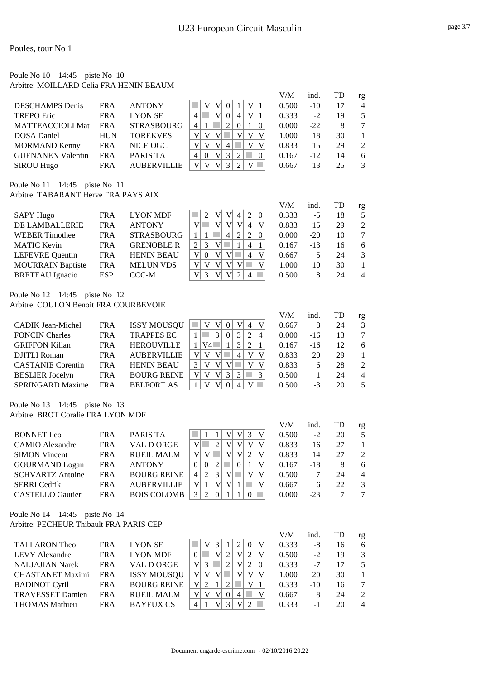### Poule No 10 14:45 piste No 10 Arbitre: MOILLARD Celia FRA HENIN BEAUM

|                          |            |                    |                                         | V/M   | ind.  | <b>TD</b> | rg                          |
|--------------------------|------------|--------------------|-----------------------------------------|-------|-------|-----------|-----------------------------|
| <b>DESCHAMPS</b> Denis   | <b>FRA</b> | <b>ANTONY</b>      | V                                       | 0.500 | $-10$ |           | $\overline{4}$              |
| <b>TREPO Eric</b>        | <b>FRA</b> | <b>LYON SE</b>     | $\mathbf{V}$<br>V<br>$\Omega$<br>4<br>4 | 0.333 | $-2$  | 19        | 5                           |
| <b>MATTEACCIOLI Mat</b>  | <b>FRA</b> | <b>STRASBOURG</b>  | $\Omega$<br>4                           | 0.000 | $-22$ | 8         |                             |
| <b>DOSA</b> Daniel       | <b>HUN</b> | <b>TOREKVES</b>    | V<br>V<br>V<br>V<br>V                   | 1.000 | 18    | 30        |                             |
| <b>MORMAND Kenny</b>     | <b>FRA</b> | NICE OGC           | V<br>V<br>$\mathbf{V}$<br>V<br>4        | 0.833 | 15    | 29        | $\mathcal{D}_{\mathcal{L}}$ |
| <b>GUENANEN Valentin</b> | <b>FRA</b> | <b>PARIS TA</b>    | V<br>3<br>$\Omega$<br>$\Omega$<br>4     | 0.167 | $-12$ | 14        | 6                           |
| <b>SIROU Hugo</b>        | <b>FRA</b> | <b>AUBERVILLIE</b> | V <sup>2</sup>                          | 0.667 | 13    | 25        | $\mathcal{R}$               |

Poule No 11 14:45 piste No 11

Arbitre: TABARANT Herve FRA PAYS AIX

|                          |            |                   |          |   |   |   |                             |              | V/M   | ind.  | TD | rg            |
|--------------------------|------------|-------------------|----------|---|---|---|-----------------------------|--------------|-------|-------|----|---------------|
| <b>SAPY Hugo</b>         | <b>FRA</b> | <b>LYON MDF</b>   | 2        |   |   | 4 | $\mathcal{D}_{\mathcal{L}}$ | $\Omega$     | 0.333 | $-5$  | 18 | 5             |
| DE LAMBALLERIE           | <b>FRA</b> | <b>ANTONY</b>     |          |   | V | V | 4                           | V            | 0.833 | 15    | 29 | $\mathcal{L}$ |
| <b>WEBER</b> Timothee    | <b>FRA</b> | <b>STRASBOURG</b> |          |   | 4 |   | 2                           | $\theta$     | 0.000 | $-20$ | 10 |               |
| <b>MATIC Kevin</b>       | <b>FRA</b> | <b>GRENOBLE R</b> | 3        |   |   |   | $\overline{4}$              |              | 0.167 | $-13$ | 16 | 6             |
| <b>LEFEVRE</b> Quentin   | <b>FRA</b> | <b>HENIN BEAU</b> | $\Omega$ | V |   |   | 4                           | $\mathbf{V}$ | 0.667 | 5     | 24 | 3             |
| <b>MOURRAIN Baptiste</b> | <b>FRA</b> | <b>MELUN VDS</b>  |          |   |   |   |                             |              | 1.000 | 10    | 30 |               |
| <b>BRETEAU</b> Ignacio   | <b>ESP</b> | CCC-M             | 3        |   |   |   | 4                           |              | 0.500 | 8     | 24 | 4             |

Poule No 12 14:45 piste No 12 Arbitre: COULON Benoit FRA COURBEVOIE

|                          |            |                    |                                   | V/M   | ind.  |    | rg             |
|--------------------------|------------|--------------------|-----------------------------------|-------|-------|----|----------------|
| <b>CADIK Jean-Michel</b> | <b>FRA</b> | <b>ISSY MOUSQU</b> | 4                                 | 0.667 | 8     | 24 | 3              |
| <b>FONCIN Charles</b>    | <b>FRA</b> | <b>TRAPPES EC</b>  | $\Omega$<br>$\mathcal{L}$<br>4    | 0.000 | $-16$ | 13 |                |
| <b>GRIFFON Kilian</b>    | <b>FRA</b> | <b>HEROUVILLE</b>  | V4<br>$\mathcal{D}_{\mathcal{L}}$ | 0.167 | $-16$ | 12 | 6              |
| DJITLI Roman             | FR A       | <b>AUBERVILLIE</b> | V<br>4                            | 0.833 | 20    | 29 |                |
| <b>CASTANIE Corentin</b> | FR A       | <b>HENIN BEAU</b>  |                                   | 0.833 | 6     | 28 | $\mathcal{L}$  |
| <b>BESLIER</b> Jocelyn   | <b>FRA</b> | <b>BOURG REINE</b> | 3<br>3                            | 0.500 |       | 24 | $\overline{4}$ |
| <b>SPRINGARD Maxime</b>  | <b>FRA</b> | <b>BELFORT AS</b>  |                                   | 0.500 | -3    | 20 | 5              |

Poule No 13 14:45 piste No 13 Arbitre: BROT Coralie FRA LYON MDF

|                         |            |                    |                                         | V/M   | ind.  | TD | rg             |
|-------------------------|------------|--------------------|-----------------------------------------|-------|-------|----|----------------|
| <b>BONNET</b> Leo       | FR A       | PARIS TA           | V<br>3                                  | 0.500 | $-2$  | 20 | 5              |
| <b>CAMIO</b> Alexandre  | <b>FRA</b> | VAL D ORGE         | V<br>$\mathcal{L}$                      | 0.833 | 16    | 27 |                |
| <b>SIMON Vincent</b>    | <b>FRA</b> | <b>RUEIL MALM</b>  | V<br>V<br>v<br>V<br>2                   | 0.833 | 14    | 27 | $\mathcal{L}$  |
| <b>GOURMAND</b> Logan   | <b>FRA</b> | <b>ANTONY</b>      | $\Omega$<br>$\mathcal{D}_{\mathcal{L}}$ | 0.167 | $-18$ | 8  | 6              |
| <b>SCHVARTZ Antoine</b> | <b>FRA</b> | <b>BOURG REINE</b> | 2<br>$\mathcal{R}$<br>4'                | 0.500 |       | 24 | $\overline{4}$ |
| <b>SERRI</b> Cedrik     | <b>FRA</b> | <b>AUBERVILLIE</b> | V                                       | 0.667 | 6     | 22 | 3              |
| <b>CASTELLO</b> Gautier | <b>FRA</b> | <b>BOIS COLOMB</b> | $\mathfrak{D}$ .                        | 0.000 | $-23$ |    |                |

Poule No 14 14:45 piste No 14 Arbitre: PECHEUR Thibault FRA PARIS CEP

|                         |            |                    |                                     | V/M   | ind.  | TD | rg             |
|-------------------------|------------|--------------------|-------------------------------------|-------|-------|----|----------------|
| <b>TALLARON Theo</b>    | FR A       | <b>LYON SE</b>     | V<br>$\Omega$<br>3<br>$\mathcal{L}$ | 0.333 | -8    | 16 | 6              |
| LEVY Alexandre          | FR A       | <b>LYON MDF</b>    | V<br>2<br>$\overline{2}$            | 0.500 | $-2$  | 19 | $\mathcal{F}$  |
| <b>NALJAJIAN Narek</b>  | <b>FRA</b> | VAL D ORGE         | V<br>2<br>$\Omega$                  | 0.333 | $-7$  |    | 5              |
| <b>CHASTANET Maximi</b> | <b>FRA</b> | <b>ISSY MOUSQU</b> | V<br>V<br>V<br>V                    | 1.000 | 20    | 30 |                |
| <b>BADINOT Cyril</b>    | FRA        | <b>BOURG REINE</b> | $\mathbf{V}$<br>2                   | 0.333 | $-10$ | 16 |                |
| <b>TRAVESSET Damien</b> | <b>FRA</b> | <b>RUEIL MALM</b>  | V<br>V<br>$\Omega$<br>4             | 0.667 | 8     | 24 | $\mathcal{L}$  |
| <b>THOMAS Mathieu</b>   | <b>FRA</b> | <b>BAYEUX CS</b>   |                                     | 0.333 | $-1$  | 20 | $\overline{4}$ |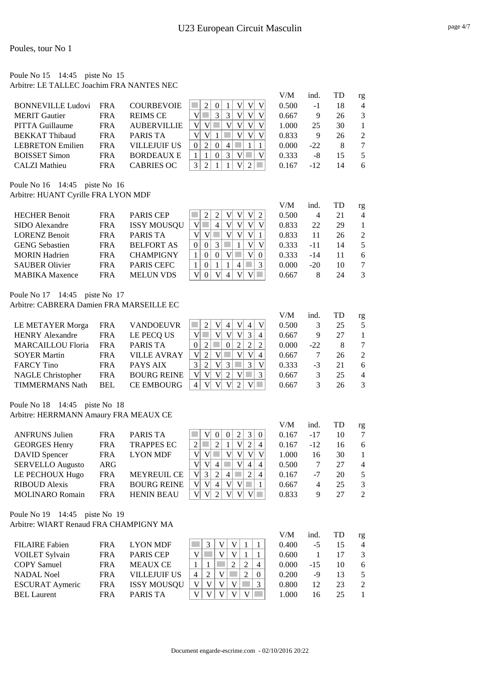#### Poule No 15 14:45 piste No 15 Arbitre: LE TALLEC Joachim FRA NANTES NEC

|                          |            |                    |               | V/M   | ind.   | TD | rg             |
|--------------------------|------------|--------------------|---------------|-------|--------|----|----------------|
| <b>BONNEVILLE Ludovi</b> | <b>FRA</b> | <b>COURBEVOIE</b>  |               | 0.500 | -1     | 18 | $\overline{4}$ |
| <b>MERIT</b> Gautier     | <b>FRA</b> | <b>REIMS CE</b>    | 3<br>V<br>V   | 0.667 | 9      | 26 | $\mathcal{R}$  |
| <b>PITTA Guillaume</b>   | <b>FRA</b> | <b>AUBERVILLIE</b> |               | 1.000 | 25     | 30 |                |
| <b>BEKKAT</b> Thibaud    | <b>FRA</b> | PARIS TA           | V<br>v        | 0.833 | 9      | 26 | $\mathcal{L}$  |
| <b>LEBRETON</b> Emilien  | FR A       | VILLEIUIF US       | $\Omega$<br>4 | 0.000 | $-22.$ | 8  |                |
| <b>BOISSET Simon</b>     | <b>FRA</b> | <b>BORDEAUX E</b>  | $\Omega$<br>3 | 0.333 | -8     | 15 | $\sim$         |
| CALZI Mathieu            | FR A       | CABRIES OC         |               | 0.167 | $-12$  | 14 | 6              |

Poule No 16 14:45 piste No 16 Arbitre: HUANT Cyrille FRA LYON MDF

|                       |            |                    |                                  | V/M   | ind.  | TD | rg             |
|-----------------------|------------|--------------------|----------------------------------|-------|-------|----|----------------|
| <b>HECHER Benoit</b>  | FR A       | <b>PARIS CEP</b>   | V                                | 0.500 | 4     | 21 | $\overline{4}$ |
| SIDO Alexandre        | FRA        | <b>ISSY MOUSQU</b> | V<br>V<br>4                      | 0.833 | 22    | 29 |                |
| <b>LORENZ Benoit</b>  | FR A       | <b>PARIS TA</b>    | V<br>V<br>V                      | 0.833 | 11    | 26 | $\mathfrak{D}$ |
| <b>GENG Sebastien</b> | <b>FRA</b> | <b>BELFORT AS</b>  | $\Omega$                         | 0.333 | -11   | 14 |                |
| <b>MORIN</b> Hadrien  | <b>FRA</b> | <b>CHAMPIGNY</b>   | $\theta$<br>$\theta$<br>$\Omega$ | 0.333 | $-14$ | 11 | 6              |
| <b>SAUBER Olivier</b> | <b>FRA</b> | <b>PARIS CEFC</b>  | $\Omega$<br>4                    | 0.000 | $-20$ | 10 |                |
| <b>MABIKA</b> Maxence | FR A       | <b>MELUN VDS</b>   | V<br>V<br>$\Omega$<br>4          | 0.667 |       | 24 | 3              |

Poule No 17 14:45 piste No 17 Arbitre: CABRERA Damien FRA MARSEILLE EC

|                          |            |                    |   |                             |              |          |                |                |                | V/M   | ind.  |    | rg            |
|--------------------------|------------|--------------------|---|-----------------------------|--------------|----------|----------------|----------------|----------------|-------|-------|----|---------------|
| LE METAYER Morga         | <b>FRA</b> | <b>VANDOEUVR</b>   |   |                             | V            | 4        | V              | $\overline{4}$ |                | 0.500 | 3     | 25 | .5            |
| <b>HENRY Alexandre</b>   | <b>FRA</b> | LE PECQ US         |   |                             |              | V        |                |                | 4              | 0.667 | 9     | 27 |               |
| <b>MARCAILLOU Floria</b> | <b>FRA</b> | PARIS TA           |   |                             |              | $\Omega$ | 2 <sub>1</sub> | $\mathfrak{D}$ |                | 0.000 | $-22$ |    |               |
| <b>SOYER Martin</b>      | FR A       | <b>VILLE AVRAY</b> | V | $\mathcal{D}_{\mathcal{L}}$ |              |          |                |                | $\overline{4}$ | 0.667 |       | 26 | $\mathcal{L}$ |
| <b>FARCY Tino</b>        | FR A       | PAYS AIX           |   |                             | $\mathbf{V}$ | 3        |                | 3              |                | 0.333 | $-3$  | 21 | 6             |
| <b>NAGLE Christopher</b> | <b>FRA</b> | <b>BOURG REINE</b> |   | V                           | V            | ↑        |                |                | 3              | 0.667 | 3     | 25 | 4             |
| <b>TIMMERMANS Nath</b>   | BEL        | <b>CE EMBOURG</b>  |   | v                           |              |          |                |                |                | 0.667 | 3     | 26 | $\mathcal{R}$ |

Poule No 18 14:45 piste No 18 Arbitre: HERRMANN Amaury FRA MEAUX CE

|                         |            |                    |                                                                                | V/M   | ind.           | TD | rg                          |
|-------------------------|------------|--------------------|--------------------------------------------------------------------------------|-------|----------------|----|-----------------------------|
| <b>ANFRUNS Julien</b>   | <b>FRA</b> | PARIS TA           | 3<br>V<br>$\Omega$<br>$\Omega$<br>$\Omega$                                     | 0.167 | $-17$          | 10 |                             |
| <b>GEORGES Henry</b>    | <b>FRA</b> | <b>TRAPPES EC</b>  | $\mathfrak{D}$<br>2<br>$\overline{4}$                                          | 0.167 | $-12$          | 16 | 6                           |
| DAVID Spencer           | <b>FRA</b> | <b>LYON MDF</b>    | V<br>V<br>V                                                                    | 1.000 | 16             | 30 |                             |
| <b>SERVELLO Augusto</b> | ARG        |                    | V<br>4<br>$\overline{4}$<br>4                                                  | 0.500 |                | 27 | $\overline{4}$              |
| LE PECHOUX Hugo         | <b>FRA</b> | MEYREUIL CE        | 2<br>V<br>3<br>$\overline{4}$<br>$\mathcal{D}_{\mathcal{L}}$<br>$\overline{4}$ | 0.167 | $-7$           | 20 | $\overline{5}$              |
| <b>RIBOUD</b> Alexis    | <b>FRA</b> | <b>BOURG REINE</b> | v<br>V<br>V<br>4<br>V                                                          | 0.667 | $\overline{4}$ | 25 | $\mathcal{E}$               |
| <b>MOLINARO Romain</b>  | <b>FRA</b> | <b>HENIN BEAU</b>  | V                                                                              | 0.833 | 9              | 27 | $\mathcal{D}_{\mathcal{L}}$ |

Poule No 19 14:45 piste No 19 Arbitre: WIART Renaud FRA CHAMPIGNY MA

|                        |            |                     |   |   |              |   |          | V/M   | ind.  | TD | rg             |
|------------------------|------------|---------------------|---|---|--------------|---|----------|-------|-------|----|----------------|
| <b>FILAIRE</b> Fabien  | <b>FRA</b> | <b>LYON MDF</b>     |   | 2 | $\mathbf{V}$ |   |          | 0.400 | $-5$  |    | $\overline{4}$ |
| <b>VOILET Sylvain</b>  | <b>FRA</b> | <b>PARIS CEP</b>    |   |   | V            |   |          | 0.600 |       |    |                |
| <b>COPY Samuel</b>     | <b>FRA</b> | <b>MEAUX CE</b>     |   |   |              | 2 | 4        | 0.000 | $-15$ | 10 | 6              |
| <b>NADAL Noel</b>      | <b>FRA</b> | <b>VILLEJUIF US</b> | 4 | ∍ |              | 2 | $\Omega$ | 0.200 | -9    | 13 |                |
| <b>ESCURAT Aymeric</b> | FRA        | <b>ISSY MOUSQU</b>  |   | V | v            |   | 3        | 0.800 | 12    | 23 | $\mathcal{L}$  |
| <b>BEL Laurent</b>     | <b>FRA</b> | <b>PARIS TA</b>     |   |   |              |   |          | 1.000 | 16    | 25 |                |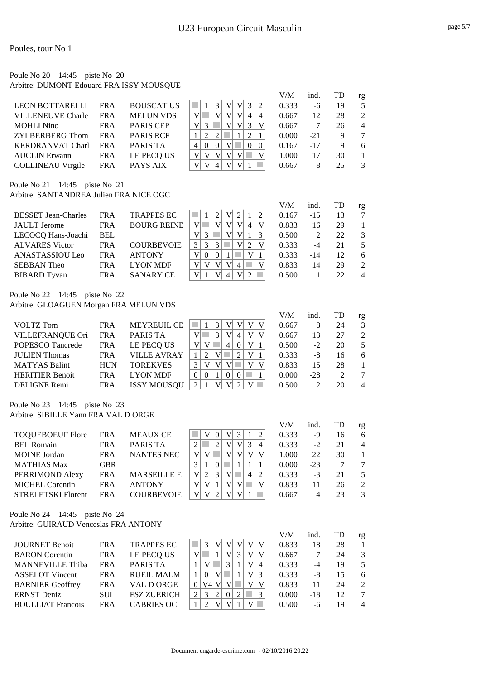### Poule No 20 14:45 piste No 20 Arbitre: DUMONT Edouard FRA ISSY MOUSQUE

| $\mathbf{R}$                                                                                                            |                        |            |                   |   | V/M   | ind. | TD | rg |
|-------------------------------------------------------------------------------------------------------------------------|------------------------|------------|-------------------|---|-------|------|----|----|
|                                                                                                                         | <b>LEON BOTTARELLI</b> | <b>FRA</b> | <b>BOUSCAT US</b> | 2 | 0.333 | -6   | 19 |    |
| <b>MELUN VDS</b><br><b>VILLENEUVE Charle</b><br>28<br>$\overline{4}$<br>0.667<br><b>FRA</b><br>12<br>2<br>4             |                        |            |                   |   |       |      |    |    |
| <b>PARIS CEP</b><br><b>MOHLI Nino</b><br>V<br>0.667<br><b>FRA</b><br>26<br>$\overline{4}$                               |                        |            |                   |   |       |      |    |    |
| <b>PARIS RCF</b><br>$\mathfrak{D}$<br>ZYLBERBERG Thom<br>0.000<br><b>FRA</b><br>$-21$                                   |                        |            |                   |   |       |      |    |    |
| $\Omega$<br><b>PARIS TA</b><br>0.167<br><b>KERDRANVAT Charl</b><br>$-17$<br>FR A<br>$\Omega$<br>$\Omega$<br>9<br>6<br>4 |                        |            |                   |   |       |      |    |    |
| LE PECQ US<br>V<br>1.000<br>30<br><b>AUCLIN</b> Erwann<br>FRA<br>17                                                     |                        |            |                   |   |       |      |    |    |
| <b>COLLINEAU Virgile</b><br>PAYS AIX<br>4<br>0.667<br>25<br><b>FRA</b><br>8<br>3                                        |                        |            |                   |   |       |      |    |    |

Poule No 21 14:45 piste No 21 Arbitre: SANTANDREA Julien FRA NICE OGC

|                            |            |                    |                    | V/M   | ind.  | TD | rg             |
|----------------------------|------------|--------------------|--------------------|-------|-------|----|----------------|
| <b>BESSET Jean-Charles</b> | <b>FRA</b> | <b>TRAPPES EC</b>  |                    | 0.167 | $-15$ | 13 | 7              |
| <b>JAULT</b> Jerome        | <b>FRA</b> | <b>BOURG REINE</b> | V<br>V<br>4        | 0.833 | 16    | 29 |                |
| LECOCQ Hans-Joachi         | <b>BEL</b> |                    | V<br>v<br>3<br>v   | 0.500 |       | 22 | 3              |
| <b>ALVARES</b> Victor      | <b>FRA</b> | <b>COURBEVOIE</b>  | 3<br>$\mathcal{R}$ | 0.333 | -4    | 21 | 5              |
| ANASTASSIOU Leo            | <b>FRA</b> | <b>ANTONY</b>      | v                  | 0.333 | $-14$ | 12 | 6              |
| <b>SEBBAN</b> Theo         | <b>FRA</b> | <b>LYON MDF</b>    | v<br>V<br>4        | 0.833 | 14    | 29 | $\mathcal{D}$  |
| <b>BIBARD</b> Tyvan        | <b>FRA</b> | <b>SANARY CE</b>   | v<br>V             | 0.500 |       | 22 | $\overline{4}$ |

Poule No 22 14:45 piste No 22 Arbitre: GLOAGUEN Morgan FRA MELUN VDS

|                         |            |                    |                         | V/M   | ind.  | TD                          | rg             |
|-------------------------|------------|--------------------|-------------------------|-------|-------|-----------------------------|----------------|
| VOLTZ Tom               | <b>FRA</b> | <b>MEYREUIL CE</b> | V<br>マ                  | 0.667 | 8     | 24                          | $\mathcal{E}$  |
| <b>VILLEFRANQUE Ori</b> | <b>FRA</b> | PARIS TA           | $\rm{V}$<br>3<br>V<br>4 | 0.667 | 13    | 27                          | $\mathcal{L}$  |
| <b>POPESCO</b> Tancrede | FRA        | LE PECQ US         | V<br>4                  | 0.500 | $-2$  | 20                          | 5              |
| <b>JULIEN Thomas</b>    | <b>FRA</b> | <b>VILLE AVRAY</b> | V                       | 0.333 | -8    | 16                          | 6              |
| <b>MATYAS Balint</b>    | <b>HUN</b> | <b>TOREKVES</b>    | V<br>V                  | 0.833 | 15    | 28                          |                |
| <b>HERITIER Benoit</b>  | <b>FRA</b> | <b>LYON MDF</b>    |                         | 0.000 | $-28$ | $\mathcal{D}_{\mathcal{L}}$ |                |
| DELIGNE Remi            | FRA        | <b>ISSY MOUSQU</b> |                         | 0.500 | 2     | 20                          | $\overline{4}$ |

Poule No 23 14:45 piste No 23 Arbitre: SIBILLE Yann FRA VAL D ORGE

|                           |            |                    |                     | V/M   | ind.  | TD | rg            |
|---------------------------|------------|--------------------|---------------------|-------|-------|----|---------------|
| <b>TOOUEBOEUF Flore</b>   | <b>FRA</b> | <b>MEAUX CE</b>    | V <sub>1</sub><br>2 | 0.333 | -9    | 16 | 6             |
| <b>BEL Romain</b>         | <b>FRA</b> | <b>PARIS TA</b>    | 3<br>4              | 0.333 | $-2$  | 21 | 4             |
| <b>MOINE</b> Jordan       | <b>FRA</b> | <b>NANTES NEC</b>  |                     | 1.000 | 22    | 30 |               |
| <b>MATHIAS Max</b>        | <b>GBR</b> |                    |                     | 0.000 | $-23$ |    |               |
| PERRIMOND Alexy           | <b>FRA</b> | <b>MARSEILLE E</b> | 4<br>2<br>2         | 0.333 | $-3$  | 21 | 5             |
| <b>MICHEL Corentin</b>    | <b>FRA</b> | <b>ANTONY</b>      |                     | 0.833 | 11    | 26 | $\mathcal{L}$ |
| <b>STRELETSKI Florent</b> | FR A       | <b>COURBEVOIE</b>  |                     | 0.667 | 4     | 23 |               |

Poule No 24 14:45 piste No 24 Arbitre: GUIRAUD Venceslas FRA ANTONY

|                          |            |                    |                                                        | V/M   | ind.  | TD | rg                          |
|--------------------------|------------|--------------------|--------------------------------------------------------|-------|-------|----|-----------------------------|
| <b>JOURNET Benoit</b>    | <b>FRA</b> | <b>TRAPPES EC</b>  | V<br>V                                                 | 0.833 | 18    | 28 |                             |
| <b>BARON</b> Corentin    | <b>FRA</b> | LE PECQ US         | V<br>V <sub>l</sub><br>3                               | 0.667 |       | 24 | $\mathcal{F}$               |
| <b>MANNEVILLE Thiba</b>  | <b>FRA</b> | PARIS TA           | $\mathcal{R}$<br>V<br>4                                | 0.333 | -4    | 19 | 5                           |
| <b>ASSELOT Vincent</b>   | <b>FRA</b> | <b>RUEIL MALM</b>  | V<br>3                                                 | 0.333 | -8    | 15 | 6                           |
| <b>BARNIER Geoffrey</b>  | <b>FRA</b> | VAL D ORGE         | V<br>V4                                                | 0.833 | 11    | 24 | $\mathcal{D}_{\mathcal{L}}$ |
| <b>ERNST</b> Deniz       | <b>SUI</b> | <b>FSZ ZUERICH</b> | $\mathcal{D}_{\mathcal{L}}$<br>2<br>3<br>$\mathcal{D}$ | 0.000 | $-18$ | 12 |                             |
| <b>BOULLIAT</b> Francois | <b>FRA</b> | CABRIES OC         |                                                        | 0.500 | -6    | 19 | $\overline{4}$              |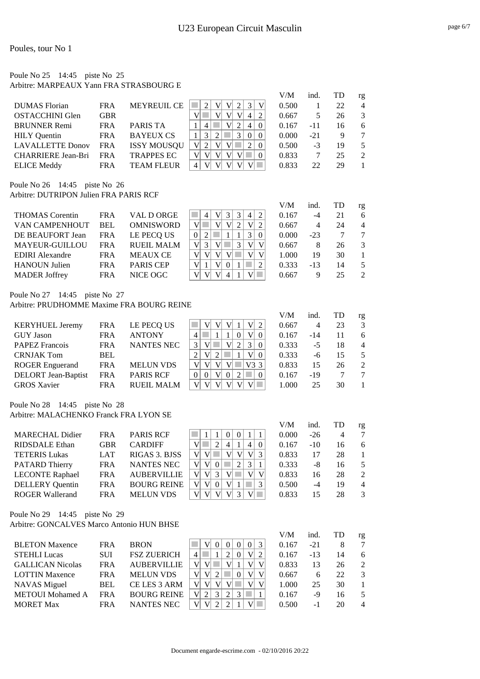### Poule No 25 14:45 piste No 25 Arbitre: MARPEAUX Yann FRA STRASBOURG E

|                           |            |                    |                                             | V/M   | ind.  | TD | rg                          |
|---------------------------|------------|--------------------|---------------------------------------------|-------|-------|----|-----------------------------|
| DUMAS Florian             | <b>FRA</b> | <b>MEYREUIL CE</b> | 3<br>V                                      | 0.500 |       | 22 | $\overline{4}$              |
| <b>OSTACCHINI Glen</b>    | GBR        |                    | 2<br>4                                      | 0.667 |       | 26 | $\mathcal{E}$               |
| <b>BRUNNER Remi</b>       | <b>FRA</b> | PARIS TA           | $\Omega$<br>4                               | 0.167 | $-11$ | 16 | 6                           |
| <b>HILY</b> Ouentin       | FRA        | <b>BAYEUX CS</b>   | $\mathfrak{D}$<br>3<br>$\Omega$<br>$\Omega$ | 0.000 | $-21$ | 9  |                             |
| <b>LAVALLETTE Donov</b>   | <b>FRA</b> | <b>ISSY MOUSQU</b> | $\Omega$                                    | 0.500 | $-3$  | 19 | 5                           |
| <b>CHARRIERE Jean-Bri</b> | <b>FRA</b> | <b>TRAPPES EC</b>  | $\Omega$                                    | 0.833 |       | 25 | $\mathcal{D}_{\mathcal{L}}$ |
| <b>ELICE Meddy</b>        | <b>FRA</b> | <b>TEAM FLEUR</b>  |                                             | 0.833 | 22    | 29 |                             |

Poule No 26 14:45 piste No 26 Arbitre: DUTRIPON Julien FRA PARIS RCF

|                        |            |                   |                       | V/M   | ind.  |    | rg             |
|------------------------|------------|-------------------|-----------------------|-------|-------|----|----------------|
| <b>THOMAS</b> Corentin | <b>FRA</b> | VAL D ORGE        | 3<br>2<br>V<br>4<br>4 | 0.167 | $-4$  | 21 | 6              |
| <b>VAN CAMPENHOUT</b>  | <b>BEL</b> | <b>OMNISWORD</b>  | 2<br>V                | 0.667 | 4     | 24 | $\overline{4}$ |
| DE BEAUFORT Jean       | <b>FRA</b> | LE PECO US        | 0                     | 0.000 | $-23$ |    |                |
| <b>MAYEUR-GUILLOU</b>  | <b>FRA</b> | <b>RUEIL MALM</b> | V <sub>1</sub><br>3   | 0.667 |       | 26 | 3              |
| <b>EDIRI</b> Alexandre | <b>FRA</b> | <b>MEAUX CE</b>   | V<br>V                | 1.000 | 19    | 30 |                |
| <b>HANOUN Julien</b>   | <b>FRA</b> | <b>PARIS CEP</b>  | V                     | 0.333 | -13   | 14 |                |
| <b>MADER Joffrey</b>   | FRA        | NICE OGC          | V                     | 0.667 | Q     | 25 | $\mathfrak{D}$ |

Poule No 27 14:45 piste No 27

Arbitre: PRUDHOMME Maxime FRA BOURG REINE

|                            |            |                  |                                        | V/M   | ind.  | TD | rg             |
|----------------------------|------------|------------------|----------------------------------------|-------|-------|----|----------------|
| <b>KERYHUEL Jeremy</b>     | <b>FRA</b> | LE PECQ US       | V<br>2                                 | 0.667 | 4     | 23 | 3              |
| <b>GUY</b> Jason           | <b>FRA</b> | <b>ANTONY</b>    | V <sup>2</sup><br>$\Omega$<br>$\Omega$ | 0.167 | $-14$ | 11 | 6              |
| <b>PAPEZ Francois</b>      | <b>FRA</b> | NANTES NEC       | 3<br>$\theta$                          | 0.333 | $-5$  | 18 | $\overline{4}$ |
| <b>CRNJAK Tom</b>          | <b>BEL</b> |                  | V<br>V <sub>l</sub><br>2<br>$\Omega$   | 0.333 | -6    | 15 | 5              |
| <b>ROGER</b> Enguerand     | <b>FRA</b> | <b>MELUN VDS</b> | V3 3                                   | 0.833 | 15    | 26 | $\mathcal{L}$  |
| <b>DELORT</b> Jean-Baptist | <b>FRA</b> | <b>PARIS RCF</b> | $\Omega$<br>$\Omega$<br>$\mathcal{L}$  | 0.167 | $-19$ |    |                |
| <b>GROS Xavier</b>         | <b>FRA</b> | RUEIL MALM       |                                        | 1.000 | 25    | 30 |                |

Poule No 28 14:45 piste No 28 Arbitre: MALACHENKO Franck FRA LYON SE

|                        |            |                    |                                   | V/M   | ind.  | TD | rg             |
|------------------------|------------|--------------------|-----------------------------------|-------|-------|----|----------------|
| <b>MARECHAL Didier</b> | FR A       | <b>PARIS RCF</b>   |                                   | 0.000 | $-26$ | 4  |                |
| RIDSDALE Ethan         | <b>GBR</b> | <b>CARDIFF</b>     | 2<br>4<br>$\Omega$<br>4           | 0.167 | $-10$ | 16 | 6              |
| <b>TETERIS Lukas</b>   | <b>LAT</b> | RIGAS 3. BJSS      | V<br>V<br>V<br>$\mathcal{R}$<br>v | 0.833 | 17    | 28 |                |
| <b>PATARD Thierry</b>  | <b>FRA</b> | NANTES NEC         | 3<br>V<br>V                       | 0.333 | -8    | 16 | $\overline{5}$ |
| <b>LECONTE Raphael</b> | FR A       | <b>AUBERVILLIE</b> | 3<br>V<br>V<br>$V_1$              | 0.833 | 16    | 28 | $\mathcal{L}$  |
| <b>DELLERY</b> Quentin | <b>FRA</b> | <b>BOURG REINE</b> | V<br>V<br>V<br>3<br>$\Omega$      | 0.500 | -4    | 19 | $\overline{4}$ |
| <b>ROGER Wallerand</b> | <b>FRA</b> | <b>MELUN VDS</b>   | V                                 | 0.833 | 15    | 28 | $\mathcal{R}$  |

Poule No 29 14:45 piste No 29

Arbitre: GONCALVES Marco Antonio HUN BHSE

|                         |            |                    |                                       | V/M   | ind.  | TD | rg             |
|-------------------------|------------|--------------------|---------------------------------------|-------|-------|----|----------------|
| <b>BLETON Maxence</b>   | FR A       | <b>BRON</b>        | 3<br>$\Omega$<br>$\theta$<br>$\Omega$ | 0.167 | $-21$ |    | 7              |
| <b>STEHLI Lucas</b>     | SUI        | <b>FSZ ZUERICH</b> | V <sup>2</sup><br>2<br>$\Omega$<br>2  | 0.167 | $-13$ | 14 | 6              |
| <b>GALLICAN Nicolas</b> | <b>FRA</b> | <b>AUBERVILLIE</b> | V<br>V<br>V                           | 0.833 | 13    | 26 | $\mathcal{L}$  |
| <b>LOTTIN Maxence</b>   | <b>FRA</b> | <b>MELUN VDS</b>   | V<br>V<br>V<br>V<br>2                 | 0.667 | 6     | 22 | 3              |
| <b>NAVAS</b> Miguel     | <b>BEL</b> | CE LES 3 ARM       | V<br>V                                | 1.000 | 25    | 30 |                |
| <b>METOUI</b> Mohamed A | <b>FRA</b> | <b>BOURG REINE</b> | V<br>3<br>2<br>3                      | 0.167 | -9    | -6 |                |
| <b>MORET Max</b>        | <b>FRA</b> | <b>NANTES NEC</b>  | ↑                                     | 0.500 | -1    | 20 | $\overline{4}$ |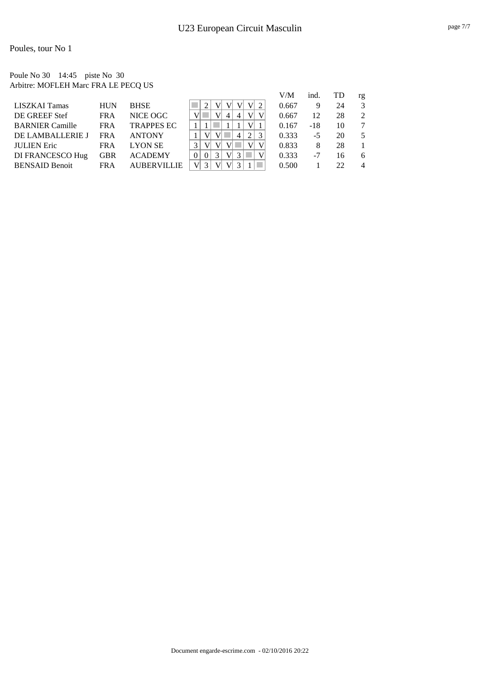#### Poule No 30 14:45 piste No 30 Arbitre: MOFLEH Marc FRA LE PECQ US

|                        |            |                    |                                 | V/M   | ind.  | TD | rg             |
|------------------------|------------|--------------------|---------------------------------|-------|-------|----|----------------|
| LISZKAI Tamas          | HUN        | <b>BHSE</b>        | V<br>v                          | 0.667 | 9     | 24 | 3              |
| DE GREEF Stef          | <b>FRA</b> | NICE OGC           | V<br>4<br>4                     | 0.667 | 12    | 28 | $\mathcal{D}$  |
| <b>BARNIER Camille</b> | <b>FRA</b> | <b>TRAPPES EC</b>  | V                               | 0.167 | $-18$ | 10 | 7              |
| DE LAMBALLERIE J       | <b>FRA</b> | <b>ANTONY</b>      | 2<br>$\overline{4}$             | 0.333 | -5    | 20 | 5              |
| <b>JULIEN Eric</b>     | <b>FRA</b> | <b>LYON SE</b>     | v                               | 0.833 | 8     | 28 |                |
| DI FRANCESCO Hug       | GBR        | <b>ACADEMY</b>     | $\overline{V}$<br>3<br>$\Omega$ | 0.333 | -7    | 16 | 6              |
| <b>BENSAID Benoit</b>  | <b>FRA</b> | <b>AUBERVILLIE</b> |                                 | 0.500 |       | 22 | $\overline{4}$ |
|                        |            |                    |                                 |       |       |    |                |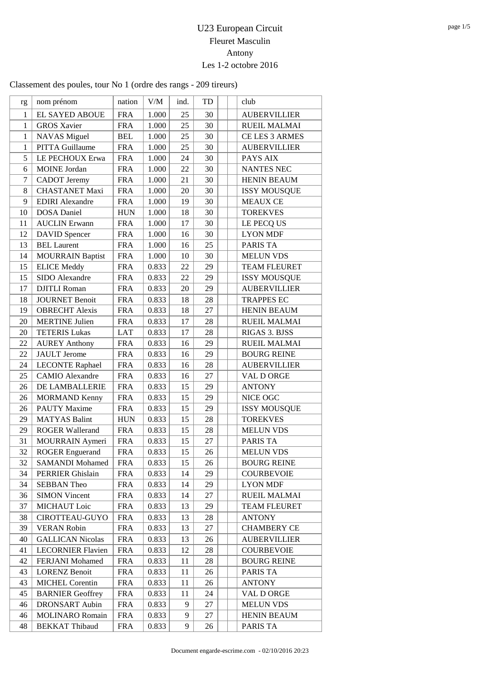## U23 European Circuit Fleuret Masculin Antony Les 1-2 octobre 2016

Classement des poules, tour No 1 (ordre des rangs - 209 tireurs)

| rg               | nom prénom               | nation      | V/M   | ind.   | TD     | club                |
|------------------|--------------------------|-------------|-------|--------|--------|---------------------|
| $\mathbf{1}$     | <b>EL SAYED ABOUE</b>    | <b>FRA</b>  | 1.000 | 25     | 30     | <b>AUBERVILLIER</b> |
| $\mathbf{1}$     | <b>GROS Xavier</b>       | <b>FRA</b>  | 1.000 | 25     | 30     | <b>RUEIL MALMAI</b> |
| $\mathbf{1}$     | <b>NAVAS</b> Miguel      | <b>BEL</b>  | 1.000 | 25     | 30     | CE LES 3 ARMES      |
| $\mathbf{1}$     | <b>PITTA Guillaume</b>   | <b>FRA</b>  | 1.000 | 25     | 30     | <b>AUBERVILLIER</b> |
| 5                | LE PECHOUX Erwa          | <b>FRA</b>  | 1.000 | 24     | 30     | PAYS AIX            |
| 6                | <b>MOINE</b> Jordan      | <b>FRA</b>  | 1.000 | 22     | 30     | <b>NANTES NEC</b>   |
| $\boldsymbol{7}$ | <b>CADOT</b> Jeremy      | <b>FRA</b>  | 1.000 | 21     | 30     | <b>HENIN BEAUM</b>  |
| 8                | <b>CHASTANET Maxi</b>    | <b>FRA</b>  | 1.000 | 20     | 30     | <b>ISSY MOUSQUE</b> |
| 9                | <b>EDIRI</b> Alexandre   | <b>FRA</b>  | 1.000 | 19     | 30     | <b>MEAUX CE</b>     |
| 10               | <b>DOSA</b> Daniel       | <b>HUN</b>  | 1.000 | 18     | 30     | <b>TOREKVES</b>     |
| 11               | <b>AUCLIN</b> Erwann     | <b>FRA</b>  | 1.000 | 17     | 30     | LE PECQ US          |
| 12               | <b>DAVID</b> Spencer     | <b>FRA</b>  | 1.000 | 16     | 30     | <b>LYON MDF</b>     |
| 13               | <b>BEL Laurent</b>       | <b>FRA</b>  | 1.000 | 16     | 25     | PARIS TA            |
| 14               | <b>MOURRAIN Baptist</b>  | <b>FRA</b>  | 1.000 | 10     | 30     | <b>MELUN VDS</b>    |
| 15               | <b>ELICE Meddy</b>       | <b>FRA</b>  | 0.833 | 22     | 29     | <b>TEAM FLEURET</b> |
| 15               | SIDO Alexandre           | <b>FRA</b>  | 0.833 | $22\,$ | 29     | <b>ISSY MOUSQUE</b> |
| 17               | <b>DJITLI</b> Roman      | <b>FRA</b>  | 0.833 | 20     | 29     | <b>AUBERVILLIER</b> |
| 18               | <b>JOURNET Benoit</b>    | <b>FRA</b>  | 0.833 | 18     | 28     | <b>TRAPPES EC</b>   |
| 19               | <b>OBRECHT</b> Alexis    | <b>FRA</b>  | 0.833 | 18     | 27     | <b>HENIN BEAUM</b>  |
| 20               | <b>MERTINE Julien</b>    | <b>FRA</b>  | 0.833 | 17     | 28     | <b>RUEIL MALMAI</b> |
| 20               | <b>TETERIS Lukas</b>     | <b>LAT</b>  | 0.833 | 17     | 28     | RIGAS 3. BJSS       |
| 22               | <b>AUREY Anthony</b>     | <b>FRA</b>  | 0.833 | 16     | 29     | <b>RUEIL MALMAI</b> |
| 22               | <b>JAULT</b> Jerome      | <b>FRA</b>  | 0.833 | 16     | 29     | <b>BOURG REINE</b>  |
| 24               | <b>LECONTE Raphael</b>   | <b>FRA</b>  | 0.833 | 16     | 28     | <b>AUBERVILLIER</b> |
| 25               | <b>CAMIO</b> Alexandre   | <b>FRA</b>  | 0.833 | 16     | 27     | VAL D ORGE          |
| 26               | DE LAMBALLERIE           | <b>FRA</b>  | 0.833 | 15     | 29     | <b>ANTONY</b>       |
| 26               | <b>MORMAND Kenny</b>     | <b>FRA</b>  | 0.833 | 15     | 29     | NICE OGC            |
| 26               | <b>PAUTY Maxime</b>      | <b>FRA</b>  | 0.833 | 15     | 29     | <b>ISSY MOUSQUE</b> |
| 29               | <b>MATYAS Balint</b>     | <b>HUN</b>  | 0.833 | 15     | 28     | <b>TOREKVES</b>     |
| 29               | <b>ROGER Wallerand</b>   | <b>FRA</b>  | 0.833 | 15     | 28     | <b>MELUN VDS</b>    |
| 31               | MOURRAIN Aymeri          | <b>FRA</b>  | 0.833 | 15     | 27     | PARIS TA            |
| 32               | <b>ROGER Enguerand</b>   | <b>FRA</b>  | 0.833 | 15     | $26\,$ | <b>MELUN VDS</b>    |
| 32               | <b>SAMANDI Mohamed</b>   | <b>FRA</b>  | 0.833 | 15     | 26     | <b>BOURG REINE</b>  |
| 34               | <b>PERRIER Ghislain</b>  | <b>FRA</b>  | 0.833 | 14     | 29     | <b>COURBEVOIE</b>   |
| 34               | <b>SEBBAN Theo</b>       | <b>FRA</b>  | 0.833 | 14     | 29     | <b>LYON MDF</b>     |
| 36               | <b>SIMON Vincent</b>     | <b>FRA</b>  | 0.833 | 14     | 27     | <b>RUEIL MALMAI</b> |
| 37               | <b>MICHAUT</b> Loic      | ${\rm FRA}$ | 0.833 | 13     | 29     | <b>TEAM FLEURET</b> |
| 38               | CIROTTEAU-GUYO           | <b>FRA</b>  | 0.833 | 13     | 28     | <b>ANTONY</b>       |
| 39               | <b>VERAN Robin</b>       | <b>FRA</b>  | 0.833 | 13     | 27     | <b>CHAMBERY CE</b>  |
| 40               | <b>GALLICAN Nicolas</b>  | <b>FRA</b>  | 0.833 | 13     | 26     | <b>AUBERVILLIER</b> |
| 41               | <b>LECORNIER Flavien</b> | <b>FRA</b>  | 0.833 | 12     | 28     | COURBEVOIE          |
| 42               | FERJANI Mohamed          | <b>FRA</b>  | 0.833 | 11     | 28     | <b>BOURG REINE</b>  |
| 43               | <b>LORENZ Benoit</b>     | <b>FRA</b>  | 0.833 | 11     | 26     | PARIS TA            |
| 43               | <b>MICHEL Corentin</b>   | <b>FRA</b>  | 0.833 | 11     | 26     | <b>ANTONY</b>       |
| 45               | <b>BARNIER Geoffrey</b>  | <b>FRA</b>  | 0.833 | 11     | 24     | VAL D ORGE          |
| 46               | <b>DRONSART</b> Aubin    | <b>FRA</b>  | 0.833 | 9      | 27     | <b>MELUN VDS</b>    |
| 46               | <b>MOLINARO Romain</b>   | <b>FRA</b>  | 0.833 | 9      | 27     | <b>HENIN BEAUM</b>  |
| 48               | <b>BEKKAT Thibaud</b>    | <b>FRA</b>  | 0.833 | 9      | 26     | PARIS TA            |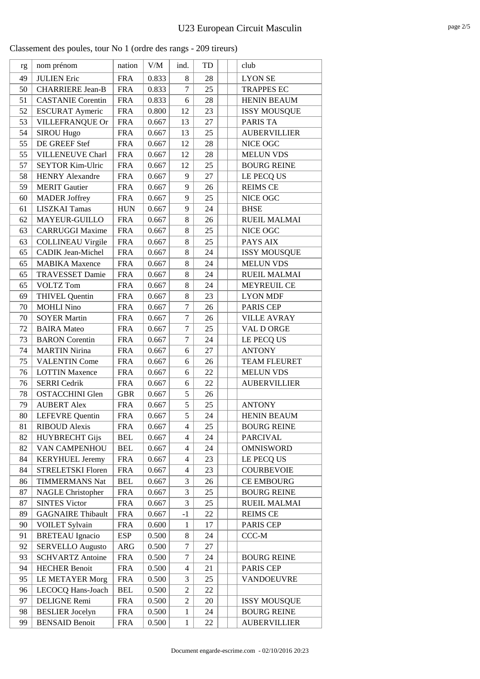| Classement des poules, tour No 1 (ordre des rangs - 209 tireurs) |  |  |  |
|------------------------------------------------------------------|--|--|--|
|------------------------------------------------------------------|--|--|--|

| rg | nom prénom               | nation     | V/M   | ind.             | TD | club                |
|----|--------------------------|------------|-------|------------------|----|---------------------|
| 49 | <b>JULIEN Eric</b>       | <b>FRA</b> | 0.833 | 8                | 28 | <b>LYON SE</b>      |
| 50 | <b>CHARRIERE Jean-B</b>  | <b>FRA</b> | 0.833 | $\tau$           | 25 | <b>TRAPPES EC</b>   |
| 51 | <b>CASTANIE Corentin</b> | <b>FRA</b> | 0.833 | 6                | 28 | <b>HENIN BEAUM</b>  |
| 52 | <b>ESCURAT Aymeric</b>   | <b>FRA</b> | 0.800 | 12               | 23 | <b>ISSY MOUSQUE</b> |
| 53 | VILLEFRANQUE Or          | <b>FRA</b> | 0.667 | 13               | 27 | PARIS TA            |
| 54 | <b>SIROU Hugo</b>        | <b>FRA</b> | 0.667 | 13               | 25 | <b>AUBERVILLIER</b> |
| 55 | DE GREEF Stef            | <b>FRA</b> | 0.667 | 12               | 28 | NICE OGC            |
| 55 | VILLENEUVE Charl         | <b>FRA</b> | 0.667 | 12               | 28 | <b>MELUN VDS</b>    |
| 57 | <b>SEYTOR Kim-Ulric</b>  | <b>FRA</b> | 0.667 | 12               | 25 | <b>BOURG REINE</b>  |
| 58 | <b>HENRY Alexandre</b>   | <b>FRA</b> | 0.667 | 9                | 27 | LE PECQ US          |
| 59 | <b>MERIT Gautier</b>     | <b>FRA</b> | 0.667 | 9                | 26 | <b>REIMS CE</b>     |
| 60 | <b>MADER</b> Joffrey     | <b>FRA</b> | 0.667 | 9                | 25 | NICE OGC            |
| 61 | <b>LISZKAI Tamas</b>     | <b>HUN</b> | 0.667 | 9                | 24 | <b>BHSE</b>         |
| 62 | MAYEUR-GUILLO            | <b>FRA</b> | 0.667 | 8                | 26 | RUEIL MALMAI        |
| 63 | <b>CARRUGGI Maxime</b>   | <b>FRA</b> | 0.667 | 8                | 25 | NICE OGC            |
| 63 | <b>COLLINEAU Virgile</b> | <b>FRA</b> | 0.667 | 8                | 25 | PAYS AIX            |
| 65 | <b>CADIK Jean-Michel</b> | <b>FRA</b> | 0.667 | 8                | 24 | <b>ISSY MOUSQUE</b> |
| 65 | <b>MABIKA</b> Maxence    | <b>FRA</b> | 0.667 | 8                | 24 | <b>MELUN VDS</b>    |
| 65 | <b>TRAVESSET Damie</b>   | <b>FRA</b> | 0.667 | 8                | 24 | <b>RUEIL MALMAI</b> |
| 65 | <b>VOLTZ Tom</b>         | <b>FRA</b> | 0.667 | 8                | 24 | <b>MEYREUIL CE</b>  |
| 69 | <b>THIVEL Quentin</b>    | <b>FRA</b> | 0.667 | 8                | 23 | <b>LYON MDF</b>     |
| 70 | <b>MOHLI Nino</b>        | <b>FRA</b> | 0.667 | $\tau$           | 26 | PARIS CEP           |
| 70 | <b>SOYER Martin</b>      | <b>FRA</b> | 0.667 | 7                | 26 | <b>VILLE AVRAY</b>  |
| 72 | <b>BAIRA</b> Mateo       | <b>FRA</b> | 0.667 | $\boldsymbol{7}$ | 25 | VAL D ORGE          |
| 73 | <b>BARON</b> Corentin    | <b>FRA</b> | 0.667 | $\tau$           | 24 | LE PECQ US          |
| 74 | <b>MARTIN Nirina</b>     | <b>FRA</b> | 0.667 | 6                | 27 | <b>ANTONY</b>       |
| 75 | <b>VALENTIN Come</b>     | <b>FRA</b> | 0.667 | 6                | 26 | <b>TEAM FLEURET</b> |
| 76 | <b>LOTTIN Maxence</b>    | <b>FRA</b> | 0.667 | 6                | 22 | <b>MELUN VDS</b>    |
| 76 | <b>SERRI</b> Cedrik      | <b>FRA</b> | 0.667 | 6                | 22 | <b>AUBERVILLIER</b> |
| 78 | <b>OSTACCHINI Glen</b>   | <b>GBR</b> | 0.667 | 5                | 26 |                     |
| 79 | <b>AUBERT Alex</b>       | <b>FRA</b> | 0.667 | 5                | 25 | <b>ANTONY</b>       |
| 80 | <b>LEFEVRE</b> Quentin   | <b>FRA</b> | 0.667 | 5                | 24 | HENIN BEAUM         |
| 81 | <b>RIBOUD</b> Alexis     | <b>FRA</b> | 0.667 | 4                | 25 | <b>BOURG REINE</b>  |
| 82 | <b>HUYBRECHT Gijs</b>    | <b>BEL</b> | 0.667 | 4                | 24 | <b>PARCIVAL</b>     |
| 82 | VAN CAMPENHOU            | <b>BEL</b> | 0.667 | 4                | 24 | <b>OMNISWORD</b>    |
| 84 | <b>KERYHUEL Jeremy</b>   | <b>FRA</b> | 0.667 | 4                | 23 | LE PECQ US          |
| 84 | <b>STRELETSKI Floren</b> | <b>FRA</b> | 0.667 | 4                | 23 | <b>COURBEVOIE</b>   |
| 86 | <b>TIMMERMANS Nat</b>    | <b>BEL</b> | 0.667 | 3                | 26 | <b>CE EMBOURG</b>   |
| 87 | NAGLE Christopher        | <b>FRA</b> | 0.667 | 3                | 25 | <b>BOURG REINE</b>  |
| 87 | <b>SINTES Victor</b>     | <b>FRA</b> | 0.667 | 3                | 25 | <b>RUEIL MALMAI</b> |
| 89 | <b>GAGNAIRE Thibault</b> | <b>FRA</b> | 0.667 | $-1$             | 22 | <b>REIMS CE</b>     |
| 90 | VOILET Sylvain           | <b>FRA</b> | 0.600 | $\mathbf{1}$     | 17 | PARIS CEP           |
| 91 | <b>BRETEAU</b> Ignacio   | ESP        | 0.500 | 8                | 24 | CCC-M               |
| 92 | <b>SERVELLO Augusto</b>  | ARG        | 0.500 | 7                | 27 |                     |
| 93 | <b>SCHVARTZ Antoine</b>  | <b>FRA</b> | 0.500 | 7                | 24 | <b>BOURG REINE</b>  |
| 94 | <b>HECHER Benoit</b>     | <b>FRA</b> | 0.500 | 4                | 21 | PARIS CEP           |
| 95 | <b>LE METAYER Morg</b>   | <b>FRA</b> | 0.500 | 3                | 25 | VANDOEUVRE          |
| 96 | LECOCQ Hans-Joach        | <b>BEL</b> | 0.500 | $\boldsymbol{2}$ | 22 |                     |
| 97 | DELIGNE Remi             | <b>FRA</b> | 0.500 | $\overline{c}$   | 20 | <b>ISSY MOUSQUE</b> |
| 98 | <b>BESLIER</b> Jocelyn   | <b>FRA</b> | 0.500 | $\mathbf{1}$     | 24 | <b>BOURG REINE</b>  |
| 99 | <b>BENSAID Benoit</b>    | <b>FRA</b> | 0.500 | $\mathbf{1}$     | 22 | <b>AUBERVILLIER</b> |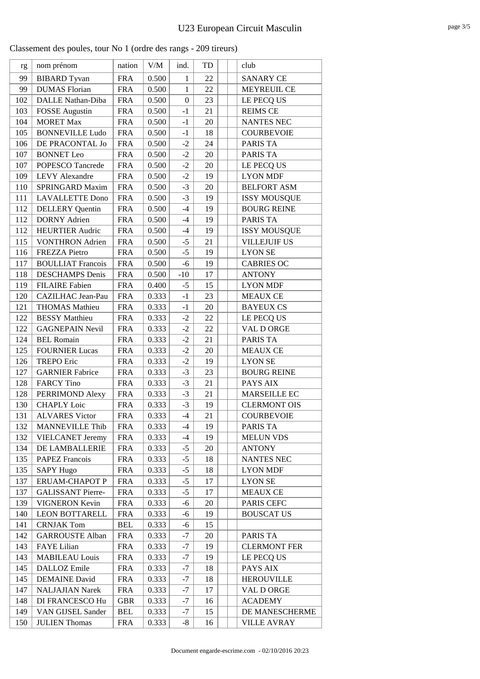| Classement des poules, tour No 1 (ordre des rangs - 209 tireurs) |  |  |  |  |
|------------------------------------------------------------------|--|--|--|--|
|------------------------------------------------------------------|--|--|--|--|

| rg  | nom prénom               | nation     | $V/M$ | ind.             | TD     | club                |
|-----|--------------------------|------------|-------|------------------|--------|---------------------|
| 99  | <b>BIBARD</b> Tyvan      | <b>FRA</b> | 0.500 | $\mathbf{1}$     | 22     | <b>SANARY CE</b>    |
| 99  | <b>DUMAS</b> Florian     | <b>FRA</b> | 0.500 | $\mathbf{1}$     | 22     | <b>MEYREUIL CE</b>  |
| 102 | DALLE Nathan-Diba        | <b>FRA</b> | 0.500 | $\boldsymbol{0}$ | 23     | LE PECQ US          |
| 103 | <b>FOSSE</b> Augustin    | <b>FRA</b> | 0.500 | $-1$             | 21     | <b>REIMS CE</b>     |
| 104 | <b>MORET Max</b>         | <b>FRA</b> | 0.500 | $-1$             | 20     | <b>NANTES NEC</b>   |
| 105 | <b>BONNEVILLE Ludo</b>   | <b>FRA</b> | 0.500 | $-1$             | 18     | <b>COURBEVOIE</b>   |
| 106 | DE PRACONTAL Jo          | <b>FRA</b> | 0.500 | $-2$             | 24     | PARIS TA            |
| 107 | <b>BONNET</b> Leo        | <b>FRA</b> | 0.500 | $-2$             | 20     | PARIS TA            |
| 107 | POPESCO Tancrede         | <b>FRA</b> | 0.500 | $-2$             | 20     | LE PECQ US          |
| 109 | <b>LEVY Alexandre</b>    | <b>FRA</b> | 0.500 | $-2$             | 19     | <b>LYON MDF</b>     |
| 110 | SPRINGARD Maxim          | <b>FRA</b> | 0.500 | $-3$             | 20     | <b>BELFORT ASM</b>  |
| 111 | <b>LAVALLETTE Dono</b>   | <b>FRA</b> | 0.500 | $-3$             | 19     | <b>ISSY MOUSQUE</b> |
| 112 | <b>DELLERY</b> Quentin   | <b>FRA</b> | 0.500 | $-4$             | 19     | <b>BOURG REINE</b>  |
| 112 | <b>DORNY</b> Adrien      | <b>FRA</b> | 0.500 | $-4$             | 19     | PARIS TA            |
| 112 | <b>HEURTIER Audric</b>   | <b>FRA</b> | 0.500 | $-4$             | 19     | <b>ISSY MOUSQUE</b> |
| 115 | <b>VONTHRON</b> Adrien   | <b>FRA</b> | 0.500 | $-5$             | 21     | <b>VILLEJUIF US</b> |
| 116 | <b>FREZZA Pietro</b>     | <b>FRA</b> | 0.500 | $-5$             | 19     | <b>LYON SE</b>      |
| 117 | <b>BOULLIAT Francois</b> | <b>FRA</b> | 0.500 | $-6$             | 19     | <b>CABRIES OC</b>   |
| 118 | <b>DESCHAMPS</b> Denis   | <b>FRA</b> | 0.500 | $-10$            | 17     | <b>ANTONY</b>       |
| 119 | <b>FILAIRE</b> Fabien    | <b>FRA</b> | 0.400 | $-5$             | 15     | <b>LYON MDF</b>     |
| 120 | CAZILHAC Jean-Pau        | <b>FRA</b> | 0.333 | $-1$             | 23     | <b>MEAUX CE</b>     |
| 121 | <b>THOMAS Mathieu</b>    | <b>FRA</b> | 0.333 | $-1$             | $20\,$ | <b>BAYEUX CS</b>    |
| 122 | <b>BESSY</b> Matthieu    | <b>FRA</b> | 0.333 | $-2$             | 22     | LE PECQ US          |
| 122 | <b>GAGNEPAIN Nevil</b>   | <b>FRA</b> | 0.333 | $-2$             | 22     | VAL D ORGE          |
| 124 | <b>BEL Romain</b>        | <b>FRA</b> | 0.333 | $-2$             | 21     | PARIS TA            |
| 125 | <b>FOURNIER Lucas</b>    | <b>FRA</b> | 0.333 | $-2$             | 20     | <b>MEAUX CE</b>     |
| 126 | <b>TREPO Eric</b>        | <b>FRA</b> | 0.333 | $-2$             | 19     | <b>LYON SE</b>      |
| 127 | <b>GARNIER Fabrice</b>   | <b>FRA</b> | 0.333 | $-3$             | 23     | <b>BOURG REINE</b>  |
| 128 | <b>FARCY Tino</b>        | <b>FRA</b> | 0.333 | $-3$             | 21     | PAYS AIX            |
| 128 | PERRIMOND Alexy          | <b>FRA</b> | 0.333 | $-3$             | 21     | MARSEILLE EC        |
| 130 | <b>CHAPLY Loic</b>       | <b>FRA</b> | 0.333 | $-3$             | 19     | <b>CLERMONT OIS</b> |
| 131 | <b>ALVARES Victor</b>    | <b>FRA</b> | 0.333 | $-4$             | 21     | <b>COURBEVOIE</b>   |
| 132 | <b>MANNEVILLE Thib</b>   | <b>FRA</b> | 0.333 | $-4$             | 19     | PARIS TA            |
| 132 | <b>VIELCANET Jeremy</b>  | <b>FRA</b> | 0.333 | $-4$             | 19     | <b>MELUN VDS</b>    |
| 134 | DE LAMBALLERIE           | <b>FRA</b> | 0.333 | $-5$             | 20     | <b>ANTONY</b>       |
| 135 | <b>PAPEZ Francois</b>    | <b>FRA</b> | 0.333 | $-5$             | 18     | <b>NANTES NEC</b>   |
| 135 | <b>SAPY Hugo</b>         | <b>FRA</b> | 0.333 | $-5$             | 18     | <b>LYON MDF</b>     |
| 137 | ERUAM-CHAPOT P           | <b>FRA</b> | 0.333 | $-5$             | 17     | <b>LYON SE</b>      |
| 137 | <b>GALISSANT Pierre-</b> | <b>FRA</b> | 0.333 | $-5$             | 17     | <b>MEAUX CE</b>     |
| 139 | <b>VIGNERON Kevin</b>    | <b>FRA</b> | 0.333 | -6               | 20     | PARIS CEFC          |
| 140 | <b>LEON BOTTARELL</b>    | <b>FRA</b> | 0.333 | -6               | 19     | <b>BOUSCAT US</b>   |
| 141 | <b>CRNJAK Tom</b>        | <b>BEL</b> | 0.333 | -6               | 15     |                     |
| 142 | <b>GARROUSTE Alban</b>   | <b>FRA</b> | 0.333 | $-7$             | 20     | PARIS TA            |
| 143 | FAYE Lilian              | <b>FRA</b> | 0.333 | $-7$             | 19     | <b>CLERMONT FER</b> |
| 143 | <b>MABILEAU Louis</b>    | <b>FRA</b> | 0.333 | $-7$             | 19     | LE PECQ US          |
| 145 | DALLOZ Emile             | <b>FRA</b> | 0.333 | $-7$             | 18     | PAYS AIX            |
| 145 | <b>DEMAINE</b> David     | <b>FRA</b> | 0.333 | $-7$             | 18     | <b>HEROUVILLE</b>   |
| 147 | <b>NALJAJIAN Narek</b>   | <b>FRA</b> | 0.333 | $-7$             | 17     | VAL D ORGE          |
| 148 | DI FRANCESCO Hu          | <b>GBR</b> | 0.333 | $-7$             | 16     | <b>ACADEMY</b>      |
| 149 | VAN GIJSEL Sander        | <b>BEL</b> | 0.333 | $-7$             | 15     | DE MANESCHERME      |
| 150 | <b>JULIEN Thomas</b>     | <b>FRA</b> | 0.333 | $-8$             | 16     | <b>VILLE AVRAY</b>  |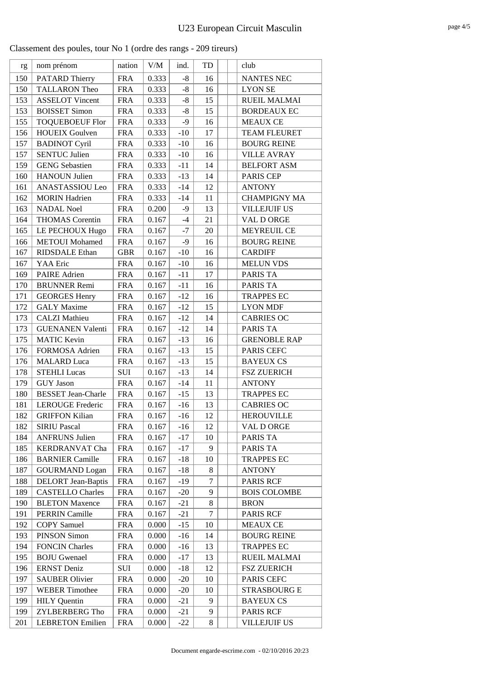| Classement des poules, tour No 1 (ordre des rangs - 209 tireurs) |
|------------------------------------------------------------------|
|------------------------------------------------------------------|

| rg  | nom prénom                | nation     | V/M   | ind.         | TD | club                |
|-----|---------------------------|------------|-------|--------------|----|---------------------|
| 150 | PATARD Thierry            | <b>FRA</b> | 0.333 | $-8$         | 16 | <b>NANTES NEC</b>   |
| 150 | <b>TALLARON Theo</b>      | <b>FRA</b> | 0.333 | $-8$         | 16 | <b>LYON SE</b>      |
| 153 | <b>ASSELOT Vincent</b>    | <b>FRA</b> | 0.333 | $-8$         | 15 | <b>RUEIL MALMAI</b> |
| 153 | <b>BOISSET Simon</b>      | <b>FRA</b> | 0.333 | $-8$         | 15 | <b>BORDEAUX EC</b>  |
| 155 | <b>TOQUEBOEUF Flor</b>    | <b>FRA</b> | 0.333 | $-9$         | 16 | <b>MEAUX CE</b>     |
| 156 | <b>HOUEIX Goulven</b>     | <b>FRA</b> | 0.333 | $-10$        | 17 | <b>TEAM FLEURET</b> |
| 157 | <b>BADINOT Cyril</b>      | <b>FRA</b> | 0.333 | $-10$        | 16 | <b>BOURG REINE</b>  |
| 157 | <b>SENTUC Julien</b>      | <b>FRA</b> | 0.333 | $\mbox{-}10$ | 16 | <b>VILLE AVRAY</b>  |
| 159 | <b>GENG</b> Sebastien     | <b>FRA</b> | 0.333 | $-11$        | 14 | <b>BELFORT ASM</b>  |
| 160 | <b>HANOUN Julien</b>      | <b>FRA</b> | 0.333 | $-13$        | 14 | PARIS CEP           |
| 161 | ANASTASSIOU Leo           | <b>FRA</b> | 0.333 | $-14$        | 12 | <b>ANTONY</b>       |
| 162 | <b>MORIN</b> Hadrien      | <b>FRA</b> | 0.333 | $-14$        | 11 | <b>CHAMPIGNY MA</b> |
| 163 | <b>NADAL Noel</b>         | <b>FRA</b> | 0.200 | $-9$         | 13 | <b>VILLEJUIF US</b> |
| 164 | <b>THOMAS</b> Corentin    | <b>FRA</b> | 0.167 | $-4$         | 21 | VAL D ORGE          |
| 165 | LE PECHOUX Hugo           | <b>FRA</b> | 0.167 | $-7$         | 20 | <b>MEYREUIL CE</b>  |
| 166 | <b>METOUI</b> Mohamed     | <b>FRA</b> | 0.167 | $-9$         | 16 | <b>BOURG REINE</b>  |
| 167 | RIDSDALE Ethan            | <b>GBR</b> | 0.167 | $-10$        | 16 | <b>CARDIFF</b>      |
| 167 | YAA Eric                  | <b>FRA</b> | 0.167 | $-10$        | 16 | <b>MELUN VDS</b>    |
| 169 | <b>PAIRE</b> Adrien       | <b>FRA</b> | 0.167 | $-11$        | 17 | PARIS TA            |
| 170 | <b>BRUNNER Remi</b>       | <b>FRA</b> | 0.167 | $-11$        | 16 | PARIS TA            |
| 171 | <b>GEORGES Henry</b>      | <b>FRA</b> | 0.167 | $-12$        | 16 | <b>TRAPPES EC</b>   |
| 172 | <b>GALY</b> Maxime        | <b>FRA</b> | 0.167 | $-12$        | 15 | <b>LYON MDF</b>     |
| 173 | <b>CALZI</b> Mathieu      | <b>FRA</b> | 0.167 | $-12$        | 14 | <b>CABRIES OC</b>   |
| 173 | <b>GUENANEN Valenti</b>   | <b>FRA</b> | 0.167 | $-12$        | 14 | <b>PARIS TA</b>     |
| 175 | <b>MATIC Kevin</b>        | <b>FRA</b> | 0.167 | $-13$        | 16 | <b>GRENOBLE RAP</b> |
| 176 | FORMOSA Adrien            | <b>FRA</b> | 0.167 | $-13$        | 15 | PARIS CEFC          |
| 176 | <b>MALARD</b> Luca        | <b>FRA</b> | 0.167 | $-13$        | 15 | <b>BAYEUX CS</b>    |
| 178 | <b>STEHLI Lucas</b>       | SUI        | 0.167 | $-13$        | 14 | <b>FSZ ZUERICH</b>  |
| 179 | <b>GUY Jason</b>          | <b>FRA</b> | 0.167 | $-14$        | 11 | <b>ANTONY</b>       |
| 180 | <b>BESSET Jean-Charle</b> | <b>FRA</b> | 0.167 | $-15$        | 13 | <b>TRAPPES EC</b>   |
| 181 | <b>LEROUGE Frederic</b>   | <b>FRA</b> | 0.167 | $-16$        | 13 | <b>CABRIES OC</b>   |
| 182 | <b>GRIFFON Kilian</b>     | <b>FRA</b> | 0.167 | $-16$        | 12 | <b>HEROUVILLE</b>   |
| 182 | <b>SIRIU Pascal</b>       | <b>FRA</b> | 0.167 | -16          | 12 | VAL D ORGE          |
| 184 | <b>ANFRUNS Julien</b>     | <b>FRA</b> | 0.167 | $-17$        | 10 | PARIS TA            |
| 185 | <b>KERDRANVAT Cha</b>     | <b>FRA</b> | 0.167 | $-17$        | 9  | PARIS TA            |
| 186 | <b>BARNIER Camille</b>    | <b>FRA</b> | 0.167 | $-18$        | 10 | <b>TRAPPES EC</b>   |
| 187 | <b>GOURMAND</b> Logan     | <b>FRA</b> | 0.167 | $-18$        | 8  | <b>ANTONY</b>       |
| 188 | <b>DELORT</b> Jean-Baptis | <b>FRA</b> | 0.167 | $-19$        | 7  | <b>PARIS RCF</b>    |
| 189 | <b>CASTELLO Charles</b>   | <b>FRA</b> | 0.167 | $-20$        | 9  | <b>BOIS COLOMBE</b> |
| 190 | <b>BLETON Maxence</b>     | <b>FRA</b> | 0.167 | $-21$        | 8  | <b>BRON</b>         |
| 191 | <b>PERRIN Camille</b>     | <b>FRA</b> | 0.167 | $-21$        | 7  | <b>PARIS RCF</b>    |
| 192 | <b>COPY</b> Samuel        | <b>FRA</b> | 0.000 | $-15$        | 10 | <b>MEAUX CE</b>     |
| 193 | <b>PINSON Simon</b>       | <b>FRA</b> | 0.000 | $-16$        | 14 | <b>BOURG REINE</b>  |
| 194 | <b>FONCIN Charles</b>     | <b>FRA</b> | 0.000 | $-16$        | 13 | <b>TRAPPES EC</b>   |
| 195 | <b>BOJU</b> Gwenael       | <b>FRA</b> | 0.000 | $-17$        | 13 | <b>RUEIL MALMAI</b> |
| 196 | <b>ERNST Deniz</b>        | SUI        | 0.000 | $-18$        | 12 | <b>FSZ ZUERICH</b>  |
| 197 | <b>SAUBER Olivier</b>     | <b>FRA</b> | 0.000 | $-20$        | 10 | PARIS CEFC          |
| 197 | <b>WEBER Timothee</b>     | <b>FRA</b> | 0.000 | $-20$        | 10 | <b>STRASBOURG E</b> |
| 199 | <b>HILY</b> Quentin       | <b>FRA</b> | 0.000 | $-21$        | 9  | <b>BAYEUX CS</b>    |
| 199 | <b>ZYLBERBERG Tho</b>     | <b>FRA</b> | 0.000 | $-21$        | 9  | PARIS RCF           |
| 201 | <b>LEBRETON Emilien</b>   | <b>FRA</b> | 0.000 | $-22$        | 8  | <b>VILLEJUIF US</b> |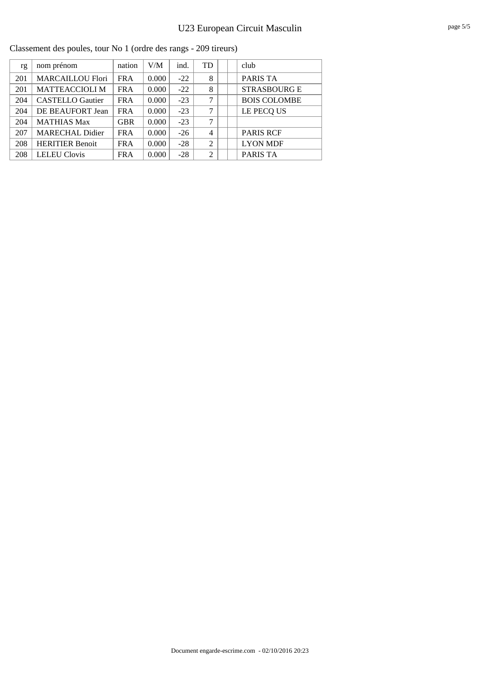|     | rassement des poures, tour i vo $\bar{1}$ (ordre des rangs - 209 thems) |            |       |       |    |  |                     |  |  |  |
|-----|-------------------------------------------------------------------------|------------|-------|-------|----|--|---------------------|--|--|--|
| rg  | nom prénom                                                              | nation     | V/M   | ind.  | TD |  | club                |  |  |  |
| 201 | <b>MARCAILLOU Flori</b>                                                 | <b>FRA</b> | 0.000 | $-22$ | 8  |  | PARIS TA            |  |  |  |
| 201 | <b>MATTEACCIOLI M</b>                                                   | <b>FRA</b> | 0.000 | $-22$ | 8  |  | <b>STRASBOURG E</b> |  |  |  |
| 204 | <b>CASTELLO</b> Gautier                                                 | <b>FRA</b> | 0.000 | $-23$ | 7  |  | <b>BOIS COLOMBE</b> |  |  |  |
| 204 | DE BEAUFORT Jean                                                        | <b>FRA</b> | 0.000 | $-23$ | 7  |  | LE PECQ US          |  |  |  |
| 204 | <b>MATHIAS Max</b>                                                      | <b>GBR</b> | 0.000 | $-23$ | 7  |  |                     |  |  |  |
| 207 | <b>MARECHAL Didier</b>                                                  | <b>FRA</b> | 0.000 | $-26$ | 4  |  | <b>PARIS RCF</b>    |  |  |  |
| 208 | <b>HERITIER Benoit</b>                                                  | <b>FRA</b> | 0.000 | $-28$ | 2  |  | <b>LYON MDF</b>     |  |  |  |
| 208 | <b>LELEU Clovis</b>                                                     | <b>FRA</b> | 0.000 | $-28$ | 2  |  | PARIS TA            |  |  |  |

Classement des poules, tour No 1 (ordre des rangs - 209 tireurs)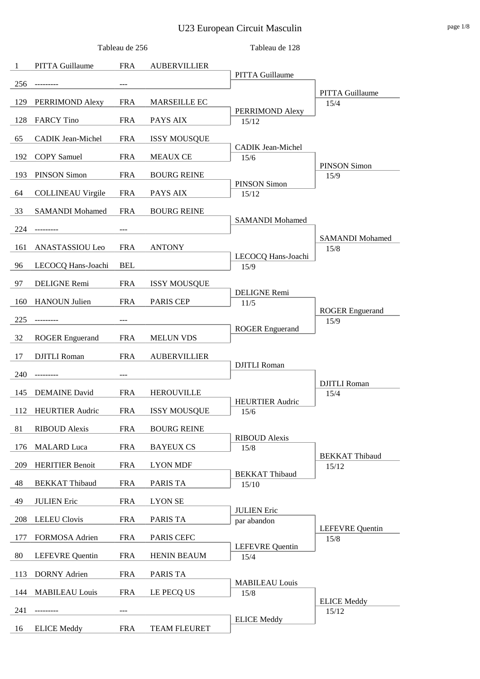# U23 European Circuit Masculin page 1/8

|     |                          | Tableau de 256 |                     | Tableau de 128                 |                                |
|-----|--------------------------|----------------|---------------------|--------------------------------|--------------------------------|
| 1   | <b>PITTA Guillaume</b>   | <b>FRA</b>     | <b>AUBERVILLIER</b> |                                |                                |
| 256 | ---------                |                |                     | PITTA Guillaume                |                                |
| 129 | PERRIMOND Alexy          | <b>FRA</b>     | <b>MARSEILLE EC</b> |                                | <b>PITTA Guillaume</b><br>15/4 |
| 128 | <b>FARCY</b> Tino        | <b>FRA</b>     | PAYS AIX            | PERRIMOND Alexy<br>15/12       |                                |
|     |                          |                |                     |                                |                                |
| 65  | <b>CADIK</b> Jean-Michel | <b>FRA</b>     | <b>ISSY MOUSQUE</b> | CADIK Jean-Michel              |                                |
| 192 | <b>COPY</b> Samuel       | <b>FRA</b>     | <b>MEAUX CE</b>     | 15/6                           | <b>PINSON Simon</b>            |
| 193 | <b>PINSON Simon</b>      | <b>FRA</b>     | <b>BOURG REINE</b>  | <b>PINSON Simon</b>            | 15/9                           |
| 64  | <b>COLLINEAU Virgile</b> | <b>FRA</b>     | PAYS AIX            | 15/12                          |                                |
| 33  | <b>SAMANDI Mohamed</b>   | <b>FRA</b>     | <b>BOURG REINE</b>  |                                |                                |
| 224 | ---------                |                |                     | <b>SAMANDI</b> Mohamed         |                                |
| 161 | ANASTASSIOU Leo          | <b>FRA</b>     | <b>ANTONY</b>       |                                | <b>SAMANDI Mohamed</b><br>15/8 |
|     |                          |                |                     | LECOCQ Hans-Joachi             |                                |
| 96  | LECOCQ Hans-Joachi       | <b>BEL</b>     |                     | 15/9                           |                                |
| 97  | DELIGNE Remi             | <b>FRA</b>     | <b>ISSY MOUSQUE</b> | <b>DELIGNE Remi</b>            |                                |
| 160 | <b>HANOUN Julien</b>     | <b>FRA</b>     | <b>PARIS CEP</b>    | 11/5                           | <b>ROGER</b> Enguerand         |
| 225 |                          |                |                     |                                | 15/9                           |
| 32  | <b>ROGER</b> Enguerand   | <b>FRA</b>     | <b>MELUN VDS</b>    | <b>ROGER</b> Enguerand         |                                |
| 17  | <b>DJITLI</b> Roman      | <b>FRA</b>     | <b>AUBERVILLIER</b> |                                |                                |
| 240 |                          | ---            |                     | <b>DJITLI</b> Roman            |                                |
|     |                          |                |                     |                                | <b>DJITLI</b> Roman            |
| 145 | <b>DEMAINE</b> David     | <b>FRA</b>     | <b>HEROUVILLE</b>   | <b>HEURTIER Audric</b>         | 15/4                           |
| 112 | <b>HEURTIER Audric</b>   | <b>FRA</b>     | <b>ISSY MOUSQUE</b> | 15/6                           |                                |
| 81  | <b>RIBOUD</b> Alexis     | <b>FRA</b>     | <b>BOURG REINE</b>  | <b>RIBOUD</b> Alexis           |                                |
| 176 | <b>MALARD</b> Luca       | <b>FRA</b>     | <b>BAYEUX CS</b>    | 15/8                           |                                |
| 209 | <b>HERITIER Benoit</b>   | <b>FRA</b>     | <b>LYON MDF</b>     |                                | <b>BEKKAT Thibaud</b><br>15/12 |
| 48  | <b>BEKKAT Thibaud</b>    | <b>FRA</b>     | PARIS TA            | <b>BEKKAT Thibaud</b><br>15/10 |                                |
| 49  | <b>JULIEN Eric</b>       | <b>FRA</b>     | <b>LYON SE</b>      |                                |                                |
|     |                          |                |                     | <b>JULIEN Eric</b>             |                                |
| 208 | <b>LELEU</b> Clovis      | <b>FRA</b>     | PARIS TA            | par abandon                    | <b>LEFEVRE</b> Quentin         |
| 177 | FORMOSA Adrien           | <b>FRA</b>     | PARIS CEFC          | <b>LEFEVRE</b> Quentin         | 15/8                           |
| 80  | <b>LEFEVRE</b> Quentin   | <b>FRA</b>     | <b>HENIN BEAUM</b>  | 15/4                           |                                |
| 113 | <b>DORNY</b> Adrien      | <b>FRA</b>     | PARIS TA            |                                |                                |
| 144 | <b>MABILEAU Louis</b>    | <b>FRA</b>     | LE PECQ US          | <b>MABILEAU Louis</b><br>15/8  |                                |
| 241 |                          |                |                     |                                | <b>ELICE Meddy</b><br>15/12    |
| 16  | <b>ELICE</b> Meddy       | <b>FRA</b>     | TEAM FLEURET        | <b>ELICE Meddy</b>             |                                |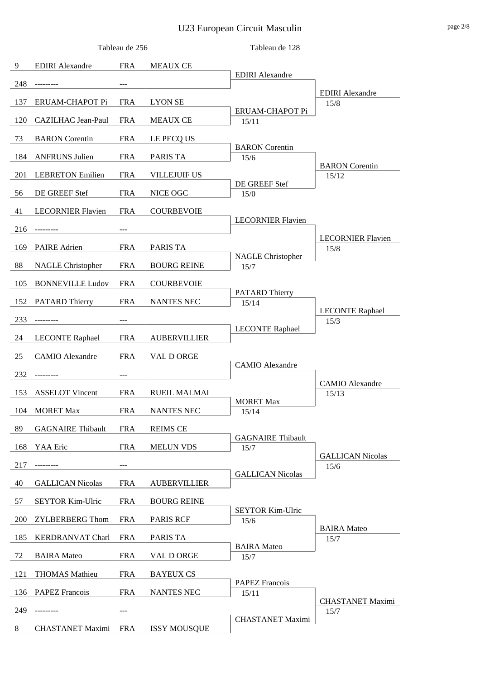# U23 European Circuit Masculin page 2/8

|     |                           | Tableau de 256 |                     | Tableau de 128                 |                                   |
|-----|---------------------------|----------------|---------------------|--------------------------------|-----------------------------------|
| 9   | <b>EDIRI</b> Alexandre    | <b>FRA</b>     | <b>MEAUX CE</b>     |                                |                                   |
| 248 | ---------                 | $---$          |                     | <b>EDIRI</b> Alexandre         |                                   |
| 137 | ERUAM-CHAPOT Pi           | <b>FRA</b>     | <b>LYON SE</b>      |                                | <b>EDIRI</b> Alexandre<br>15/8    |
| 120 | <b>CAZILHAC Jean-Paul</b> | <b>FRA</b>     | <b>MEAUX CE</b>     | ERUAM-CHAPOT Pi<br>15/11       |                                   |
| 73  | <b>BARON</b> Corentin     | <b>FRA</b>     | LE PECQ US          |                                |                                   |
| 184 | <b>ANFRUNS Julien</b>     | <b>FRA</b>     | PARIS TA            | <b>BARON</b> Corentin<br>15/6  |                                   |
| 201 | <b>LEBRETON Emilien</b>   | <b>FRA</b>     | VILLEJUIF US        |                                | <b>BARON</b> Corentin<br>15/12    |
| 56  | DE GREEF Stef             | <b>FRA</b>     | NICE OGC            | DE GREEF Stef                  |                                   |
|     |                           |                |                     | 15/0                           |                                   |
| 41  | <b>LECORNIER Flavien</b>  | <b>FRA</b>     | <b>COURBEVOIE</b>   | <b>LECORNIER Flavien</b>       |                                   |
| 216 | ---------                 | ---            |                     |                                | <b>LECORNIER Flavien</b>          |
| 169 | <b>PAIRE</b> Adrien       | <b>FRA</b>     | PARIS TA            | <b>NAGLE Christopher</b>       | 15/8                              |
| 88  | <b>NAGLE Christopher</b>  | <b>FRA</b>     | <b>BOURG REINE</b>  | 15/7                           |                                   |
| 105 | <b>BONNEVILLE Ludov</b>   | <b>FRA</b>     | <b>COURBEVOIE</b>   | <b>PATARD Thierry</b>          |                                   |
| 152 | PATARD Thierry            | <b>FRA</b>     | <b>NANTES NEC</b>   | 15/14                          | <b>LECONTE Raphael</b>            |
| 233 | ---------                 | ---            |                     |                                | 15/3                              |
| 24  | <b>LECONTE Raphael</b>    | <b>FRA</b>     | <b>AUBERVILLIER</b> | <b>LECONTE Raphael</b>         |                                   |
| 25  | <b>CAMIO</b> Alexandre    | <b>FRA</b>     | VAL D ORGE          |                                |                                   |
| 232 | ---------                 | ---            |                     | <b>CAMIO</b> Alexandre         |                                   |
| 153 | <b>ASSELOT Vincent</b>    | <b>FRA</b>     | <b>RUEIL MALMAI</b> |                                | <b>CAMIO</b> Alexandre<br>15/13   |
| 104 | <b>MORET Max</b>          | <b>FRA</b>     | <b>NANTES NEC</b>   | MORET Max<br>15/14             |                                   |
| 89  | <b>GAGNAIRE</b> Thibault  | <b>FRA</b>     | <b>REIMS CE</b>     |                                |                                   |
|     |                           |                |                     | <b>GAGNAIRE Thibault</b>       |                                   |
| 168 | YAA Eric                  | <b>FRA</b>     | <b>MELUN VDS</b>    | 15/7                           | <b>GALLICAN Nicolas</b>           |
| 217 |                           |                |                     | <b>GALLICAN Nicolas</b>        | 15/6                              |
| 40  | <b>GALLICAN Nicolas</b>   | <b>FRA</b>     | <b>AUBERVILLIER</b> |                                |                                   |
| 57  | <b>SEYTOR Kim-Ulric</b>   | <b>FRA</b>     | <b>BOURG REINE</b>  | SEYTOR Kim-Ulric               |                                   |
| 200 | <b>ZYLBERBERG Thom</b>    | <b>FRA</b>     | <b>PARIS RCF</b>    | 15/6                           | <b>BAIRA</b> Mateo                |
| 185 | <b>KERDRANVAT Charl</b>   | <b>FRA</b>     | PARIS TA            | <b>BAIRA</b> Mateo             | 15/7                              |
| 72  | <b>BAIRA</b> Mateo        | <b>FRA</b>     | VAL D ORGE          | 15/7                           |                                   |
| 121 | <b>THOMAS Mathieu</b>     | <b>FRA</b>     | <b>BAYEUX CS</b>    |                                |                                   |
| 136 | <b>PAPEZ Francois</b>     | <b>FRA</b>     | NANTES NEC          | <b>PAPEZ Francois</b><br>15/11 |                                   |
| 249 |                           |                |                     |                                | <b>CHASTANET Maximi</b><br>$15/7$ |
| 8   | <b>CHASTANET Maximi</b>   | <b>FRA</b>     | <b>ISSY MOUSQUE</b> | <b>CHASTANET Maximi</b>        |                                   |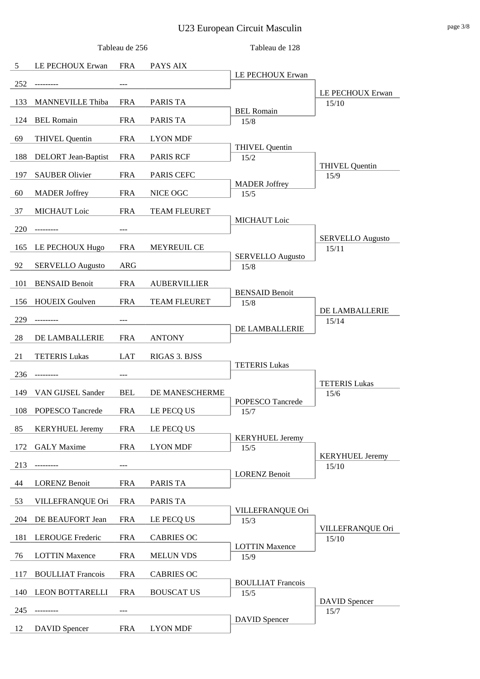# U23 European Circuit Masculin page 3/8

|     |                            | Tableau de 256 |                     | Tableau de 128                   |                                 |
|-----|----------------------------|----------------|---------------------|----------------------------------|---------------------------------|
| 5   | LE PECHOUX Erwan           | <b>FRA</b>     | PAYS AIX            |                                  |                                 |
| 252 | --------                   |                |                     | LE PECHOUX Erwan                 |                                 |
| 133 | <b>MANNEVILLE Thiba</b>    | <b>FRA</b>     | PARIS TA            |                                  | LE PECHOUX Erwan<br>15/10       |
| 124 | <b>BEL Romain</b>          | <b>FRA</b>     | PARIS TA            | <b>BEL Romain</b><br>15/8        |                                 |
| 69  | <b>THIVEL Quentin</b>      | <b>FRA</b>     | <b>LYON MDF</b>     |                                  |                                 |
|     |                            | <b>FRA</b>     | <b>PARIS RCF</b>    | <b>THIVEL Quentin</b>            |                                 |
| 188 | <b>DELORT</b> Jean-Baptist |                |                     | 15/2                             | <b>THIVEL Quentin</b>           |
| 197 | <b>SAUBER Olivier</b>      | <b>FRA</b>     | PARIS CEFC          | <b>MADER Joffrey</b>             | 15/9                            |
| 60  | <b>MADER</b> Joffrey       | <b>FRA</b>     | NICE OGC            | 15/5                             |                                 |
| 37  | <b>MICHAUT</b> Loic        | <b>FRA</b>     | <b>TEAM FLEURET</b> | <b>MICHAUT</b> Loic              |                                 |
| 220 | --------                   |                |                     |                                  | <b>SERVELLO Augusto</b>         |
| 165 | LE PECHOUX Hugo            | <b>FRA</b>     | MEYREUIL CE         |                                  | 15/11                           |
| 92  | <b>SERVELLO Augusto</b>    | ARG            |                     | <b>SERVELLO Augusto</b><br>15/8  |                                 |
| 101 | <b>BENSAID Benoit</b>      | <b>FRA</b>     | <b>AUBERVILLIER</b> |                                  |                                 |
| 156 | <b>HOUEIX Goulven</b>      | <b>FRA</b>     | <b>TEAM FLEURET</b> | <b>BENSAID Benoit</b><br>15/8    |                                 |
| 229 |                            |                |                     |                                  | DE LAMBALLERIE                  |
|     |                            |                |                     | DE LAMBALLERIE                   | 15/14                           |
| 28  | DE LAMBALLERIE             | <b>FRA</b>     | <b>ANTONY</b>       |                                  |                                 |
| 21  | <b>TETERIS Lukas</b>       | LAT            | RIGAS 3. BJSS       | <b>TETERIS Lukas</b>             |                                 |
| 236 |                            |                |                     |                                  | <b>TETERIS Lukas</b>            |
| 149 | VAN GIJSEL Sander          | <b>BEL</b>     | DE MANESCHERME      | <b>POPESCO</b> Tancrede          | 15/6                            |
| 108 | POPESCO Tancrede           | <b>FRA</b>     | LE PECQ US          | 15/7                             |                                 |
| 85  | <b>KERYHUEL Jeremy</b>     | <b>FRA</b>     | LE PECQ US          |                                  |                                 |
| 172 | <b>GALY Maxime</b>         | <b>FRA</b>     | <b>LYON MDF</b>     | <b>KERYHUEL Jeremy</b><br>$15/5$ |                                 |
| 213 |                            |                |                     |                                  | <b>KERYHUEL Jeremy</b><br>15/10 |
| 44  | <b>LORENZ Benoit</b>       | <b>FRA</b>     | PARIS TA            | <b>LORENZ Benoit</b>             |                                 |
| 53  | VILLEFRANQUE Ori           | <b>FRA</b>     | PARIS TA            |                                  |                                 |
| 204 | DE BEAUFORT Jean           | <b>FRA</b>     | LE PECQ US          | VILLEFRANQUE Ori<br>15/3         |                                 |
| 181 | <b>LEROUGE Frederic</b>    | <b>FRA</b>     | <b>CABRIES OC</b>   |                                  | VILLEFRANQUE Ori<br>15/10       |
| 76  | <b>LOTTIN Maxence</b>      | <b>FRA</b>     | <b>MELUN VDS</b>    | <b>LOTTIN Maxence</b><br>15/9    |                                 |
| 117 | <b>BOULLIAT Francois</b>   | <b>FRA</b>     | <b>CABRIES OC</b>   |                                  |                                 |
|     |                            |                |                     | <b>BOULLIAT Francois</b>         |                                 |
| 140 | LEON BOTTARELLI            | <b>FRA</b>     | <b>BOUSCAT US</b>   | 15/5                             | <b>DAVID</b> Spencer            |
| 245 |                            |                |                     | <b>DAVID</b> Spencer             | 15/7                            |
| 12  | <b>DAVID</b> Spencer       | <b>FRA</b>     | <b>LYON MDF</b>     |                                  |                                 |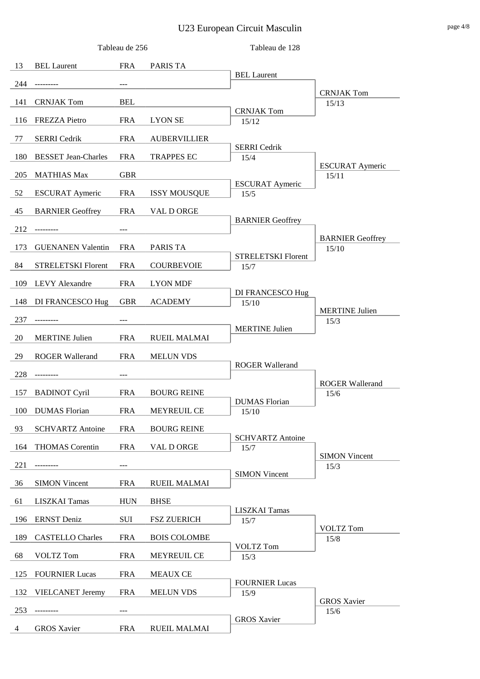# U23 European Circuit Masculin page 4/8

|                |                            | Tableau de 256 |                     | Tableau de 128                  |                                 |
|----------------|----------------------------|----------------|---------------------|---------------------------------|---------------------------------|
| 13             | <b>BEL Laurent</b>         | <b>FRA</b>     | <b>PARIS TA</b>     |                                 |                                 |
| 244            | ----------                 |                |                     | <b>BEL Laurent</b>              |                                 |
| 141            | <b>CRNJAK Tom</b>          | <b>BEL</b>     |                     |                                 | <b>CRNJAK Tom</b><br>15/13      |
|                |                            |                |                     | <b>CRNJAK Tom</b>               |                                 |
| 116            | <b>FREZZA Pietro</b>       | <b>FRA</b>     | <b>LYON SE</b>      | 15/12                           |                                 |
| 77             | <b>SERRI</b> Cedrik        | <b>FRA</b>     | <b>AUBERVILLIER</b> | <b>SERRI</b> Cedrik             |                                 |
| 180            | <b>BESSET Jean-Charles</b> | <b>FRA</b>     | <b>TRAPPES EC</b>   | 15/4                            |                                 |
| 205            | <b>MATHIAS Max</b>         | <b>GBR</b>     |                     |                                 | <b>ESCURAT Aymeric</b><br>15/11 |
| 52             | <b>ESCURAT Aymeric</b>     | <b>FRA</b>     | <b>ISSY MOUSQUE</b> | <b>ESCURAT Aymeric</b><br>15/5  |                                 |
| 45             | <b>BARNIER Geoffrey</b>    | <b>FRA</b>     | VAL D ORGE          |                                 |                                 |
|                |                            |                |                     | <b>BARNIER Geoffrey</b>         |                                 |
| 212            |                            |                |                     |                                 | <b>BARNIER Geoffrey</b>         |
| 173            | <b>GUENANEN Valentin</b>   | <b>FRA</b>     | <b>PARIS TA</b>     | <b>STRELETSKI Florent</b>       | 15/10                           |
| 84             | <b>STRELETSKI Florent</b>  | <b>FRA</b>     | <b>COURBEVOIE</b>   | 15/7                            |                                 |
| 109            | <b>LEVY</b> Alexandre      | <b>FRA</b>     | <b>LYON MDF</b>     |                                 |                                 |
| 148            | DI FRANCESCO Hug           | <b>GBR</b>     | <b>ACADEMY</b>      | DI FRANCESCO Hug<br>15/10       |                                 |
| 237            |                            |                |                     |                                 | <b>MERTINE Julien</b><br>15/3   |
|                |                            |                |                     | <b>MERTINE Julien</b>           |                                 |
| 20             | <b>MERTINE Julien</b>      | <b>FRA</b>     | <b>RUEIL MALMAI</b> |                                 |                                 |
| 29             | <b>ROGER Wallerand</b>     | <b>FRA</b>     | <b>MELUN VDS</b>    | <b>ROGER Wallerand</b>          |                                 |
| 228            | ---------                  |                |                     |                                 | <b>ROGER Wallerand</b>          |
| 157            | <b>BADINOT Cyril</b>       | <b>FRA</b>     | <b>BOURG REINE</b>  |                                 | 15/6                            |
| 100            | <b>DUMAS</b> Florian       | <b>FRA</b>     | MEYREUIL CE         | <b>DUMAS</b> Florian<br>15/10   |                                 |
| 93             | <b>SCHVARTZ Antoine</b>    | <b>FRA</b>     | <b>BOURG REINE</b>  |                                 |                                 |
| 164            | <b>THOMAS</b> Corentin     | <b>FRA</b>     | VAL D ORGE          | <b>SCHVARTZ Antoine</b><br>15/7 |                                 |
|                |                            |                |                     |                                 | <b>SIMON Vincent</b>            |
| 221            |                            |                |                     | <b>SIMON Vincent</b>            | 15/3                            |
| 36             | <b>SIMON Vincent</b>       | <b>FRA</b>     | <b>RUEIL MALMAI</b> |                                 |                                 |
| 61             | <b>LISZKAI Tamas</b>       | <b>HUN</b>     | <b>BHSE</b>         | <b>LISZKAI</b> Tamas            |                                 |
| 196            | <b>ERNST</b> Deniz         | SUI            | <b>FSZ ZUERICH</b>  | 15/7                            |                                 |
| 189            | <b>CASTELLO</b> Charles    | <b>FRA</b>     | <b>BOIS COLOMBE</b> |                                 | <b>VOLTZ</b> Tom<br>15/8        |
| 68             | <b>VOLTZ</b> Tom           | <b>FRA</b>     | MEYREUIL CE         | <b>VOLTZ Tom</b><br>15/3        |                                 |
| 125            | <b>FOURNIER Lucas</b>      | <b>FRA</b>     | <b>MEAUX CE</b>     |                                 |                                 |
|                |                            |                |                     | <b>FOURNIER Lucas</b>           |                                 |
| 132            | <b>VIELCANET Jeremy</b>    | <b>FRA</b>     | <b>MELUN VDS</b>    | 15/9                            | <b>GROS Xavier</b>              |
| 253            |                            |                |                     | <b>GROS Xavier</b>              | 15/6                            |
| $\overline{4}$ | <b>GROS Xavier</b>         | <b>FRA</b>     | <b>RUEIL MALMAI</b> |                                 |                                 |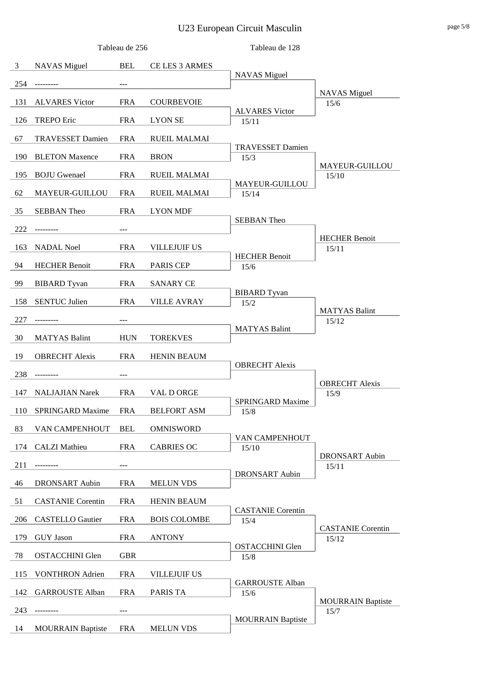# U23 European Circuit Masculin page 5/8

|                |                          | Tableau de 256 |                     | Tableau de 128                   |                                   |
|----------------|--------------------------|----------------|---------------------|----------------------------------|-----------------------------------|
| $\mathfrak{Z}$ | <b>NAVAS</b> Miguel      | <b>BEL</b>     | CE LES 3 ARMES      |                                  |                                   |
| 254            | ---------                | $---$          |                     | <b>NAVAS</b> Miguel              |                                   |
|                |                          |                |                     |                                  | <b>NAVAS</b> Miguel               |
| 131            | <b>ALVARES Victor</b>    | <b>FRA</b>     | <b>COURBEVOIE</b>   | <b>ALVARES Victor</b>            | 15/6                              |
| 126            | <b>TREPO</b> Eric        | <b>FRA</b>     | <b>LYON SE</b>      | 15/11                            |                                   |
| 67             | <b>TRAVESSET Damien</b>  | <b>FRA</b>     | <b>RUEIL MALMAI</b> |                                  |                                   |
| 190            | <b>BLETON Maxence</b>    | <b>FRA</b>     | <b>BRON</b>         | <b>TRAVESSET Damien</b><br>15/3  |                                   |
| 195            | <b>BOJU</b> Gwenael      | <b>FRA</b>     | <b>RUEIL MALMAI</b> |                                  | MAYEUR-GUILLOU<br>15/10           |
| 62             | MAYEUR-GUILLOU           | <b>FRA</b>     | <b>RUEIL MALMAI</b> | MAYEUR-GUILLOU<br>15/14          |                                   |
| 35             | <b>SEBBAN Theo</b>       | <b>FRA</b>     | <b>LYON MDF</b>     |                                  |                                   |
| 222            | ----------               | ---            |                     | <b>SEBBAN Theo</b>               |                                   |
|                |                          |                |                     |                                  | <b>HECHER Benoit</b>              |
| 163            | <b>NADAL Noel</b>        | <b>FRA</b>     | <b>VILLEJUIF US</b> | <b>HECHER Benoit</b>             | 15/11                             |
| 94             | <b>HECHER Benoit</b>     | <b>FRA</b>     | PARIS CEP           | 15/6                             |                                   |
| 99             | <b>BIBARD</b> Tyvan      | <b>FRA</b>     | <b>SANARY CE</b>    |                                  |                                   |
| 158            | <b>SENTUC Julien</b>     | <b>FRA</b>     | <b>VILLE AVRAY</b>  | <b>BIBARD</b> Tyvan<br>15/2      | <b>MATYAS Balint</b>              |
| 227            |                          |                |                     |                                  | 15/12                             |
| 30             | <b>MATYAS Balint</b>     | <b>HUN</b>     | <b>TOREKVES</b>     | <b>MATYAS Balint</b>             |                                   |
| 19             | <b>OBRECHT</b> Alexis    | <b>FRA</b>     | <b>HENIN BEAUM</b>  |                                  |                                   |
| 238            | ---------                | $---$          |                     | <b>OBRECHT</b> Alexis            |                                   |
| 147            | <b>NALJAJIAN Narek</b>   | <b>FRA</b>     | VAL D ORGE          |                                  | <b>OBRECHT Alexis</b>             |
|                |                          |                |                     | <b>SPRINGARD Maxime</b>          | 15/9                              |
| 110            | <b>SPRINGARD Maxime</b>  | <b>FRA</b>     | <b>BELFORT ASM</b>  | 15/8                             |                                   |
| 83             | VAN CAMPENHOUT           | <b>BEL</b>     | <b>OMNISWORD</b>    | VAN CAMPENHOUT                   |                                   |
| 174            | <b>CALZI</b> Mathieu     | <b>FRA</b>     | <b>CABRIES OC</b>   | 15/10                            |                                   |
| 211            |                          |                |                     |                                  | <b>DRONSART</b> Aubin<br>15/11    |
| 46             | <b>DRONSART</b> Aubin    | <b>FRA</b>     | <b>MELUN VDS</b>    | <b>DRONSART</b> Aubin            |                                   |
| 51             | <b>CASTANIE</b> Corentin | <b>FRA</b>     | HENIN BEAUM         |                                  |                                   |
| 206            | <b>CASTELLO</b> Gautier  | <b>FRA</b>     | <b>BOIS COLOMBE</b> | <b>CASTANIE</b> Corentin<br>15/4 |                                   |
| 179            | <b>GUY</b> Jason         | <b>FRA</b>     | <b>ANTONY</b>       |                                  | <b>CASTANIE</b> Corentin<br>15/12 |
| 78             | <b>OSTACCHINI Glen</b>   | <b>GBR</b>     |                     | <b>OSTACCHINI Glen</b><br>15/8   |                                   |
| 115            | <b>VONTHRON</b> Adrien   | <b>FRA</b>     | VILLEJUIF US        |                                  |                                   |
| 142            | <b>GARROUSTE Alban</b>   | <b>FRA</b>     | <b>PARIS TA</b>     | <b>GARROUSTE Alban</b><br>15/6   |                                   |
| 243            |                          |                |                     |                                  | <b>MOURRAIN Baptiste</b>          |
|                |                          |                |                     | <b>MOURRAIN Baptiste</b>         | 15/7                              |
| 14             | <b>MOURRAIN Baptiste</b> | <b>FRA</b>     | <b>MELUN VDS</b>    |                                  |                                   |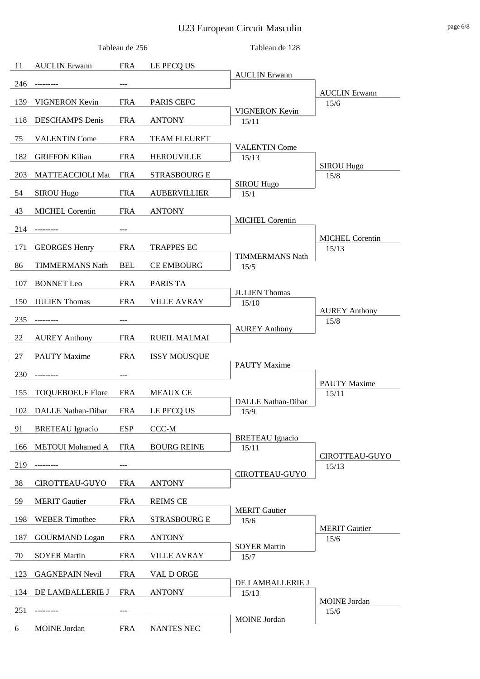# U23 European Circuit Masculin page 6/8

|     |                         | Tableau de 256 |                     | Tableau de 128                 |                                 |
|-----|-------------------------|----------------|---------------------|--------------------------------|---------------------------------|
| 11  | <b>AUCLIN</b> Erwann    | <b>FRA</b>     | LE PECQ US          |                                |                                 |
| 246 | ---------               | ---            |                     | <b>AUCLIN</b> Erwann           |                                 |
| 139 | VIGNERON Kevin          | <b>FRA</b>     | PARIS CEFC          |                                | <b>AUCLIN</b> Erwann<br>15/6    |
| 118 | <b>DESCHAMPS</b> Denis  | <b>FRA</b>     | <b>ANTONY</b>       | <b>VIGNERON Kevin</b><br>15/11 |                                 |
|     |                         |                |                     |                                |                                 |
| 75  | <b>VALENTIN Come</b>    | <b>FRA</b>     | <b>TEAM FLEURET</b> | <b>VALENTIN Come</b>           |                                 |
| 182 | <b>GRIFFON Kilian</b>   | <b>FRA</b>     | <b>HEROUVILLE</b>   | 15/13                          | <b>SIROU Hugo</b>               |
| 203 | MATTEACCIOLI Mat        | <b>FRA</b>     | <b>STRASBOURG E</b> | <b>SIROU Hugo</b>              | 15/8                            |
| 54  | <b>SIROU Hugo</b>       | <b>FRA</b>     | <b>AUBERVILLIER</b> | 15/1                           |                                 |
| 43  | <b>MICHEL Corentin</b>  | <b>FRA</b>     | <b>ANTONY</b>       |                                |                                 |
| 214 | ---------               | ---            |                     | <b>MICHEL Corentin</b>         |                                 |
| 171 | <b>GEORGES Henry</b>    | <b>FRA</b>     | <b>TRAPPES EC</b>   |                                | <b>MICHEL Corentin</b><br>15/13 |
|     |                         |                |                     | <b>TIMMERMANS Nath</b>         |                                 |
| 86  | <b>TIMMERMANS Nath</b>  | <b>BEL</b>     | <b>CE EMBOURG</b>   | 15/5                           |                                 |
| 107 | <b>BONNET</b> Leo       | <b>FRA</b>     | <b>PARIS TA</b>     | <b>JULIEN Thomas</b>           |                                 |
| 150 | <b>JULIEN Thomas</b>    | <b>FRA</b>     | <b>VILLE AVRAY</b>  | 15/10                          | <b>AUREY Anthony</b>            |
| 235 |                         |                |                     |                                | 15/8                            |
| 22  | <b>AUREY Anthony</b>    | <b>FRA</b>     | <b>RUEIL MALMAI</b> | <b>AUREY Anthony</b>           |                                 |
| 27  | <b>PAUTY Maxime</b>     | <b>FRA</b>     | <b>ISSY MOUSQUE</b> |                                |                                 |
| 230 | ---------               | ---            |                     | <b>PAUTY Maxime</b>            |                                 |
|     |                         |                |                     |                                | <b>PAUTY Maxime</b>             |
| 155 | <b>TOQUEBOEUF Flore</b> | <b>FRA</b>     | <b>MEAUX CE</b>     | DALLE Nathan-Dibar             | 15/11                           |
| 102 | DALLE Nathan-Dibar      | <b>FRA</b>     | LE PECQ US          | 15/9                           |                                 |
| 91  | <b>BRETEAU</b> Ignacio  | <b>ESP</b>     | CCC-M               | <b>BRETEAU</b> Ignacio         |                                 |
| 166 | <b>METOUI</b> Mohamed A | <b>FRA</b>     | <b>BOURG REINE</b>  | 15/11                          | CIROTTEAU-GUYO                  |
| 219 | ---------               |                |                     |                                | 15/13                           |
| 38  | CIROTTEAU-GUYO          | <b>FRA</b>     | <b>ANTONY</b>       | CIROTTEAU-GUYO                 |                                 |
| 59  | <b>MERIT Gautier</b>    | <b>FRA</b>     | <b>REIMS CE</b>     |                                |                                 |
| 198 | <b>WEBER Timothee</b>   | <b>FRA</b>     | <b>STRASBOURG E</b> | <b>MERIT</b> Gautier<br>15/6   |                                 |
|     |                         |                |                     |                                | <b>MERIT Gautier</b>            |
| 187 | <b>GOURMAND</b> Logan   | <b>FRA</b>     | <b>ANTONY</b>       | <b>SOYER Martin</b>            | 15/6                            |
| 70  | <b>SOYER Martin</b>     | <b>FRA</b>     | <b>VILLE AVRAY</b>  | 15/7                           |                                 |
| 123 | <b>GAGNEPAIN Nevil</b>  | <b>FRA</b>     | VAL D ORGE          | DE LAMBALLERIE J               |                                 |
| 134 | DE LAMBALLERIE J        | <b>FRA</b>     | <b>ANTONY</b>       | 15/13                          |                                 |
| 251 | -------                 |                |                     |                                | <b>MOINE</b> Jordan<br>$15/6$   |
| 6   | <b>MOINE</b> Jordan     | <b>FRA</b>     | <b>NANTES NEC</b>   | <b>MOINE</b> Jordan            |                                 |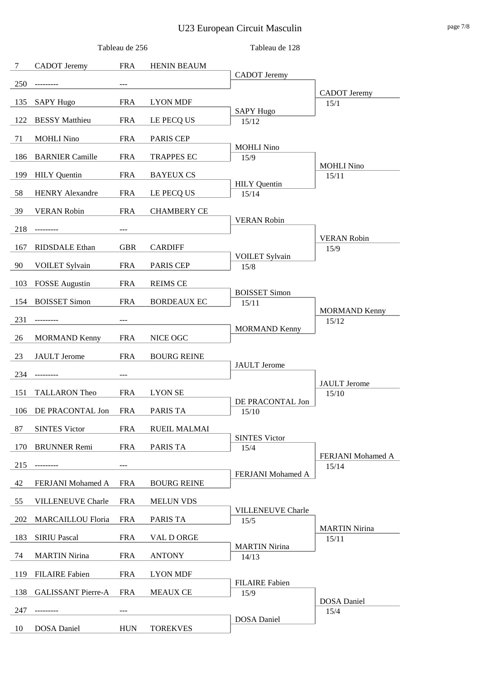# U23 European Circuit Masculin page 7/8

|        |                           | Tableau de 256 |                     | Tableau de 128                   |                               |
|--------|---------------------------|----------------|---------------------|----------------------------------|-------------------------------|
| $\tau$ | <b>CADOT</b> Jeremy       | <b>FRA</b>     | <b>HENIN BEAUM</b>  |                                  |                               |
| 250    | --------                  |                |                     | <b>CADOT</b> Jeremy              |                               |
| 135    | <b>SAPY Hugo</b>          | <b>FRA</b>     | <b>LYON MDF</b>     |                                  | <b>CADOT</b> Jeremy<br>15/1   |
| 122    | <b>BESSY</b> Matthieu     | <b>FRA</b>     | LE PECQ US          | <b>SAPY Hugo</b><br>15/12        |                               |
|        |                           |                |                     |                                  |                               |
| 71     | <b>MOHLI Nino</b>         | <b>FRA</b>     | <b>PARIS CEP</b>    | <b>MOHLI Nino</b>                |                               |
| 186    | <b>BARNIER Camille</b>    | <b>FRA</b>     | <b>TRAPPES EC</b>   | 15/9                             | <b>MOHLI Nino</b>             |
| 199    | <b>HILY</b> Quentin       | <b>FRA</b>     | <b>BAYEUX CS</b>    | <b>HILY</b> Quentin              | 15/11                         |
| 58     | <b>HENRY Alexandre</b>    | <b>FRA</b>     | LE PECQ US          | 15/14                            |                               |
| 39     | <b>VERAN Robin</b>        | <b>FRA</b>     | <b>CHAMBERY CE</b>  |                                  |                               |
| 218    |                           |                |                     | <b>VERAN Robin</b>               |                               |
| 167    | <b>RIDSDALE</b> Ethan     | <b>GBR</b>     | <b>CARDIFF</b>      |                                  | <b>VERAN Robin</b><br>15/9    |
| 90     |                           | <b>FRA</b>     | PARIS CEP           | <b>VOILET Sylvain</b>            |                               |
|        | <b>VOILET Sylvain</b>     |                |                     | 15/8                             |                               |
| 103    | <b>FOSSE</b> Augustin     | <b>FRA</b>     | <b>REIMS CE</b>     | <b>BOISSET Simon</b>             |                               |
| 154    | <b>BOISSET Simon</b>      | <b>FRA</b>     | <b>BORDEAUX EC</b>  | 15/11                            | <b>MORMAND Kenny</b>          |
| 231    | -------                   |                |                     |                                  | 15/12                         |
| 26     | <b>MORMAND Kenny</b>      | <b>FRA</b>     | NICE OGC            | <b>MORMAND Kenny</b>             |                               |
| 23     | <b>JAULT</b> Jerome       | <b>FRA</b>     | <b>BOURG REINE</b>  |                                  |                               |
| 234    | ---------                 |                |                     | <b>JAULT</b> Jerome              |                               |
|        |                           |                |                     |                                  | <b>JAULT</b> Jerome           |
| 151    | <b>TALLARON</b> Theo      | <b>FRA</b>     | <b>LYON SE</b>      | DE PRACONTAL Jon                 | 15/10                         |
| 106    | DE PRACONTAL Jon          | <b>FRA</b>     | PARIS TA            | 15/10                            |                               |
| 87     | <b>SINTES Victor</b>      | <b>FRA</b>     | <b>RUEIL MALMAI</b> | <b>SINTES Victor</b>             |                               |
| 170    | <b>BRUNNER</b> Remi       | <b>FRA</b>     | PARIS TA            | 15/4                             | FERJANI Mohamed A             |
| 215    |                           |                |                     |                                  | 15/14                         |
| 42     | FERJANI Mohamed A         | <b>FRA</b>     | <b>BOURG REINE</b>  | FERJANI Mohamed A                |                               |
| 55     | <b>VILLENEUVE Charle</b>  | <b>FRA</b>     | <b>MELUN VDS</b>    |                                  |                               |
| 202    | <b>MARCAILLOU Floria</b>  | <b>FRA</b>     | PARIS TA            | <b>VILLENEUVE Charle</b><br>15/5 |                               |
| 183    | <b>SIRIU Pascal</b>       | <b>FRA</b>     | VAL D ORGE          |                                  | <b>MARTIN Nirina</b><br>15/11 |
| 74     | <b>MARTIN Nirina</b>      | <b>FRA</b>     | <b>ANTONY</b>       | <b>MARTIN Nirina</b><br>14/13    |                               |
|        |                           |                |                     |                                  |                               |
| 119    | <b>FILAIRE</b> Fabien     | <b>FRA</b>     | <b>LYON MDF</b>     | <b>FILAIRE</b> Fabien            |                               |
| 138    | <b>GALISSANT Pierre-A</b> | <b>FRA</b>     | <b>MEAUX CE</b>     | 15/9                             | <b>DOSA</b> Daniel            |
| 247    |                           |                |                     | <b>DOSA</b> Daniel               | 15/4                          |
| 10     | <b>DOSA</b> Daniel        | <b>HUN</b>     | <b>TOREKVES</b>     |                                  |                               |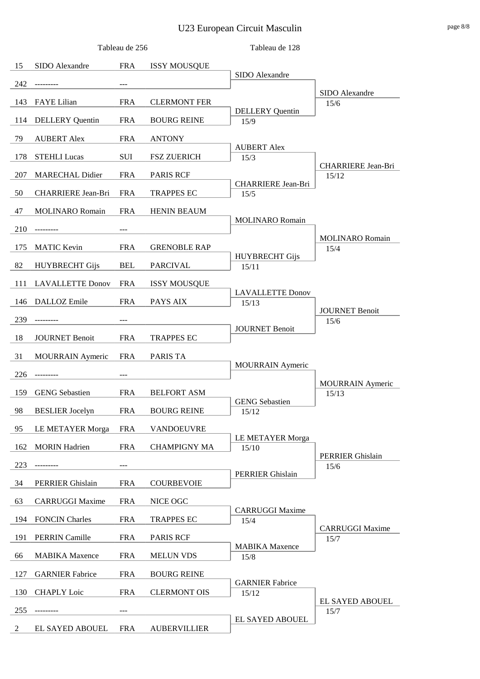# U23 European Circuit Masculin page 8/8

| 15<br>SIDO Alexandre<br><b>FRA</b><br><b>ISSY MOUSQUE</b><br>SIDO Alexandre<br>242<br>---------<br>---<br>SIDO Alexandre<br>143<br><b>FAYE</b> Lilian<br><b>FRA</b><br><b>CLERMONT FER</b><br>15/6<br><b>DELLERY</b> Quentin<br>114<br><b>DELLERY</b> Quentin<br><b>FRA</b><br><b>BOURG REINE</b><br>15/9<br>79<br><b>AUBERT Alex</b><br><b>FRA</b><br><b>ANTONY</b><br><b>AUBERT Alex</b><br>178<br><b>STEHLI Lucas</b><br>SUI<br><b>FSZ ZUERICH</b><br>15/3<br>CHARRIERE Jean-Bri<br>207<br><b>MARECHAL Didier</b><br><b>FRA</b><br><b>PARIS RCF</b><br>15/12<br><b>CHARRIERE Jean-Bri</b><br>50<br>CHARRIERE Jean-Bri<br><b>TRAPPES EC</b><br>FRA<br>15/5<br>47<br><b>MOLINARO Romain</b><br><b>FRA</b><br><b>HENIN BEAUM</b><br><b>MOLINARO</b> Romain<br>210<br>---------<br>---<br><b>MOLINARO Romain</b><br><b>MATIC Kevin</b><br><b>FRA</b><br><b>GRENOBLE RAP</b><br>175<br>15/4<br><b>HUYBRECHT Gijs</b><br>82<br><b>HUYBRECHT Gijs</b><br><b>BEL</b><br><b>PARCIVAL</b><br>15/11<br>111<br><b>LAVALLETTE Donov</b><br><b>FRA</b><br><b>ISSY MOUSQUE</b><br><b>LAVALLETTE Donov</b><br><b>FRA</b><br>PAYS AIX<br>146<br>DALLOZ Emile<br>15/13<br><b>JOURNET Benoit</b><br>239<br>15/6<br><b>JOURNET Benoit</b><br>18<br><b>JOURNET Benoit</b><br><b>FRA</b><br><b>TRAPPES EC</b><br>31<br><b>MOURRAIN</b> Aymeric<br><b>FRA</b><br>PARIS TA<br><b>MOURRAIN</b> Aymeric<br>226<br>---------<br>---<br><b>MOURRAIN</b> Aymeric<br>159<br><b>GENG</b> Sebastien<br><b>FRA</b><br><b>BELFORT ASM</b><br>15/13<br><b>GENG</b> Sebastien<br>98<br><b>BESLIER</b> Jocelyn<br><b>FRA</b><br><b>BOURG REINE</b><br>15/12 |
|---------------------------------------------------------------------------------------------------------------------------------------------------------------------------------------------------------------------------------------------------------------------------------------------------------------------------------------------------------------------------------------------------------------------------------------------------------------------------------------------------------------------------------------------------------------------------------------------------------------------------------------------------------------------------------------------------------------------------------------------------------------------------------------------------------------------------------------------------------------------------------------------------------------------------------------------------------------------------------------------------------------------------------------------------------------------------------------------------------------------------------------------------------------------------------------------------------------------------------------------------------------------------------------------------------------------------------------------------------------------------------------------------------------------------------------------------------------------------------------------------------------------------------------------------------------------------------------------------------------------------|
|                                                                                                                                                                                                                                                                                                                                                                                                                                                                                                                                                                                                                                                                                                                                                                                                                                                                                                                                                                                                                                                                                                                                                                                                                                                                                                                                                                                                                                                                                                                                                                                                                           |
|                                                                                                                                                                                                                                                                                                                                                                                                                                                                                                                                                                                                                                                                                                                                                                                                                                                                                                                                                                                                                                                                                                                                                                                                                                                                                                                                                                                                                                                                                                                                                                                                                           |
|                                                                                                                                                                                                                                                                                                                                                                                                                                                                                                                                                                                                                                                                                                                                                                                                                                                                                                                                                                                                                                                                                                                                                                                                                                                                                                                                                                                                                                                                                                                                                                                                                           |
|                                                                                                                                                                                                                                                                                                                                                                                                                                                                                                                                                                                                                                                                                                                                                                                                                                                                                                                                                                                                                                                                                                                                                                                                                                                                                                                                                                                                                                                                                                                                                                                                                           |
|                                                                                                                                                                                                                                                                                                                                                                                                                                                                                                                                                                                                                                                                                                                                                                                                                                                                                                                                                                                                                                                                                                                                                                                                                                                                                                                                                                                                                                                                                                                                                                                                                           |
|                                                                                                                                                                                                                                                                                                                                                                                                                                                                                                                                                                                                                                                                                                                                                                                                                                                                                                                                                                                                                                                                                                                                                                                                                                                                                                                                                                                                                                                                                                                                                                                                                           |
|                                                                                                                                                                                                                                                                                                                                                                                                                                                                                                                                                                                                                                                                                                                                                                                                                                                                                                                                                                                                                                                                                                                                                                                                                                                                                                                                                                                                                                                                                                                                                                                                                           |
|                                                                                                                                                                                                                                                                                                                                                                                                                                                                                                                                                                                                                                                                                                                                                                                                                                                                                                                                                                                                                                                                                                                                                                                                                                                                                                                                                                                                                                                                                                                                                                                                                           |
|                                                                                                                                                                                                                                                                                                                                                                                                                                                                                                                                                                                                                                                                                                                                                                                                                                                                                                                                                                                                                                                                                                                                                                                                                                                                                                                                                                                                                                                                                                                                                                                                                           |
|                                                                                                                                                                                                                                                                                                                                                                                                                                                                                                                                                                                                                                                                                                                                                                                                                                                                                                                                                                                                                                                                                                                                                                                                                                                                                                                                                                                                                                                                                                                                                                                                                           |
|                                                                                                                                                                                                                                                                                                                                                                                                                                                                                                                                                                                                                                                                                                                                                                                                                                                                                                                                                                                                                                                                                                                                                                                                                                                                                                                                                                                                                                                                                                                                                                                                                           |
|                                                                                                                                                                                                                                                                                                                                                                                                                                                                                                                                                                                                                                                                                                                                                                                                                                                                                                                                                                                                                                                                                                                                                                                                                                                                                                                                                                                                                                                                                                                                                                                                                           |
|                                                                                                                                                                                                                                                                                                                                                                                                                                                                                                                                                                                                                                                                                                                                                                                                                                                                                                                                                                                                                                                                                                                                                                                                                                                                                                                                                                                                                                                                                                                                                                                                                           |
|                                                                                                                                                                                                                                                                                                                                                                                                                                                                                                                                                                                                                                                                                                                                                                                                                                                                                                                                                                                                                                                                                                                                                                                                                                                                                                                                                                                                                                                                                                                                                                                                                           |
|                                                                                                                                                                                                                                                                                                                                                                                                                                                                                                                                                                                                                                                                                                                                                                                                                                                                                                                                                                                                                                                                                                                                                                                                                                                                                                                                                                                                                                                                                                                                                                                                                           |
|                                                                                                                                                                                                                                                                                                                                                                                                                                                                                                                                                                                                                                                                                                                                                                                                                                                                                                                                                                                                                                                                                                                                                                                                                                                                                                                                                                                                                                                                                                                                                                                                                           |
|                                                                                                                                                                                                                                                                                                                                                                                                                                                                                                                                                                                                                                                                                                                                                                                                                                                                                                                                                                                                                                                                                                                                                                                                                                                                                                                                                                                                                                                                                                                                                                                                                           |
|                                                                                                                                                                                                                                                                                                                                                                                                                                                                                                                                                                                                                                                                                                                                                                                                                                                                                                                                                                                                                                                                                                                                                                                                                                                                                                                                                                                                                                                                                                                                                                                                                           |
|                                                                                                                                                                                                                                                                                                                                                                                                                                                                                                                                                                                                                                                                                                                                                                                                                                                                                                                                                                                                                                                                                                                                                                                                                                                                                                                                                                                                                                                                                                                                                                                                                           |
|                                                                                                                                                                                                                                                                                                                                                                                                                                                                                                                                                                                                                                                                                                                                                                                                                                                                                                                                                                                                                                                                                                                                                                                                                                                                                                                                                                                                                                                                                                                                                                                                                           |
|                                                                                                                                                                                                                                                                                                                                                                                                                                                                                                                                                                                                                                                                                                                                                                                                                                                                                                                                                                                                                                                                                                                                                                                                                                                                                                                                                                                                                                                                                                                                                                                                                           |
|                                                                                                                                                                                                                                                                                                                                                                                                                                                                                                                                                                                                                                                                                                                                                                                                                                                                                                                                                                                                                                                                                                                                                                                                                                                                                                                                                                                                                                                                                                                                                                                                                           |
|                                                                                                                                                                                                                                                                                                                                                                                                                                                                                                                                                                                                                                                                                                                                                                                                                                                                                                                                                                                                                                                                                                                                                                                                                                                                                                                                                                                                                                                                                                                                                                                                                           |
|                                                                                                                                                                                                                                                                                                                                                                                                                                                                                                                                                                                                                                                                                                                                                                                                                                                                                                                                                                                                                                                                                                                                                                                                                                                                                                                                                                                                                                                                                                                                                                                                                           |
| 95<br><b>LE METAYER Morga</b><br><b>FRA</b><br>VANDOEUVRE<br>LE METAYER Morga                                                                                                                                                                                                                                                                                                                                                                                                                                                                                                                                                                                                                                                                                                                                                                                                                                                                                                                                                                                                                                                                                                                                                                                                                                                                                                                                                                                                                                                                                                                                             |
| <b>MORIN</b> Hadrien<br><b>FRA</b><br>162<br><b>CHAMPIGNY MA</b><br>15/10<br><b>PERRIER Ghislain</b>                                                                                                                                                                                                                                                                                                                                                                                                                                                                                                                                                                                                                                                                                                                                                                                                                                                                                                                                                                                                                                                                                                                                                                                                                                                                                                                                                                                                                                                                                                                      |
| 223<br>15/6                                                                                                                                                                                                                                                                                                                                                                                                                                                                                                                                                                                                                                                                                                                                                                                                                                                                                                                                                                                                                                                                                                                                                                                                                                                                                                                                                                                                                                                                                                                                                                                                               |
| <b>PERRIER Ghislain</b><br>34<br>PERRIER Ghislain<br><b>FRA</b><br><b>COURBEVOIE</b>                                                                                                                                                                                                                                                                                                                                                                                                                                                                                                                                                                                                                                                                                                                                                                                                                                                                                                                                                                                                                                                                                                                                                                                                                                                                                                                                                                                                                                                                                                                                      |
| 63<br><b>CARRUGGI Maxime</b><br><b>FRA</b><br>NICE OGC                                                                                                                                                                                                                                                                                                                                                                                                                                                                                                                                                                                                                                                                                                                                                                                                                                                                                                                                                                                                                                                                                                                                                                                                                                                                                                                                                                                                                                                                                                                                                                    |
| <b>CARRUGGI Maxime</b><br>194<br><b>FONCIN Charles</b><br><b>FRA</b><br><b>TRAPPES EC</b><br>15/4                                                                                                                                                                                                                                                                                                                                                                                                                                                                                                                                                                                                                                                                                                                                                                                                                                                                                                                                                                                                                                                                                                                                                                                                                                                                                                                                                                                                                                                                                                                         |
| <b>CARRUGGI Maxime</b>                                                                                                                                                                                                                                                                                                                                                                                                                                                                                                                                                                                                                                                                                                                                                                                                                                                                                                                                                                                                                                                                                                                                                                                                                                                                                                                                                                                                                                                                                                                                                                                                    |
| 191<br><b>PERRIN Camille</b><br><b>FRA</b><br>PARIS RCF<br>15/7<br><b>MABIKA</b> Maxence                                                                                                                                                                                                                                                                                                                                                                                                                                                                                                                                                                                                                                                                                                                                                                                                                                                                                                                                                                                                                                                                                                                                                                                                                                                                                                                                                                                                                                                                                                                                  |
| 66<br><b>MABIKA</b> Maxence<br><b>FRA</b><br><b>MELUN VDS</b><br>15/8                                                                                                                                                                                                                                                                                                                                                                                                                                                                                                                                                                                                                                                                                                                                                                                                                                                                                                                                                                                                                                                                                                                                                                                                                                                                                                                                                                                                                                                                                                                                                     |
| 127<br><b>GARNIER Fabrice</b><br><b>FRA</b><br><b>BOURG REINE</b><br><b>GARNIER Fabrice</b>                                                                                                                                                                                                                                                                                                                                                                                                                                                                                                                                                                                                                                                                                                                                                                                                                                                                                                                                                                                                                                                                                                                                                                                                                                                                                                                                                                                                                                                                                                                               |
| 130<br><b>CHAPLY Loic</b><br><b>FRA</b><br><b>CLERMONT OIS</b><br>15/12                                                                                                                                                                                                                                                                                                                                                                                                                                                                                                                                                                                                                                                                                                                                                                                                                                                                                                                                                                                                                                                                                                                                                                                                                                                                                                                                                                                                                                                                                                                                                   |
| EL SAYED ABOUEL<br>255<br>15/7                                                                                                                                                                                                                                                                                                                                                                                                                                                                                                                                                                                                                                                                                                                                                                                                                                                                                                                                                                                                                                                                                                                                                                                                                                                                                                                                                                                                                                                                                                                                                                                            |
| EL SAYED ABOUEL<br><b>EL SAYED ABOUEL</b><br><b>FRA</b><br><b>AUBERVILLIER</b><br>2                                                                                                                                                                                                                                                                                                                                                                                                                                                                                                                                                                                                                                                                                                                                                                                                                                                                                                                                                                                                                                                                                                                                                                                                                                                                                                                                                                                                                                                                                                                                       |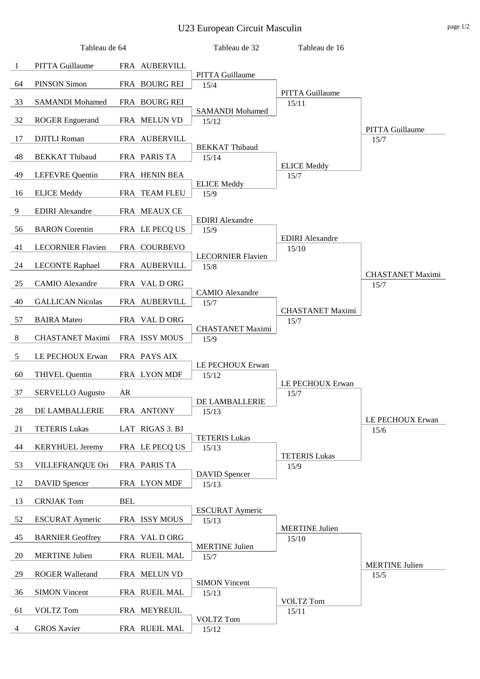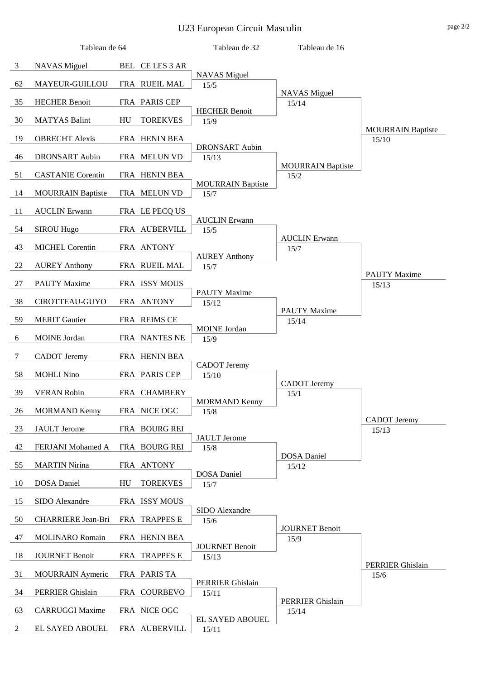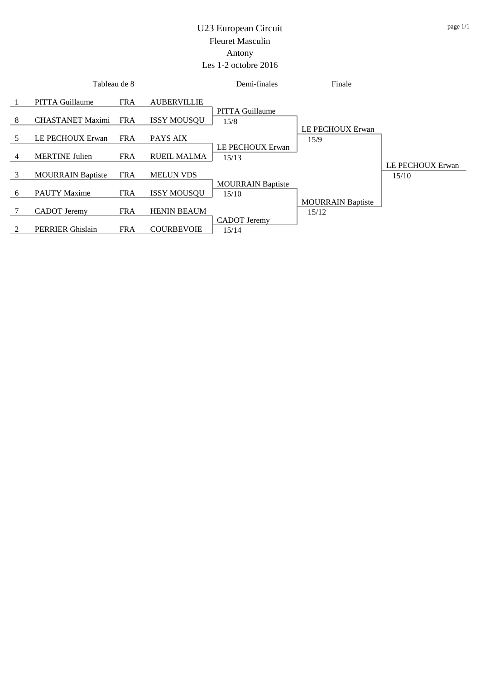## U23 European Circuit Fleuret Masculin Antony Les 1-2 octobre 2016

|   | Tableau de 8             |            |                    | Demi-finales                   | Finale                   |                  |
|---|--------------------------|------------|--------------------|--------------------------------|--------------------------|------------------|
|   | <b>PITTA Guillaume</b>   | <b>FRA</b> | <b>AUBERVILLIE</b> |                                |                          |                  |
| 8 | <b>CHASTANET Maximi</b>  | <b>FRA</b> | <b>ISSY MOUSOU</b> | <b>PITTA Guillaume</b><br>15/8 |                          |                  |
| 5 | LE PECHOUX Erwan         | <b>FRA</b> | PAYS AIX           |                                | LE PECHOUX Erwan<br>15/9 |                  |
| 4 | <b>MERTINE Julien</b>    | <b>FRA</b> | <b>RUEIL MALMA</b> | LE PECHOUX Erwan<br>15/13      |                          |                  |
| 3 | <b>MOURRAIN Baptiste</b> | <b>FRA</b> | <b>MELUN VDS</b>   |                                |                          | LE PECHOUX Erwan |
|   |                          |            |                    | <b>MOURRAIN Baptiste</b>       |                          | 15/10            |
| 6 | <b>PAUTY Maxime</b>      | <b>FRA</b> | <b>ISSY MOUSQU</b> | 15/10                          | <b>MOURRAIN Baptiste</b> |                  |
|   | <b>CADOT</b> Jeremy      | <b>FRA</b> | <b>HENIN BEAUM</b> | CADOT Jeremy                   | 15/12                    |                  |
| 2 | <b>PERRIER Ghislain</b>  | <b>FRA</b> | <b>COURBEVOIE</b>  | 15/14                          |                          |                  |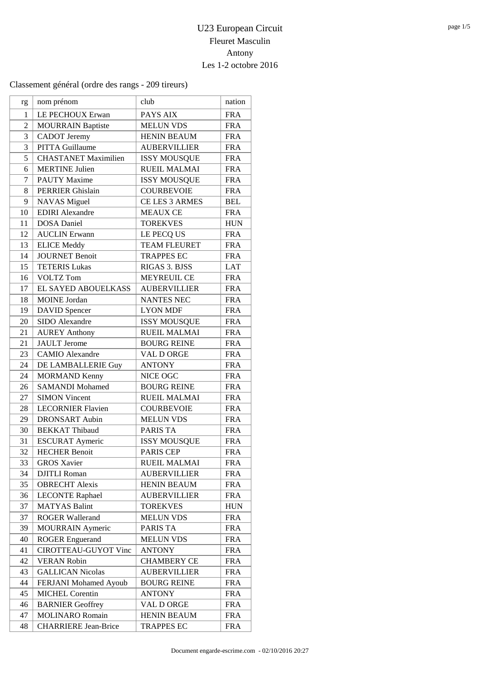| rg             | nom prénom                  | club                | nation     |
|----------------|-----------------------------|---------------------|------------|
| 1              | LE PECHOUX Erwan            | PAYS AIX            | <b>FRA</b> |
| $\overline{2}$ | <b>MOURRAIN Baptiste</b>    | <b>MELUN VDS</b>    | <b>FRA</b> |
| 3              | <b>CADOT</b> Jeremy         | <b>HENIN BEAUM</b>  | <b>FRA</b> |
| 3              | PITTA Guillaume             | <b>AUBERVILLIER</b> | <b>FRA</b> |
| 5              | <b>CHASTANET Maximilien</b> | <b>ISSY MOUSQUE</b> | <b>FRA</b> |
| 6              | <b>MERTINE Julien</b>       | <b>RUEIL MALMAI</b> | <b>FRA</b> |
| 7              | <b>PAUTY Maxime</b>         | <b>ISSY MOUSQUE</b> | <b>FRA</b> |
| 8              | <b>PERRIER Ghislain</b>     | <b>COURBEVOIE</b>   | <b>FRA</b> |
| 9              | <b>NAVAS</b> Miguel         | CE LES 3 ARMES      | <b>BEL</b> |
| 10             | <b>EDIRI</b> Alexandre      | <b>MEAUX CE</b>     | <b>FRA</b> |
| 11             | <b>DOSA</b> Daniel          | <b>TOREKVES</b>     | <b>HUN</b> |
| 12             | <b>AUCLIN</b> Erwann        | LE PECQ US          | <b>FRA</b> |
| 13             | <b>ELICE Meddy</b>          | <b>TEAM FLEURET</b> | <b>FRA</b> |
| 14             | <b>JOURNET Benoit</b>       | <b>TRAPPES EC</b>   | <b>FRA</b> |
| 15             | <b>TETERIS Lukas</b>        | RIGAS 3. BJSS       | LAT        |
| 16             | <b>VOLTZ Tom</b>            | <b>MEYREUIL CE</b>  | <b>FRA</b> |
| 17             | EL SAYED ABOUELKASS         | <b>AUBERVILLIER</b> | <b>FRA</b> |
| 18             | <b>MOINE</b> Jordan         | <b>NANTES NEC</b>   | <b>FRA</b> |
| 19             | <b>DAVID</b> Spencer        | <b>LYON MDF</b>     | <b>FRA</b> |
| 20             | <b>SIDO</b> Alexandre       | <b>ISSY MOUSQUE</b> | <b>FRA</b> |
| 21             | <b>AUREY Anthony</b>        | <b>RUEIL MALMAI</b> | <b>FRA</b> |
| 21             | <b>JAULT</b> Jerome         | <b>BOURG REINE</b>  | <b>FRA</b> |
| 23             | <b>CAMIO</b> Alexandre      | VAL D ORGE          | <b>FRA</b> |
| 24             | DE LAMBALLERIE Guy          | <b>ANTONY</b>       | <b>FRA</b> |
| 24             | <b>MORMAND Kenny</b>        | NICE OGC            | <b>FRA</b> |
| 26             | <b>SAMANDI Mohamed</b>      | <b>BOURG REINE</b>  | <b>FRA</b> |
| 27             | <b>SIMON Vincent</b>        | <b>RUEIL MALMAI</b> | <b>FRA</b> |
| 28             | <b>LECORNIER Flavien</b>    | <b>COURBEVOIE</b>   | <b>FRA</b> |
| 29             | <b>DRONSART</b> Aubin       | <b>MELUN VDS</b>    | <b>FRA</b> |
| 30             | <b>BEKKAT Thibaud</b>       | <b>PARIS TA</b>     | <b>FRA</b> |
| 31             | <b>ESCURAT Aymeric</b>      | <b>ISSY MOUSQUE</b> | <b>FRA</b> |
| 32             | <b>HECHER Benoit</b>        | PARIS CEP           | <b>FRA</b> |
| 33             | <b>GROS Xavier</b>          | <b>RUEIL MALMAI</b> | <b>FRA</b> |
| 34             | <b>DJITLI</b> Roman         | <b>AUBERVILLIER</b> | <b>FRA</b> |
| 35             | <b>OBRECHT</b> Alexis       | HENIN BEAUM         | <b>FRA</b> |
| 36             | <b>LECONTE Raphael</b>      | <b>AUBERVILLIER</b> | <b>FRA</b> |
| 37             | <b>MATYAS Balint</b>        | <b>TOREKVES</b>     | <b>HUN</b> |
| 37             | <b>ROGER Wallerand</b>      | <b>MELUN VDS</b>    | <b>FRA</b> |
| 39             | <b>MOURRAIN</b> Aymeric     | PARIS TA            | <b>FRA</b> |
| 40             | <b>ROGER Enguerand</b>      | <b>MELUN VDS</b>    | <b>FRA</b> |
| 41             | CIROTTEAU-GUYOT Vinc        | <b>ANTONY</b>       | <b>FRA</b> |
| 42             | <b>VERAN Robin</b>          | <b>CHAMBERY CE</b>  | <b>FRA</b> |
| 43             | <b>GALLICAN Nicolas</b>     | <b>AUBERVILLIER</b> | <b>FRA</b> |
| 44             | FERJANI Mohamed Ayoub       | <b>BOURG REINE</b>  | <b>FRA</b> |
| 45             | <b>MICHEL Corentin</b>      | <b>ANTONY</b>       | <b>FRA</b> |
| 46             | <b>BARNIER Geoffrey</b>     | VAL D ORGE          | <b>FRA</b> |
| 47             | <b>MOLINARO</b> Romain      | <b>HENIN BEAUM</b>  | <b>FRA</b> |
| 48             | <b>CHARRIERE</b> Jean-Brice | <b>TRAPPES EC</b>   | <b>FRA</b> |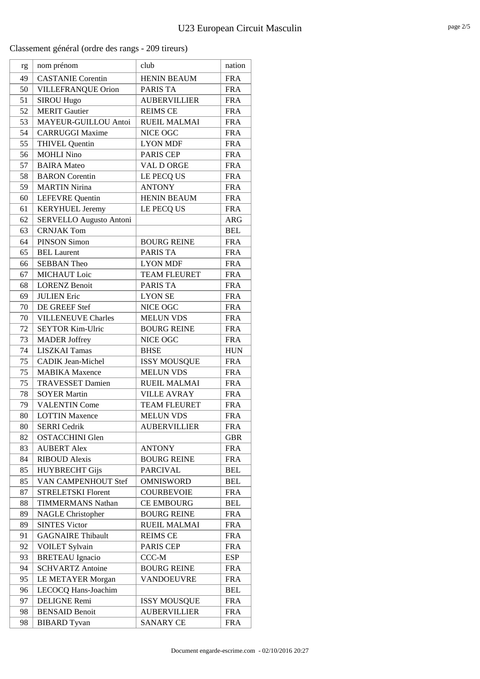| rg | nom prénom                | club                | nation     |
|----|---------------------------|---------------------|------------|
| 49 | <b>CASTANIE</b> Corentin  | <b>HENIN BEAUM</b>  | <b>FRA</b> |
| 50 | VILLEFRANQUE Orion        | PARIS TA            | <b>FRA</b> |
| 51 | <b>SIROU Hugo</b>         | <b>AUBERVILLIER</b> | <b>FRA</b> |
| 52 | <b>MERIT Gautier</b>      | <b>REIMS CE</b>     | <b>FRA</b> |
| 53 | MAYEUR-GUILLOU Antoi      | <b>RUEIL MALMAI</b> | <b>FRA</b> |
| 54 | <b>CARRUGGI Maxime</b>    | NICE OGC            | <b>FRA</b> |
| 55 | <b>THIVEL Quentin</b>     | <b>LYON MDF</b>     | <b>FRA</b> |
| 56 | <b>MOHLI Nino</b>         | <b>PARIS CEP</b>    | <b>FRA</b> |
| 57 | <b>BAIRA</b> Mateo        | VAL D ORGE          | <b>FRA</b> |
| 58 | <b>BARON</b> Corentin     | LE PECQ US          | <b>FRA</b> |
| 59 | <b>MARTIN Nirina</b>      | <b>ANTONY</b>       | <b>FRA</b> |
| 60 | <b>LEFEVRE</b> Quentin    | <b>HENIN BEAUM</b>  | <b>FRA</b> |
| 61 | <b>KERYHUEL</b> Jeremy    | LE PECQ US          | <b>FRA</b> |
| 62 | SERVELLO Augusto Antoni   |                     | <b>ARG</b> |
| 63 | <b>CRNJAK Tom</b>         |                     | <b>BEL</b> |
| 64 | <b>PINSON Simon</b>       | <b>BOURG REINE</b>  | <b>FRA</b> |
| 65 | <b>BEL Laurent</b>        | PARIS TA            | <b>FRA</b> |
| 66 | <b>SEBBAN Theo</b>        | <b>LYON MDF</b>     | <b>FRA</b> |
| 67 | <b>MICHAUT</b> Loic       | <b>TEAM FLEURET</b> | <b>FRA</b> |
| 68 | <b>LORENZ Benoit</b>      | <b>PARIS TA</b>     | <b>FRA</b> |
| 69 | <b>JULIEN Eric</b>        | <b>LYON SE</b>      | <b>FRA</b> |
| 70 | DE GREEF Stef             | NICE OGC            | <b>FRA</b> |
| 70 | <b>VILLENEUVE Charles</b> | <b>MELUN VDS</b>    | <b>FRA</b> |
| 72 | <b>SEYTOR Kim-Ulric</b>   | <b>BOURG REINE</b>  | <b>FRA</b> |
| 73 | <b>MADER Joffrey</b>      | NICE OGC            | <b>FRA</b> |
| 74 | <b>LISZKAI Tamas</b>      | <b>BHSE</b>         | <b>HUN</b> |
| 75 | <b>CADIK Jean-Michel</b>  | <b>ISSY MOUSQUE</b> | <b>FRA</b> |
| 75 | <b>MABIKA</b> Maxence     | <b>MELUN VDS</b>    | <b>FRA</b> |
| 75 | <b>TRAVESSET Damien</b>   | <b>RUEIL MALMAI</b> | <b>FRA</b> |
| 78 | <b>SOYER Martin</b>       | <b>VILLE AVRAY</b>  | <b>FRA</b> |
| 79 | <b>VALENTIN Come</b>      | <b>TEAM FLEURET</b> | <b>FRA</b> |
| 80 | <b>LOTTIN Maxence</b>     | <b>MELUN VDS</b>    | <b>FRA</b> |
| 80 | <b>SERRI</b> Cedrik       | <b>AUBERVILLIER</b> | <b>FRA</b> |
| 82 | <b>OSTACCHINI Glen</b>    |                     | <b>GBR</b> |
| 83 | <b>AUBERT Alex</b>        | <b>ANTONY</b>       | <b>FRA</b> |
| 84 | <b>RIBOUD Alexis</b>      | <b>BOURG REINE</b>  | <b>FRA</b> |
| 85 | <b>HUYBRECHT Gijs</b>     | <b>PARCIVAL</b>     | <b>BEL</b> |
| 85 | VAN CAMPENHOUT Stef       | <b>OMNISWORD</b>    | <b>BEL</b> |
| 87 | <b>STRELETSKI Florent</b> | <b>COURBEVOIE</b>   | <b>FRA</b> |
| 88 | <b>TIMMERMANS Nathan</b>  | <b>CE EMBOURG</b>   | <b>BEL</b> |
| 89 | <b>NAGLE Christopher</b>  | <b>BOURG REINE</b>  | <b>FRA</b> |
| 89 | <b>SINTES Victor</b>      | <b>RUEIL MALMAI</b> | <b>FRA</b> |
| 91 | <b>GAGNAIRE Thibault</b>  | <b>REIMS CE</b>     | <b>FRA</b> |
| 92 | <b>VOILET Sylvain</b>     | PARIS CEP           | <b>FRA</b> |
| 93 | <b>BRETEAU</b> Ignacio    | CCC-M               | ESP        |
| 94 | <b>SCHVARTZ Antoine</b>   | <b>BOURG REINE</b>  | <b>FRA</b> |
| 95 | LE METAYER Morgan         | <b>VANDOEUVRE</b>   | <b>FRA</b> |
| 96 | LECOCQ Hans-Joachim       |                     | <b>BEL</b> |
| 97 | DELIGNE Remi              | <b>ISSY MOUSQUE</b> | <b>FRA</b> |
| 98 | <b>BENSAID Benoit</b>     | <b>AUBERVILLIER</b> | <b>FRA</b> |
| 98 | <b>BIBARD</b> Tyvan       | <b>SANARY CE</b>    | <b>FRA</b> |
|    |                           |                     |            |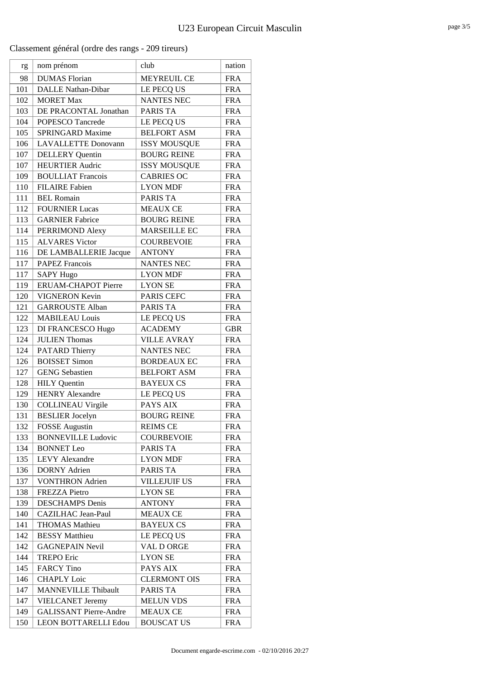| rg  | nom prénom                    | club                | nation     |
|-----|-------------------------------|---------------------|------------|
| 98  | <b>DUMAS</b> Florian          | <b>MEYREUIL CE</b>  | <b>FRA</b> |
| 101 | <b>DALLE Nathan-Dibar</b>     | LE PECQ US          | <b>FRA</b> |
| 102 | <b>MORET Max</b>              | <b>NANTES NEC</b>   | <b>FRA</b> |
| 103 | DE PRACONTAL Jonathan         | <b>PARIS TA</b>     | <b>FRA</b> |
| 104 | POPESCO Tancrede              | LE PECQ US          | <b>FRA</b> |
| 105 | <b>SPRINGARD Maxime</b>       | <b>BELFORT ASM</b>  | <b>FRA</b> |
| 106 | <b>LAVALLETTE Donovann</b>    | <b>ISSY MOUSQUE</b> | <b>FRA</b> |
| 107 | <b>DELLERY</b> Quentin        | <b>BOURG REINE</b>  | <b>FRA</b> |
| 107 | <b>HEURTIER Audric</b>        | <b>ISSY MOUSQUE</b> | <b>FRA</b> |
| 109 | <b>BOULLIAT Francois</b>      | <b>CABRIES OC</b>   | <b>FRA</b> |
| 110 | <b>FILAIRE</b> Fabien         | <b>LYON MDF</b>     | <b>FRA</b> |
| 111 | <b>BEL Romain</b>             | <b>PARIS TA</b>     | <b>FRA</b> |
| 112 | <b>FOURNIER Lucas</b>         | <b>MEAUX CE</b>     | <b>FRA</b> |
| 113 | <b>GARNIER Fabrice</b>        | <b>BOURG REINE</b>  | <b>FRA</b> |
| 114 | PERRIMOND Alexy               | <b>MARSEILLE EC</b> | <b>FRA</b> |
| 115 | <b>ALVARES Victor</b>         | <b>COURBEVOIE</b>   | <b>FRA</b> |
| 116 | DE LAMBALLERIE Jacque         | <b>ANTONY</b>       | <b>FRA</b> |
| 117 | <b>PAPEZ Francois</b>         | <b>NANTES NEC</b>   | <b>FRA</b> |
| 117 | <b>SAPY Hugo</b>              | <b>LYON MDF</b>     | <b>FRA</b> |
| 119 | <b>ERUAM-CHAPOT Pierre</b>    | <b>LYON SE</b>      | <b>FRA</b> |
| 120 | <b>VIGNERON Kevin</b>         | <b>PARIS CEFC</b>   | <b>FRA</b> |
| 121 | <b>GARROUSTE Alban</b>        | <b>PARIS TA</b>     | <b>FRA</b> |
| 122 | <b>MABILEAU Louis</b>         | LE PECQ US          | <b>FRA</b> |
| 123 | DI FRANCESCO Hugo             | <b>ACADEMY</b>      | <b>GBR</b> |
| 124 | <b>JULIEN Thomas</b>          | <b>VILLE AVRAY</b>  | <b>FRA</b> |
| 124 | PATARD Thierry                | <b>NANTES NEC</b>   | <b>FRA</b> |
| 126 | <b>BOISSET Simon</b>          | <b>BORDEAUX EC</b>  | <b>FRA</b> |
| 127 | <b>GENG</b> Sebastien         | <b>BELFORT ASM</b>  | <b>FRA</b> |
| 128 | <b>HILY</b> Quentin           | <b>BAYEUX CS</b>    | <b>FRA</b> |
| 129 | <b>HENRY Alexandre</b>        | LE PECQ US          | <b>FRA</b> |
| 130 | <b>COLLINEAU Virgile</b>      | PAYS AIX            | <b>FRA</b> |
| 131 | <b>BESLIER</b> Jocelyn        | <b>BOURG REINE</b>  | <b>FRA</b> |
| 132 | <b>FOSSE</b> Augustin         | <b>REIMS CE</b>     | <b>FRA</b> |
| 133 | <b>BONNEVILLE Ludovic</b>     | <b>COURBEVOIE</b>   | <b>FRA</b> |
| 134 | <b>BONNET</b> Leo             | PARIS TA            | <b>FRA</b> |
| 135 | <b>LEVY Alexandre</b>         | <b>LYON MDF</b>     | <b>FRA</b> |
| 136 | <b>DORNY</b> Adrien           | PARIS TA            | <b>FRA</b> |
| 137 | <b>VONTHRON</b> Adrien        | <b>VILLEJUIF US</b> | <b>FRA</b> |
| 138 | <b>FREZZA Pietro</b>          | <b>LYON SE</b>      | <b>FRA</b> |
| 139 | <b>DESCHAMPS</b> Denis        | <b>ANTONY</b>       | <b>FRA</b> |
| 140 | CAZILHAC Jean-Paul            | <b>MEAUX CE</b>     | <b>FRA</b> |
| 141 | <b>THOMAS Mathieu</b>         | <b>BAYEUX CS</b>    | <b>FRA</b> |
| 142 | <b>BESSY</b> Matthieu         | LE PECQ US          | <b>FRA</b> |
| 142 | <b>GAGNEPAIN Nevil</b>        | VAL D ORGE          | <b>FRA</b> |
| 144 | <b>TREPO Eric</b>             | <b>LYON SE</b>      | <b>FRA</b> |
| 145 | <b>FARCY</b> Tino             | PAYS AIX            | <b>FRA</b> |
| 146 | <b>CHAPLY Loic</b>            | <b>CLERMONT OIS</b> | <b>FRA</b> |
| 147 | <b>MANNEVILLE Thibault</b>    | PARIS TA            | <b>FRA</b> |
| 147 | <b>VIELCANET Jeremy</b>       | <b>MELUN VDS</b>    | <b>FRA</b> |
| 149 | <b>GALISSANT Pierre-Andre</b> | <b>MEAUX CE</b>     | <b>FRA</b> |
| 150 | LEON BOTTARELLI Edou          | <b>BOUSCAT US</b>   | <b>FRA</b> |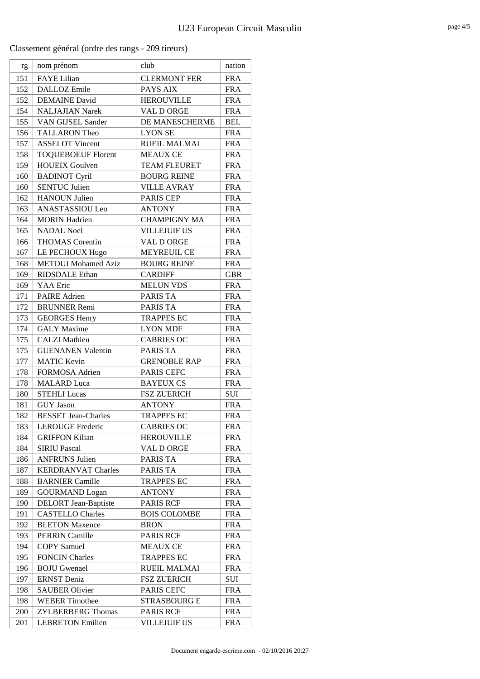| rg  | nom prénom                  | club                | nation     |
|-----|-----------------------------|---------------------|------------|
| 151 | <b>FAYE</b> Lilian          | <b>CLERMONT FER</b> | <b>FRA</b> |
| 152 | DALLOZ Emile                | PAYS AIX            | <b>FRA</b> |
| 152 | <b>DEMAINE</b> David        | <b>HEROUVILLE</b>   | <b>FRA</b> |
| 154 | <b>NALJAJIAN Narek</b>      | VAL D ORGE          | <b>FRA</b> |
| 155 | VAN GIJSEL Sander           | DE MANESCHERME      | <b>BEL</b> |
| 156 | <b>TALLARON Theo</b>        | <b>LYON SE</b>      | <b>FRA</b> |
| 157 | <b>ASSELOT Vincent</b>      | <b>RUEIL MALMAI</b> | <b>FRA</b> |
| 158 | <b>TOQUEBOEUF Florent</b>   | <b>MEAUX CE</b>     | <b>FRA</b> |
| 159 | <b>HOUEIX Goulven</b>       | <b>TEAM FLEURET</b> | <b>FRA</b> |
| 160 | <b>BADINOT Cyril</b>        | <b>BOURG REINE</b>  | <b>FRA</b> |
| 160 | <b>SENTUC Julien</b>        | <b>VILLE AVRAY</b>  | <b>FRA</b> |
| 162 | <b>HANOUN Julien</b>        | <b>PARIS CEP</b>    | <b>FRA</b> |
| 163 | ANASTASSIOU Leo             | <b>ANTONY</b>       | <b>FRA</b> |
| 164 | <b>MORIN</b> Hadrien        | <b>CHAMPIGNY MA</b> | <b>FRA</b> |
| 165 | <b>NADAL Noel</b>           | <b>VILLEJUIF US</b> | <b>FRA</b> |
| 166 | <b>THOMAS</b> Corentin      | VAL D ORGE          | <b>FRA</b> |
| 167 | LE PECHOUX Hugo             | <b>MEYREUIL CE</b>  | <b>FRA</b> |
| 168 | <b>METOUI</b> Mohamed Aziz  | <b>BOURG REINE</b>  | <b>FRA</b> |
| 169 | <b>RIDSDALE</b> Ethan       | <b>CARDIFF</b>      | <b>GBR</b> |
| 169 | <b>YAA</b> Eric             | <b>MELUN VDS</b>    | <b>FRA</b> |
| 171 | <b>PAIRE</b> Adrien         | <b>PARIS TA</b>     | <b>FRA</b> |
| 172 | <b>BRUNNER Remi</b>         | <b>PARIS TA</b>     | <b>FRA</b> |
| 173 | <b>GEORGES Henry</b>        | <b>TRAPPES EC</b>   | <b>FRA</b> |
| 174 | <b>GALY</b> Maxime          | <b>LYON MDF</b>     | <b>FRA</b> |
| 175 | <b>CALZI</b> Mathieu        | <b>CABRIES OC</b>   | <b>FRA</b> |
| 175 | <b>GUENANEN Valentin</b>    | PARIS TA            | <b>FRA</b> |
| 177 | <b>MATIC Kevin</b>          | <b>GRENOBLE RAP</b> | <b>FRA</b> |
| 178 | <b>FORMOSA Adrien</b>       | PARIS CEFC          | <b>FRA</b> |
| 178 | <b>MALARD</b> Luca          | <b>BAYEUX CS</b>    | <b>FRA</b> |
| 180 | <b>STEHLI Lucas</b>         | <b>FSZ ZUERICH</b>  | SUI        |
| 181 | <b>GUY Jason</b>            | <b>ANTONY</b>       | <b>FRA</b> |
| 182 | <b>BESSET Jean-Charles</b>  | <b>TRAPPES EC</b>   | <b>FRA</b> |
| 183 | <b>LEROUGE Frederic</b>     | <b>CABRIES OC</b>   | <b>FRA</b> |
| 184 | <b>GRIFFON Kilian</b>       | <b>HEROUVILLE</b>   | <b>FRA</b> |
| 184 | <b>SIRIU Pascal</b>         | VAL D ORGE          | <b>FRA</b> |
| 186 | <b>ANFRUNS Julien</b>       | <b>PARIS TA</b>     | <b>FRA</b> |
| 187 | <b>KERDRANVAT Charles</b>   | PARIS TA            | <b>FRA</b> |
| 188 | <b>BARNIER Camille</b>      | <b>TRAPPES EC</b>   | <b>FRA</b> |
| 189 | <b>GOURMAND</b> Logan       | <b>ANTONY</b>       | <b>FRA</b> |
| 190 | <b>DELORT</b> Jean-Baptiste | <b>PARIS RCF</b>    | <b>FRA</b> |
| 191 | <b>CASTELLO Charles</b>     | <b>BOIS COLOMBE</b> | <b>FRA</b> |
| 192 | <b>BLETON Maxence</b>       | <b>BRON</b>         | <b>FRA</b> |
| 193 | <b>PERRIN Camille</b>       | <b>PARIS RCF</b>    | <b>FRA</b> |
| 194 | <b>COPY</b> Samuel          | <b>MEAUX CE</b>     | <b>FRA</b> |
| 195 | <b>FONCIN Charles</b>       | <b>TRAPPES EC</b>   | <b>FRA</b> |
| 196 | <b>BOJU</b> Gwenael         | <b>RUEIL MALMAI</b> | <b>FRA</b> |
| 197 | <b>ERNST</b> Deniz          | <b>FSZ ZUERICH</b>  | SUI        |
| 198 | <b>SAUBER Olivier</b>       | PARIS CEFC          | <b>FRA</b> |
| 198 | <b>WEBER Timothee</b>       | <b>STRASBOURG E</b> | <b>FRA</b> |
| 200 | <b>ZYLBERBERG Thomas</b>    | PARIS RCF           | <b>FRA</b> |
| 201 | <b>LEBRETON Emilien</b>     | <b>VILLEJUIF US</b> | <b>FRA</b> |